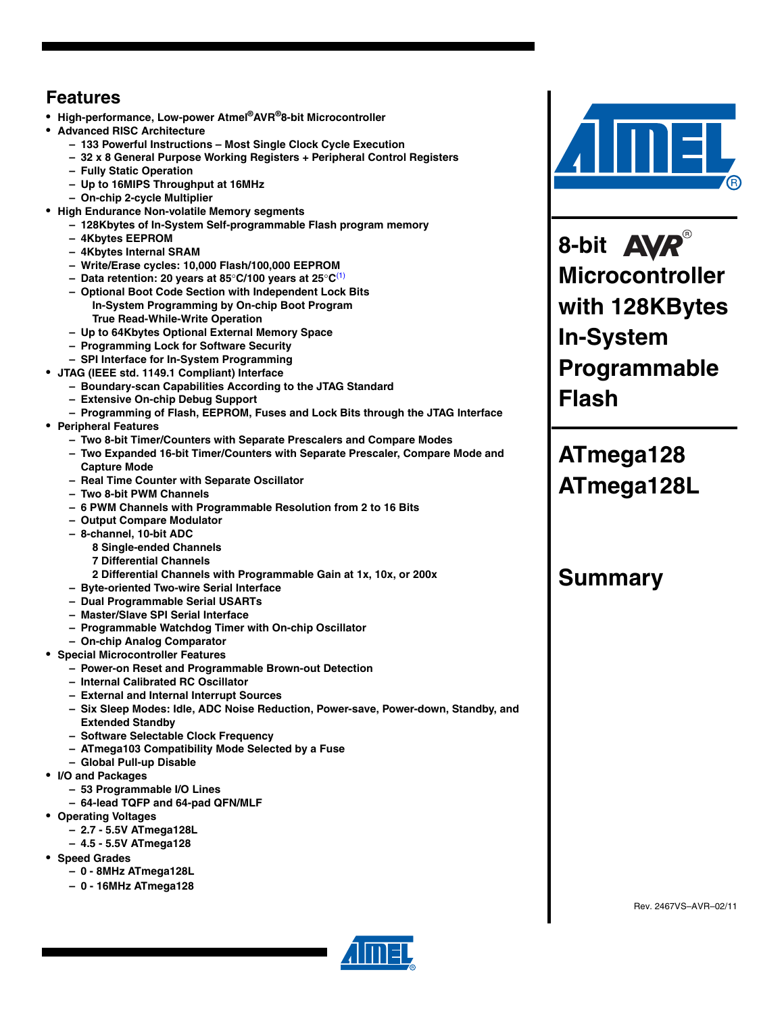## <span id="page-0-0"></span>**Features**

- **High-performance, Low-power Atmel®AVR®8-bit Microcontroller**
- **Advanced RISC Architecture**
	- **133 Powerful Instructions Most Single Clock Cycle Execution**
	- **32 x 8 General Purpose Working Registers + Peripheral Control Registers**
	- **Fully Static Operation**
	- **Up to 16MIPS Throughput at 16MHz**
	- **On-chip 2-cycle Multiplier**
- **High Endurance Non-volatile Memory segments**
	- **128Kbytes of In-System Self-programmable Flash program memory**
	- **4Kbytes EEPROM**
	- **4Kbytes Internal SRAM**
	- **Write/Erase cycles: 10,000 Flash/100,000 EEPROM**
	- **Data retention: 20 years at 85**°**C/100 years at 25**°**C**[\(1\)](#page-7-0)
	- **Optional Boot Code Section with Independent Lock Bits In-System Programming by On-chip Boot Program True Read-While-Write Operation**
	- **Up to 64Kbytes Optional External Memory Space**
	- **Programming Lock for Software Security**
	- **SPI Interface for In-System Programming**
- **JTAG (IEEE std. 1149.1 Compliant) Interface**
	- **Boundary-scan Capabilities According to the JTAG Standard**
	- **Extensive On-chip Debug Support**
	- **Programming of Flash, EEPROM, Fuses and Lock Bits through the JTAG Interface**
- **Peripheral Features**
	- **Two 8-bit Timer/Counters with Separate Prescalers and Compare Modes**
	- **Two Expanded 16-bit Timer/Counters with Separate Prescaler, Compare Mode and Capture Mode**
	- **Real Time Counter with Separate Oscillator**
	- **Two 8-bit PWM Channels**
	- **6 PWM Channels with Programmable Resolution from 2 to 16 Bits**
	- **Output Compare Modulator**
	- **8-channel, 10-bit ADC**
		- **8 Single-ended Channels**
		- **7 Differential Channels**
		- **2 Differential Channels with Programmable Gain at 1x, 10x, or 200x**
	- **Byte-oriented Two-wire Serial Interface**
	- **Dual Programmable Serial USARTs**
	- **Master/Slave SPI Serial Interface**
	- **Programmable Watchdog Timer with On-chip Oscillator**
	- **On-chip Analog Comparator**
- **Special Microcontroller Features**
	- **Power-on Reset and Programmable Brown-out Detection**
	- **Internal Calibrated RC Oscillator**
	- **External and Internal Interrupt Sources**
	- **Six Sleep Modes: Idle, ADC Noise Reduction, Power-save, Power-down, Standby, and Extended Standby**
	- **Software Selectable Clock Frequency**
	- **ATmega103 Compatibility Mode Selected by a Fuse**
	- **Global Pull-up Disable**
- **I/O and Packages**
	- **53 Programmable I/O Lines**
	- **64-lead TQFP and 64-pad QFN/MLF**
- **Operating Voltages**
	- **2.7 5.5V ATmega128L**
	- **4.5 5.5V ATmega128**
- **Speed Grades**
	- **0 8MHz ATmega128L**
	- **0 16MHz ATmega128**



**8-bit Microcontroller with 128KBytes In-System Programmable Flash**

**ATmega128 ATmega128L**

## **Summary**



Rev. 2467VS–AVR–02/11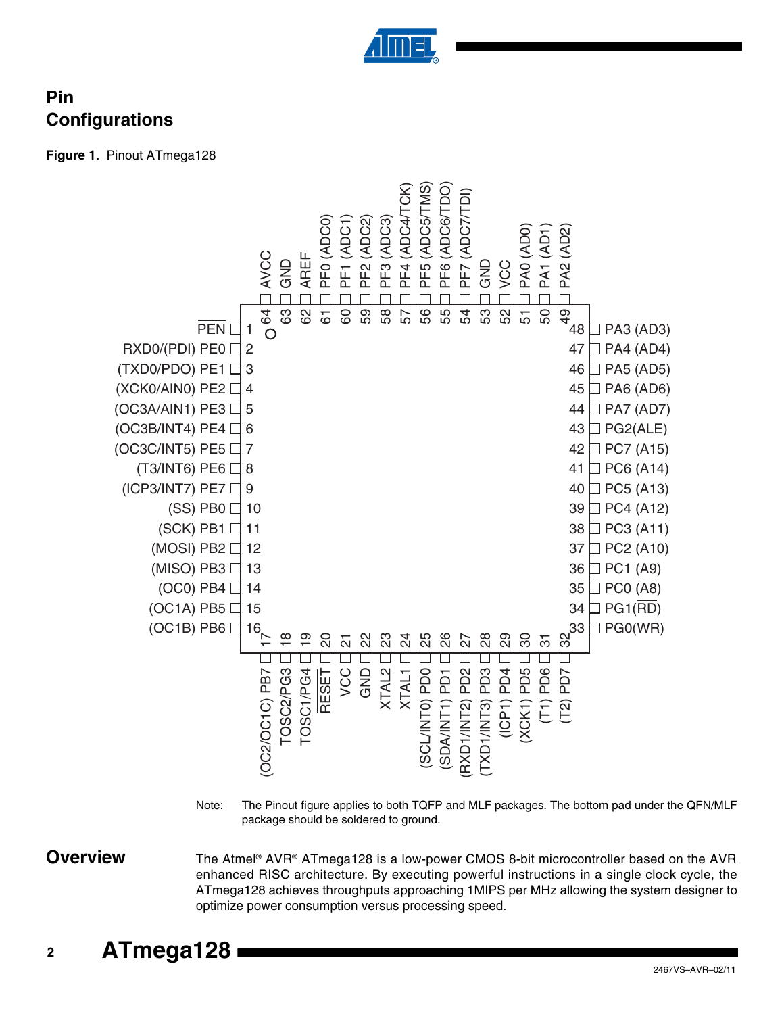

## **Pin Configurations**

<span id="page-1-0"></span>**Figure 1.** Pinout ATmega128



Note: The Pinout figure applies to both TQFP and MLF packages. The bottom pad under the QFN/MLF package should be soldered to ground.

**Overview** The Atmel<sup>®</sup> AVR<sup>®</sup> ATmega128 is a low-power CMOS 8-bit microcontroller based on the AVR enhanced RISC architecture. By executing powerful instructions in a single clock cycle, the ATmega128 achieves throughputs approaching 1MIPS per MHz allowing the system designer to optimize power consumption versus processing speed.

### **2 ATmega128**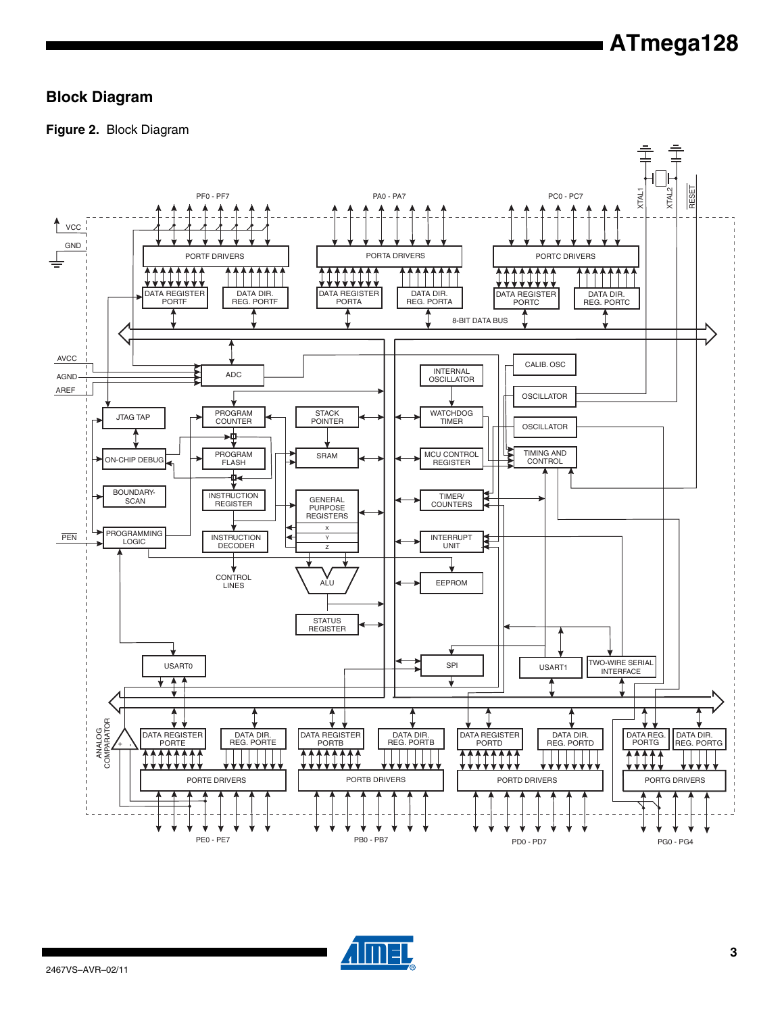## **Block Diagram**

**Figure 2.** Block Diagram



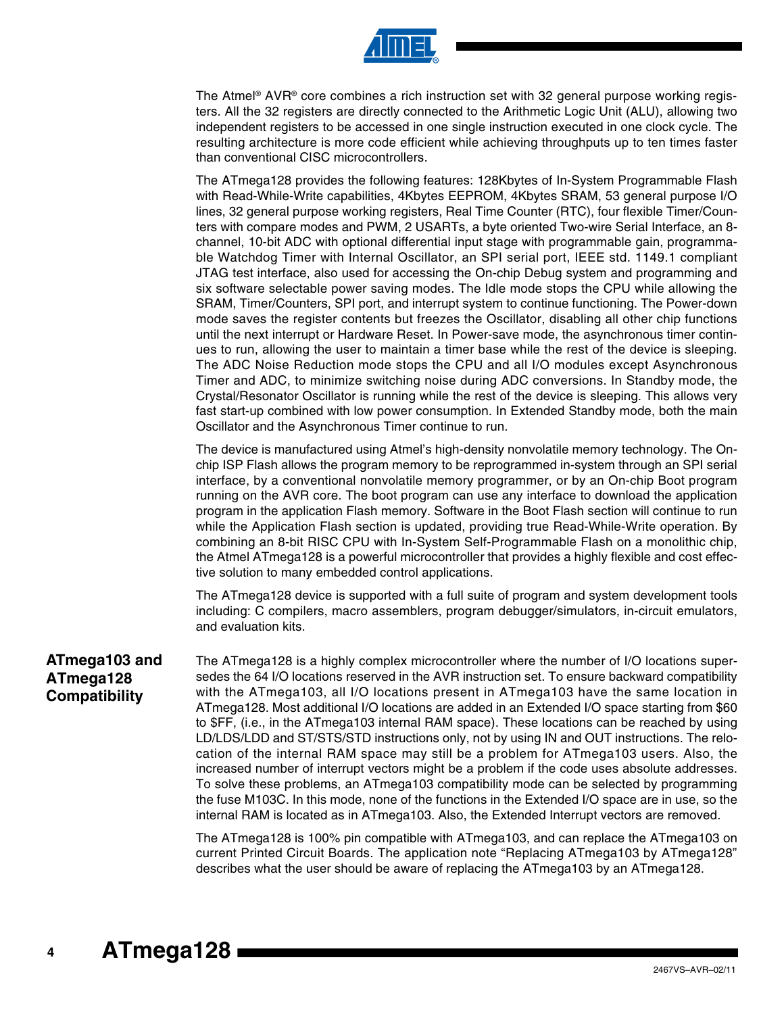

The Atmel® AVR® core combines a rich instruction set with 32 general purpose working registers. All the 32 registers are directly connected to the Arithmetic Logic Unit (ALU), allowing two independent registers to be accessed in one single instruction executed in one clock cycle. The resulting architecture is more code efficient while achieving throughputs up to ten times faster than conventional CISC microcontrollers.

The ATmega128 provides the following features: 128Kbytes of In-System Programmable Flash with Read-While-Write capabilities, 4Kbytes EEPROM, 4Kbytes SRAM, 53 general purpose I/O lines, 32 general purpose working registers, Real Time Counter (RTC), four flexible Timer/Counters with compare modes and PWM, 2 USARTs, a byte oriented Two-wire Serial Interface, an 8 channel, 10-bit ADC with optional differential input stage with programmable gain, programmable Watchdog Timer with Internal Oscillator, an SPI serial port, IEEE std. 1149.1 compliant JTAG test interface, also used for accessing the On-chip Debug system and programming and six software selectable power saving modes. The Idle mode stops the CPU while allowing the SRAM, Timer/Counters, SPI port, and interrupt system to continue functioning. The Power-down mode saves the register contents but freezes the Oscillator, disabling all other chip functions until the next interrupt or Hardware Reset. In Power-save mode, the asynchronous timer continues to run, allowing the user to maintain a timer base while the rest of the device is sleeping. The ADC Noise Reduction mode stops the CPU and all I/O modules except Asynchronous Timer and ADC, to minimize switching noise during ADC conversions. In Standby mode, the Crystal/Resonator Oscillator is running while the rest of the device is sleeping. This allows very fast start-up combined with low power consumption. In Extended Standby mode, both the main Oscillator and the Asynchronous Timer continue to run.

The device is manufactured using Atmel's high-density nonvolatile memory technology. The Onchip ISP Flash allows the program memory to be reprogrammed in-system through an SPI serial interface, by a conventional nonvolatile memory programmer, or by an On-chip Boot program running on the AVR core. The boot program can use any interface to download the application program in the application Flash memory. Software in the Boot Flash section will continue to run while the Application Flash section is updated, providing true Read-While-Write operation. By combining an 8-bit RISC CPU with In-System Self-Programmable Flash on a monolithic chip, the Atmel ATmega128 is a powerful microcontroller that provides a highly flexible and cost effective solution to many embedded control applications.

The ATmega128 device is supported with a full suite of program and system development tools including: C compilers, macro assemblers, program debugger/simulators, in-circuit emulators, and evaluation kits.

**ATmega103 and ATmega128 Compatibility** The ATmega128 is a highly complex microcontroller where the number of I/O locations supersedes the 64 I/O locations reserved in the AVR instruction set. To ensure backward compatibility with the ATmega103, all I/O locations present in ATmega103 have the same location in ATmega128. Most additional I/O locations are added in an Extended I/O space starting from \$60 to \$FF, (i.e., in the ATmega103 internal RAM space). These locations can be reached by using LD/LDS/LDD and ST/STS/STD instructions only, not by using IN and OUT instructions. The relocation of the internal RAM space may still be a problem for ATmega103 users. Also, the increased number of interrupt vectors might be a problem if the code uses absolute addresses. To solve these problems, an ATmega103 compatibility mode can be selected by programming the fuse M103C. In this mode, none of the functions in the Extended I/O space are in use, so the internal RAM is located as in ATmega103. Also, the Extended Interrupt vectors are removed.

> The ATmega128 is 100% pin compatible with ATmega103, and can replace the ATmega103 on current Printed Circuit Boards. The application note "Replacing ATmega103 by ATmega128" describes what the user should be aware of replacing the ATmega103 by an ATmega128.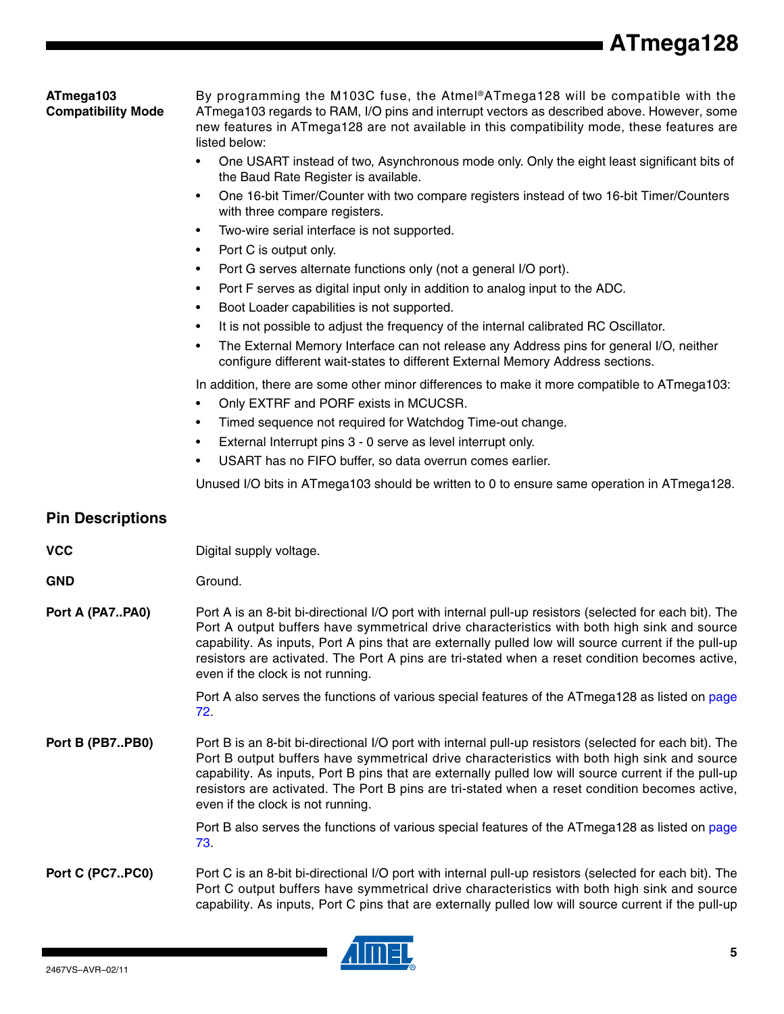## <span id="page-4-1"></span>**ATmega103 Compatibility Mode**

By programming the M103C fuse, the Atmel®ATmega128 will be compatible with the ATmega103 regards to RAM, I/O pins and interrupt vectors as described above. However, some new features in ATmega128 are not available in this compatibility mode, these features are listed below:

- One USART instead of two, Asynchronous mode only. Only the eight least significant bits of the Baud Rate Register is available.
- One 16-bit Timer/Counter with two compare registers instead of two 16-bit Timer/Counters with three compare registers.
- Two-wire serial interface is not supported.
- Port C is output only.
- Port G serves alternate functions only (not a general I/O port).
- Port F serves as digital input only in addition to analog input to the ADC.
- Boot Loader capabilities is not supported.
- It is not possible to adjust the frequency of the internal calibrated RC Oscillator.
- The External Memory Interface can not release any Address pins for general I/O, neither configure different wait-states to different External Memory Address sections.

In addition, there are some other minor differences to make it more compatible to ATmega103:

- Only EXTRF and PORF exists in MCUCSR.
- Timed sequence not required for Watchdog Time-out change.
- External Interrupt pins 3 0 serve as level interrupt only.
- USART has no FIFO buffer, so data overrun comes earlier.

Unused I/O bits in ATmega103 should be written to 0 to ensure same operation in ATmega128.

## **Pin Descriptions**

| <b>VCC</b> | Digital supply voltage. |
|------------|-------------------------|
|            |                         |

**GND** Ground.

**Port A (PA7..PA0)** Port A is an 8-bit bi-directional I/O port with internal pull-up resistors (selected for each bit). The Port A output buffers have symmetrical drive characteristics with both high sink and source capability. As inputs, Port A pins that are externally pulled low will source current if the pull-up resistors are activated. The Port A pins are tri-stated when a reset condition becomes active, even if the clock is not running.

> Port A also serves the functions of various special features of the ATmega128 as listed on page 72.

**Port B (PB7..PB0)** Port B is an 8-bit bi-directional I/O port with internal pull-up resistors (selected for each bit). The Port B output buffers have symmetrical drive characteristics with both high sink and source capability. As inputs, Port B pins that are externally pulled low will source current if the pull-up resistors are activated. The Port B pins are tri-stated when a reset condition becomes active, even if the clock is not running.

> Port B also serves the functions of various special features of the ATmega128 as listed on page 73.

<span id="page-4-0"></span>**Port C (PC7..PC0)** Port C is an 8-bit bi-directional I/O port with internal pull-up resistors (selected for each bit). The Port C output buffers have symmetrical drive characteristics with both high sink and source capability. As inputs, Port C pins that are externally pulled low will source current if the pull-up

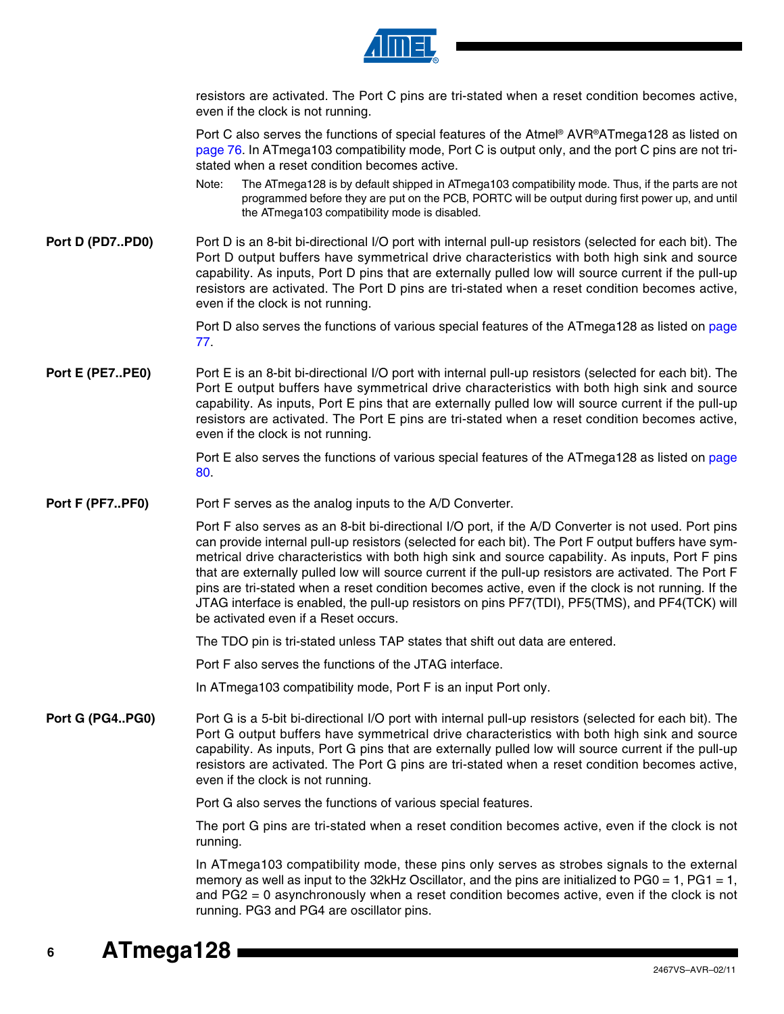

resistors are activated. The Port C pins are tri-stated when a reset condition becomes active, even if the clock is not running.

Port C also serves the functions of special features of the Atmel® AVR®ATmega128 as listed on page 76. In ATmega103 compatibility mode, Port C is output only, and the port C pins are not tristated when a reset condition becomes active.

- Note: The ATmega128 is by default shipped in ATmega103 compatibility mode. Thus, if the parts are not programmed before they are put on the PCB, PORTC will be output during first power up, and until the ATmega103 compatibility mode is disabled.
- **Port D (PD7..PD0)** Port D is an 8-bit bi-directional I/O port with internal pull-up resistors (selected for each bit). The Port D output buffers have symmetrical drive characteristics with both high sink and source capability. As inputs, Port D pins that are externally pulled low will source current if the pull-up resistors are activated. The Port D pins are tri-stated when a reset condition becomes active, even if the clock is not running.

Port D also serves the functions of various special features of the ATmega128 as listed on page 77.

**Port E (PE7..PE0)** Port E is an 8-bit bi-directional I/O port with internal pull-up resistors (selected for each bit). The Port E output buffers have symmetrical drive characteristics with both high sink and source capability. As inputs, Port E pins that are externally pulled low will source current if the pull-up resistors are activated. The Port E pins are tri-stated when a reset condition becomes active, even if the clock is not running.

> Port E also serves the functions of various special features of the ATmega128 as listed on page 80.

**Port F (PF7..PF0)** Port F serves as the analog inputs to the A/D Converter.

Port F also serves as an 8-bit bi-directional I/O port, if the A/D Converter is not used. Port pins can provide internal pull-up resistors (selected for each bit). The Port F output buffers have symmetrical drive characteristics with both high sink and source capability. As inputs, Port F pins that are externally pulled low will source current if the pull-up resistors are activated. The Port F pins are tri-stated when a reset condition becomes active, even if the clock is not running. If the JTAG interface is enabled, the pull-up resistors on pins PF7(TDI), PF5(TMS), and PF4(TCK) will be activated even if a Reset occurs.

The TDO pin is tri-stated unless TAP states that shift out data are entered.

Port F also serves the functions of the JTAG interface.

In ATmega103 compatibility mode, Port F is an input Port only.

**Port G (PG4..PG0)** Port G is a 5-bit bi-directional I/O port with internal pull-up resistors (selected for each bit). The Port G output buffers have symmetrical drive characteristics with both high sink and source capability. As inputs, Port G pins that are externally pulled low will source current if the pull-up resistors are activated. The Port G pins are tri-stated when a reset condition becomes active, even if the clock is not running.

Port G also serves the functions of various special features.

The port G pins are tri-stated when a reset condition becomes active, even if the clock is not running.

In ATmega103 compatibility mode, these pins only serves as strobes signals to the external memory as well as input to the 32kHz Oscillator, and the pins are initialized to  $PG0 = 1$ ,  $PG1 = 1$ , and PG2 = 0 asynchronously when a reset condition becomes active, even if the clock is not running. PG3 and PG4 are oscillator pins.

### **6 ATmega128**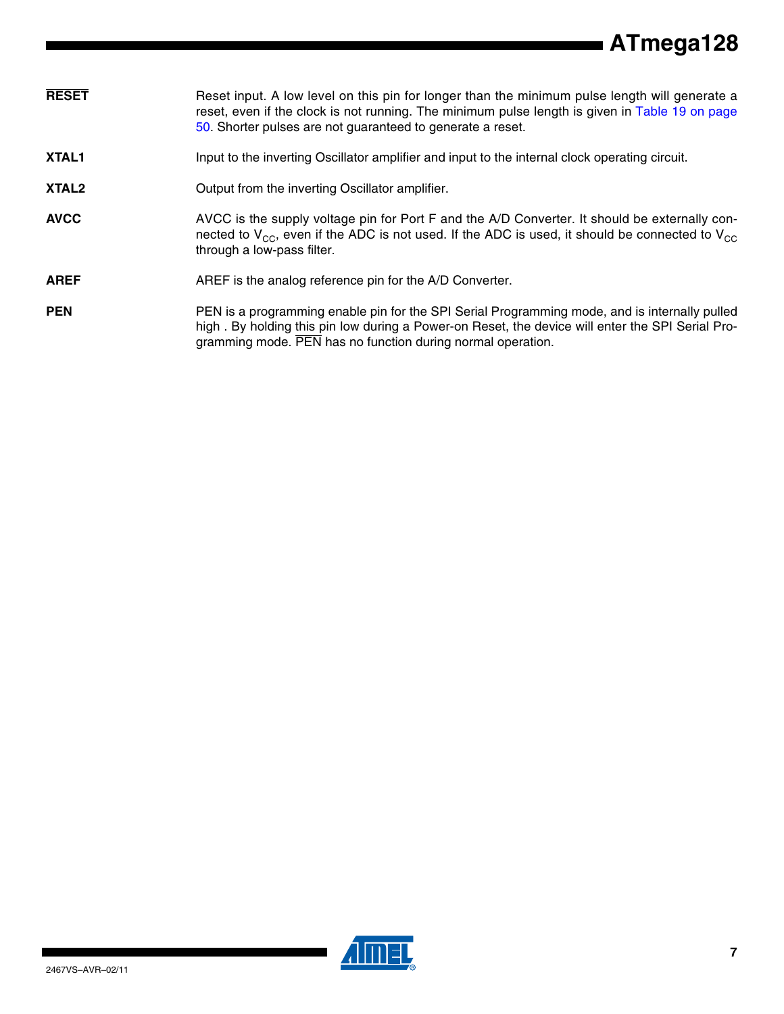| <b>RESET</b>      | Reset input. A low level on this pin for longer than the minimum pulse length will generate a<br>reset, even if the clock is not running. The minimum pulse length is given in Table 19 on page<br>50. Shorter pulses are not guaranteed to generate a reset. |
|-------------------|---------------------------------------------------------------------------------------------------------------------------------------------------------------------------------------------------------------------------------------------------------------|
| <b>XTAL1</b>      | Input to the inverting Oscillator amplifier and input to the internal clock operating circuit.                                                                                                                                                                |
| XTAL <sub>2</sub> | Output from the inverting Oscillator amplifier.                                                                                                                                                                                                               |
| <b>AVCC</b>       | AVCC is the supply voltage pin for Port F and the A/D Converter. It should be externally con-<br>nected to $V_{CC}$ , even if the ADC is not used. If the ADC is used, it should be connected to $V_{CC}$<br>through a low-pass filter.                       |
| <b>AREF</b>       | AREF is the analog reference pin for the A/D Converter.                                                                                                                                                                                                       |
| <b>PEN</b>        | PEN is a programming enable pin for the SPI Serial Programming mode, and is internally pulled<br>high. By holding this pin low during a Power-on Reset, the device will enter the SPI Serial Pro-                                                             |

gramming mode. PEN has no function during normal operation.



 $\blacksquare$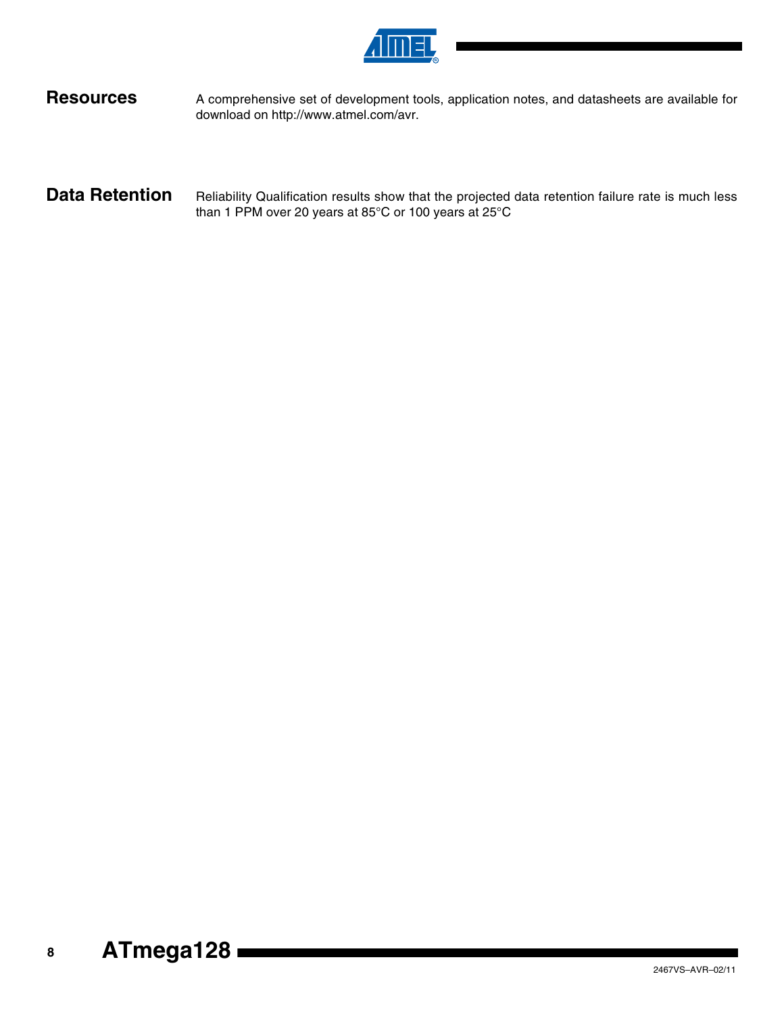

## **Resources** A comprehensive set of development tools, application notes, and datasheets are available for download on http://www.atmel.com/avr.

## <span id="page-7-1"></span><span id="page-7-0"></span>**Data Retention** Reliability Qualification results show that the projected data retention failure rate is much less than 1 PPM over 20 years at 85°C or 100 years at 25°C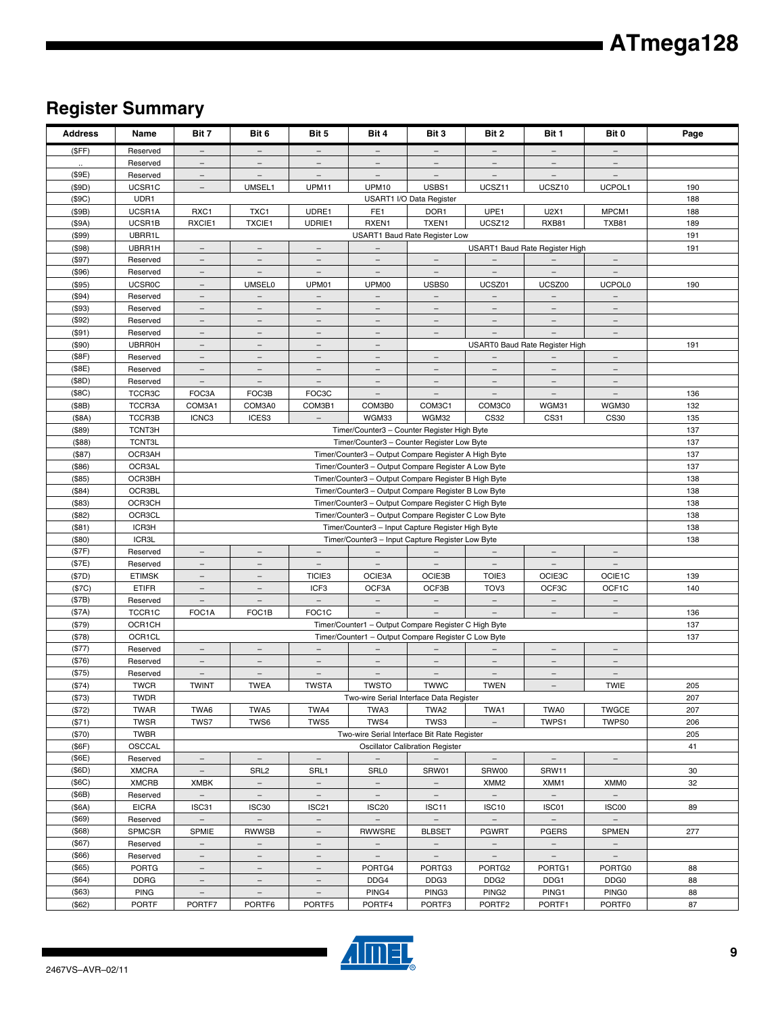# **Register Summary**

| <b>Address</b>   | Name                     | Bit 7                                                | Bit 6                                                                                                       | Bit 5                                                | Bit 4                                                | Bit 3                                  | Bit 2                                         | Bit 1                                         | Bit 0                                  | Page       |
|------------------|--------------------------|------------------------------------------------------|-------------------------------------------------------------------------------------------------------------|------------------------------------------------------|------------------------------------------------------|----------------------------------------|-----------------------------------------------|-----------------------------------------------|----------------------------------------|------------|
| (SFF)            | Reserved                 |                                                      | $\overline{\phantom{0}}$                                                                                    | $\overline{\phantom{a}}$                             | $\overline{\phantom{m}}$                             | $-$                                    | $\overline{\phantom{a}}$                      |                                               |                                        |            |
| $\ldots$         | Reserved                 | $\overline{\phantom{m}}$                             | $\overline{\phantom{m}}$                                                                                    | $\overline{\phantom{m}}$                             | $\overline{\phantom{a}}$                             | $\qquad \qquad -$                      | $\qquad \qquad -$                             | $\qquad \qquad -$                             | $\overline{\phantom{m}}$               |            |
| (\$9E)           | Reserved                 | $\overline{\phantom{a}}$                             | $\equiv$                                                                                                    | $\overline{\phantom{a}}$                             | $\overline{\phantom{a}}$                             | $\overline{\phantom{a}}$               | $\overline{\phantom{a}}$                      | $\overline{\phantom{a}}$                      | $\overline{\phantom{a}}$               |            |
| (\$9D)           | UCSR1C                   | $\overline{\phantom{a}}$                             | UMSEL1                                                                                                      | <b>UPM11</b>                                         | <b>UPM10</b>                                         | USBS1                                  | UCSZ11                                        | UCSZ10                                        | UCPOL1                                 | 190        |
| (\$9C)           | UDR1                     |                                                      |                                                                                                             |                                                      |                                                      | USART1 I/O Data Register               |                                               |                                               |                                        | 188        |
| (\$9B)           | UCSR1A                   | RXC1                                                 | TXC1                                                                                                        | UDRE1                                                | FE <sub>1</sub>                                      | DOR <sub>1</sub>                       | UPE1                                          | U2X1                                          | MPCM1                                  | 188        |
| (\$9A)<br>(\$99) | UCSR1B<br>UBRR1L         | RXCIE1                                               | <b>TXCIE1</b>                                                                                               | UDRIE1                                               | RXEN1                                                | TXEN1<br>USART1 Baud Rate Register Low | UCSZ12                                        | <b>RXB81</b>                                  | <b>TXB81</b>                           | 189<br>191 |
| (\$98)           | UBRR1H                   | $\equiv$                                             | $\qquad \qquad -$                                                                                           | $\equiv$                                             | $\overline{\phantom{a}}$                             |                                        |                                               | USART1 Baud Rate Register High                |                                        | 191        |
| (\$97)           | Reserved                 | $\equiv$                                             | $\equiv$                                                                                                    | $\equiv$                                             | $\equiv$                                             | $\equiv$                               |                                               |                                               | $\overline{\phantom{a}}$               |            |
| (\$96)           | Reserved                 | $\overline{\phantom{a}}$                             | $\overline{\phantom{a}}$                                                                                    | $\overline{\phantom{a}}$                             | $\overline{\phantom{a}}$                             | $\overline{\phantom{a}}$               | $\overline{\phantom{a}}$                      | $\overline{\phantom{a}}$                      | $\overline{\phantom{a}}$               |            |
| (\$95)           | <b>UCSR0C</b>            |                                                      | <b>UMSEL0</b>                                                                                               | UPM01                                                | UPM00                                                | USBS0                                  | UCSZ01                                        | UCSZ00                                        | <b>UCPOL0</b>                          | 190        |
| (\$94)           | Reserved                 | $-$                                                  | $\overline{\phantom{0}}$                                                                                    | $\overline{\phantom{a}}$                             | $\overline{\phantom{a}}$                             | $\overline{\phantom{a}}$               | $\overline{\phantom{a}}$                      | $\overline{\phantom{a}}$                      | $\overline{\phantom{a}}$               |            |
| (\$93)           | Reserved                 | $\overline{\phantom{m}}$                             | $\qquad \qquad -$                                                                                           | $\overline{\phantom{m}}$                             | $\overline{\phantom{a}}$                             | $\qquad \qquad -$                      | $\qquad \qquad -$                             | $\overline{\phantom{m}}$                      | $\overline{\phantom{m}}$               |            |
| (\$92)           | Reserved                 | $-$                                                  | $-$                                                                                                         | $\overline{\phantom{a}}$                             | $\overline{\phantom{m}}$                             | $\overline{\phantom{m}}$               | $\overline{\phantom{m}}$                      | $\overline{\phantom{a}}$                      | $\overline{\phantom{a}}$               |            |
| (\$91)           | Reserved                 | $\overline{\phantom{0}}$                             | $\overline{\phantom{a}}$                                                                                    | $\overline{\phantom{m}}$                             | $\overline{\phantom{a}}$                             | $\overline{\phantom{a}}$               |                                               |                                               | $\overline{\phantom{m}}$               |            |
| (\$90)<br>(\$8F) | <b>UBRR0H</b>            | $\overline{\phantom{a}}$                             | $\equiv$                                                                                                    | $\equiv$                                             | $\equiv$                                             |                                        |                                               | USART0 Baud Rate Register High                |                                        | 191        |
| (\$8E)           | Reserved<br>Reserved     | $\qquad \qquad -$                                    | $\overline{\phantom{a}}$<br>$\overline{\phantom{0}}$                                                        | $\overline{\phantom{a}}$<br>$\overline{\phantom{m}}$ | $\overline{\phantom{a}}$                             | $\qquad \qquad -$                      |                                               |                                               | $\qquad \qquad -$                      |            |
| (\$BD)           | Reserved                 | $\overline{\phantom{a}}$                             | $\overline{\phantom{a}}$                                                                                    | $\overline{\phantom{a}}$                             | $\overline{\phantom{m}}$                             | $\overline{\phantom{a}}$               | $\overline{\phantom{m}}$                      | $\overline{\phantom{a}}$                      | $\overline{\phantom{m}}$               |            |
| (\$BC)           | TCCR3C                   | FOC3A                                                | FOC3B                                                                                                       | FOC3C                                                | $\overline{\phantom{a}}$                             | $\overline{\phantom{a}}$               | $\overline{\phantom{a}}$                      | $\overline{\phantom{a}}$                      | $\overline{\phantom{m}}$               | 136        |
| (\$B)            | TCCR3A                   | COM3A1                                               | COM3A0                                                                                                      | COM3B1                                               | COM3B0                                               | COM3C1                                 | COM3C0                                        | WGM31                                         | WGM30                                  | 132        |
| (\$BA)           | TCCR3B                   | ICNC3                                                | ICES3                                                                                                       | $\overline{\phantom{a}}$                             | WGM33                                                | WGM32                                  | CS32                                          | CS31                                          | <b>CS30</b>                            | 135        |
| (\$89)           | TCNT3H                   |                                                      |                                                                                                             |                                                      | Timer/Counter3 - Counter Register High Byte          |                                        |                                               |                                               |                                        | 137        |
| (\$88)           | <b>TCNT3L</b>            |                                                      |                                                                                                             |                                                      | Timer/Counter3 - Counter Register Low Byte           |                                        |                                               |                                               |                                        | 137        |
| (\$87)           | OCR3AH                   |                                                      |                                                                                                             |                                                      | Timer/Counter3 - Output Compare Register A High Byte |                                        |                                               |                                               |                                        | 137        |
| (\$86)           | OCR3AL                   |                                                      |                                                                                                             |                                                      | Timer/Counter3 - Output Compare Register A Low Byte  |                                        |                                               |                                               |                                        | 137        |
| (\$85)           | OCR3BH                   |                                                      |                                                                                                             |                                                      | Timer/Counter3 - Output Compare Register B High Byte |                                        |                                               |                                               |                                        | 138        |
| (\$84)           | OCR3BL                   |                                                      | Timer/Counter3 - Output Compare Register B Low Byte                                                         |                                                      |                                                      |                                        |                                               |                                               |                                        | 138        |
| (\$83)           | OCR3CH                   |                                                      | Timer/Counter3 - Output Compare Register C High Byte<br>Timer/Counter3 - Output Compare Register C Low Byte |                                                      |                                                      |                                        |                                               |                                               |                                        | 138        |
| (\$82)<br>(\$81) | OCR3CL<br>ICR3H          |                                                      |                                                                                                             |                                                      | Timer/Counter3 - Input Capture Register High Byte    |                                        |                                               |                                               |                                        | 138<br>138 |
| (\$80)           | ICR3L                    |                                                      |                                                                                                             |                                                      | Timer/Counter3 - Input Capture Register Low Byte     |                                        |                                               |                                               |                                        | 138        |
| (\$7F)           | Reserved                 | $\overline{\phantom{a}}$                             | $\overline{\phantom{a}}$                                                                                    | $\overline{\phantom{a}}$                             | $\overline{\phantom{a}}$                             | $\equiv$                               | $\equiv$                                      | $\equiv$                                      | $\equiv$                               |            |
| (\$7E)           | Reserved                 | $\overline{\phantom{m}}$                             | $\overline{\phantom{a}}$                                                                                    | $\overline{\phantom{a}}$                             | $\equiv$                                             | $\overline{\phantom{a}}$               | $\overline{\phantom{a}}$                      | $\overline{\phantom{a}}$                      | $\overline{\phantom{a}}$               |            |
| (\$7D)           | <b>ETIMSK</b>            |                                                      | $\overline{\phantom{0}}$                                                                                    | TICIE3                                               | OCIE3A                                               | OCIE3B                                 | TOIE <sub>3</sub>                             | OCIE3C                                        | OCIE1C                                 | 139        |
| (\$7C)           | <b>ETIFR</b>             | $\overline{\phantom{a}}$                             | $\overline{\phantom{0}}$                                                                                    | ICF3                                                 | OCF3A                                                | OCF3B                                  | TOV <sub>3</sub>                              | OCF3C                                         | OCF1C                                  | 140        |
| (\$7B)           | Reserved                 | $\overline{\phantom{m}}$                             | $\overline{\phantom{a}}$                                                                                    | $\overline{\phantom{m}}$                             | $\overline{\phantom{m}}$                             | $\overline{\phantom{m}}$               | $\overline{\phantom{m}}$                      | $\overline{\phantom{a}}$                      | $\overline{\phantom{m}}$               |            |
| (\$7A)           | TCCR1C                   | FOC1A                                                | FOC1B                                                                                                       | FOC <sub>1</sub> C                                   | $\equiv$                                             | $\equiv$                               | $\equiv$                                      | $\equiv$                                      | $\overline{\phantom{a}}$               | 136        |
| (\$79)           | OCR1CH                   |                                                      |                                                                                                             |                                                      | Timer/Counter1 - Output Compare Register C High Byte |                                        |                                               |                                               |                                        | 137        |
| (\$78)<br>(\$77) | OCR1CL                   |                                                      |                                                                                                             |                                                      | Timer/Counter1 - Output Compare Register C Low Byte  |                                        |                                               |                                               |                                        | 137        |
| (\$76)           | Reserved<br>Reserved     | $\overline{\phantom{a}}$<br>$\overline{\phantom{0}}$ | $\qquad \qquad -$<br>$\overline{\phantom{0}}$                                                               | $\overline{\phantom{a}}$<br>$\overline{\phantom{m}}$ | $\overline{\phantom{a}}$                             | $\equiv$                               | $\overline{\phantom{a}}$                      | $\overline{\phantom{a}}$<br>$\qquad \qquad -$ | $\qquad \qquad -$<br>$\qquad \qquad -$ |            |
| (\$75)           | Reserved                 | $\overline{\phantom{a}}$                             | $\qquad \qquad -$                                                                                           | $\overline{\phantom{a}}$                             | $\overline{\phantom{a}}$                             | $\overline{\phantom{a}}$               | $\overline{\phantom{a}}$                      | $\overline{\phantom{m}}$                      | $\overline{\phantom{a}}$               |            |
| (\$74)           | <b>TWCR</b>              | <b>TWINT</b>                                         | <b>TWEA</b>                                                                                                 | <b>TWSTA</b>                                         | <b>TWSTO</b>                                         | <b>TWWC</b>                            | <b>TWEN</b>                                   | $\sim$                                        | <b>TWIE</b>                            | 205        |
| (\$73)           | TWDR                     |                                                      |                                                                                                             |                                                      | Two-wire Serial Interface Data Register              |                                        |                                               |                                               |                                        | 207        |
| (\$72)           | TWAR                     | TWA6                                                 | TWA5                                                                                                        | TWA4                                                 | TWA3                                                 | TWA2                                   | TWA1                                          | TWA0                                          | <b>TWGCE</b>                           | 207        |
| (\$71)           | <b>TWSR</b>              | TWS7                                                 | TWS6                                                                                                        | TWS5                                                 | TWS4                                                 | TWS3                                   |                                               | TWPS1                                         | TWPS0                                  | 206        |
| (\$70)           | <b>TWBR</b>              |                                                      |                                                                                                             |                                                      | Two-wire Serial Interface Bit Rate Register          |                                        |                                               |                                               |                                        | 205        |
| (\$6F)           | OSCCAL                   |                                                      |                                                                                                             |                                                      |                                                      | <b>Oscillator Calibration Register</b> |                                               |                                               |                                        | 41         |
| (\$6E)           | Reserved                 | $ \,$                                                | $-$                                                                                                         | $\overline{\phantom{a}}$                             | $\sim$                                               | $\equiv$                               | $\overline{\phantom{a}}$                      | $\overline{\phantom{a}}$                      | $-$                                    |            |
| (\$6D)           | <b>XMCRA</b>             | $\overline{\phantom{a}}$                             | SRL <sub>2</sub>                                                                                            | SRL1                                                 | SRL <sub>0</sub>                                     | SRW01                                  | SRW00                                         | SRW11                                         |                                        | 30         |
| (\$6C)<br>(\$6B) | <b>XMCRB</b>             | <b>XMBK</b>                                          | $\equiv$                                                                                                    | $\overline{\phantom{a}}$                             | $\overline{\phantom{a}}$<br>$\overline{\phantom{a}}$ | $\overline{\phantom{a}}$               | XMM <sub>2</sub>                              | XMM1                                          | XMM0                                   | 32         |
| (\$6A)           | Reserved<br><b>EICRA</b> | $\overline{\phantom{a}}$<br>ISC31                    | $\overline{\phantom{a}}$<br>ISC30                                                                           | $\overline{\phantom{a}}$<br>ISC <sub>21</sub>        | <b>ISC20</b>                                         | $\overline{\phantom{a}}$<br>ISC11      | $\overline{\phantom{a}}$<br>ISC <sub>10</sub> | $\overline{\phantom{a}}$<br>ISC01             | $\overline{\phantom{a}}$<br>ISC00      | 89         |
| (\$69)           | Reserved                 | $\equiv$                                             | $\overline{\phantom{a}}$                                                                                    | $\overline{\phantom{a}}$                             | $\overline{\phantom{a}}$                             | $\overline{\phantom{a}}$               | $\overline{\phantom{a}}$                      | $\overline{\phantom{a}}$                      | $\equiv$                               |            |
| (\$68)           | <b>SPMCSR</b>            | <b>SPMIE</b>                                         | <b>RWWSB</b>                                                                                                | $\overline{\phantom{m}}$                             | <b>RWWSRE</b>                                        | <b>BLBSET</b>                          | <b>PGWRT</b>                                  | <b>PGERS</b>                                  | <b>SPMEN</b>                           | 277        |
| (\$67)           | Reserved                 | $\overline{\phantom{a}}$                             | $\equiv$                                                                                                    | $\overline{\phantom{a}}$                             | $\equiv$                                             | $\equiv$                               | $\equiv$                                      | $\equiv$                                      | $\equiv$                               |            |
| (\$66)           | Reserved                 | $\overline{\phantom{m}}$                             | $\overline{\phantom{m}}$                                                                                    | $\overline{\phantom{m}}$                             | $\overline{\phantom{a}}$                             | $\overline{\phantom{m}}$               | $\overline{\phantom{m}}$                      | $\overline{\phantom{m}}$                      | $\overline{\phantom{m}}$               |            |
| (\$65)           | <b>PORTG</b>             |                                                      | $\overline{\phantom{0}}$                                                                                    |                                                      | PORTG4                                               | PORTG3                                 | PORTG2                                        | PORTG1                                        | PORTG0                                 | 88         |
| (\$64)           | <b>DDRG</b>              | $ \,$                                                | $\overline{\phantom{0}}$                                                                                    | $\overline{\phantom{a}}$                             | DDG4                                                 | DDG3                                   | DDG <sub>2</sub>                              | DDG1                                          | DDG <sub>0</sub>                       | 88         |
| (\$63)           | <b>PING</b>              | $-$                                                  | $-$                                                                                                         | $\overline{\phantom{m}}$                             | PING4                                                | PING3                                  | PING <sub>2</sub>                             | PING1                                         | PING0                                  | 88         |
| (\$62)           | <b>PORTF</b>             | PORTF7                                               | PORTF6                                                                                                      | PORTF5                                               | PORTF4                                               | PORTF3                                 | PORTF2                                        | PORTF1                                        | PORTF0                                 | 87         |



▊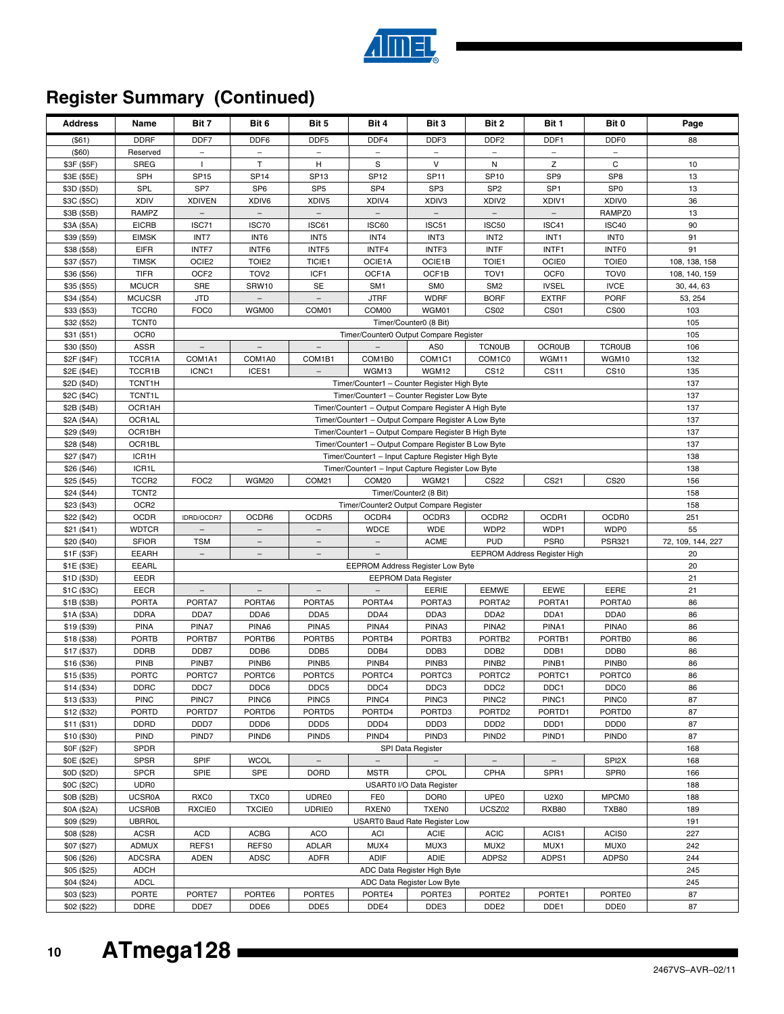

# **Register Summary (Continued)**

| <b>DDRF</b><br>(\$61)<br>DDF7<br>DDF <sub>6</sub><br>DDF <sub>5</sub><br>DDF4<br>DDF3<br>DDF <sub>2</sub><br>DDF1<br>DDF <sub>0</sub><br>88<br>(\$60)<br>Reserved<br>$\overline{\phantom{0}}$<br>$\overline{\phantom{a}}$<br>$\equiv$<br>$\overline{\phantom{0}}$<br>$\equiv$<br>T<br>V<br>С<br>\$3F (\$5F)<br><b>SREG</b><br>н<br>S<br>N<br>z<br>10<br>п<br>\$3E (\$5E)<br><b>SPH</b><br>SP15<br><b>SP14</b><br>SP <sub>13</sub><br><b>SP12</b><br><b>SP11</b><br>SP10<br>SP <sub>9</sub><br>SP <sub>8</sub><br>13<br>SP7<br>SP <sub>5</sub><br>SP <sub>0</sub><br>13<br>\$3D (\$5D)<br>SPL<br>SP <sub>6</sub><br>SP <sub>4</sub><br>SP <sub>3</sub><br>SP <sub>2</sub><br>SP <sub>1</sub><br>\$3C (\$5C)<br><b>XDIV</b><br><b>XDIVEN</b><br>XDIV6<br>XDIV5<br>XDIV4<br>XDIV3<br>XDIV <sub>2</sub><br>XDIV1<br>XDIV0<br>36<br>\$3B (\$5B)<br>RAMPZ<br>$\overline{\phantom{a}}$<br>$\overline{\phantom{m}}$<br>RAMPZ0<br>13<br>\$3A (\$5A)<br><b>EICRB</b><br>ISC71<br>ISC70<br>ISC61<br><b>ISC60</b><br>ISC51<br><b>ISC50</b><br>ISC41<br>ISC40<br>90<br>\$39 (\$59)<br><b>EIMSK</b><br>INT7<br>INT6<br>INT5<br>INT4<br>INT <sub>3</sub><br>INT <sub>2</sub><br>INT <sub>1</sub><br><b>INTO</b><br>91<br>91<br>\$38 (\$58)<br><b>EIFR</b><br>INTF7<br>INTF6<br>INTF5<br>INTF4<br>INTF3<br><b>INTF</b><br>INTF1<br><b>INTFO</b><br>\$37 (\$57)<br><b>TIMSK</b><br>OCIE <sub>2</sub><br>TOIE <sub>2</sub><br>TICIE1<br>OCIE1A<br>OCIE1B<br><b>TOIE0</b><br>108, 138, 158<br>TOIE1<br><b>OCIE0</b><br><b>TIFR</b><br>TOV <sub>0</sub><br>\$36 (\$56)<br>OCF <sub>2</sub><br>TOV <sub>2</sub><br>ICF1<br>OCF1A<br>OCF1B<br>TOV <sub>1</sub><br>OCF <sub>0</sub><br>108, 140, 159<br>\$35 (\$55)<br><b>MCUCR</b><br><b>SRE</b><br>SRW10<br><b>SE</b><br>SM <sub>1</sub><br>SM <sub>0</sub><br>SM <sub>2</sub><br><b>IVSEL</b><br><b>IVCE</b><br>30, 44, 63<br><b>PORF</b><br>\$34 (\$54)<br><b>MCUCSR</b><br><b>JTD</b><br><b>JTRF</b><br><b>WDRF</b><br><b>BORF</b><br><b>EXTRF</b><br>53, 254<br>\$33 (\$53)<br>TCCR <sub>0</sub><br>FOC <sub>0</sub><br>WGM00<br>COM01<br>COM00<br>WGM01<br><b>CS02</b><br><b>CS01</b><br>CS <sub>00</sub><br>103<br>\$32 (\$52)<br><b>TCNT0</b><br>Timer/Counter0 (8 Bit)<br>105<br>\$31 (\$51)<br>OCR <sub>0</sub><br>105<br>Timer/Counter0 Output Compare Register<br>\$30 (\$50)<br><b>ASSR</b><br>AS <sub>0</sub><br><b>TCN0UB</b><br><b>OCR0UB</b><br><b>TCR0UB</b><br>$\overline{\phantom{a}}$<br>106<br>$\equiv$<br>\$2F (\$4F)<br>TCCR1A<br>COM1A1<br>COM1A0<br>COM1B1<br>COM1B0<br>COM1C1<br>COM1C0<br>WGM11<br>WGM10<br>132<br>\$2E (\$4E)<br>TCCR1B<br>ICNC1<br>ICES1<br>WGM13<br>WGM12<br>CS12<br><b>CS11</b><br><b>CS10</b><br>135<br>\$2D (\$4D)<br>TCNT1H<br>Timer/Counter1 - Counter Register High Byte<br>137<br>\$2C (\$4C)<br><b>TCNT1L</b><br>Timer/Counter1 - Counter Register Low Byte<br>137<br>\$2B (\$4B)<br>137<br>OCR1AH<br>Timer/Counter1 - Output Compare Register A High Byte<br>137<br>\$2A (\$4A)<br>OCR1AL<br>Timer/Counter1 - Output Compare Register A Low Byte<br>\$29 (\$49)<br>OCR1BH<br>Timer/Counter1 - Output Compare Register B High Byte<br>137<br>\$28 (\$48)<br>OCR1BL<br>Timer/Counter1 - Output Compare Register B Low Byte<br>137<br>\$27 (\$47)<br>ICR1H<br>Timer/Counter1 - Input Capture Register High Byte<br>138<br>\$26 (\$46)<br>138<br>ICR1L<br>Timer/Counter1 - Input Capture Register Low Byte<br>\$25 (\$45)<br>TCCR <sub>2</sub><br>FOC <sub>2</sub><br>WGM20<br>COM21<br>COM20<br>WGM21<br><b>CS22</b><br>CS21<br><b>CS20</b><br>156<br>\$24 (\$44)<br>TCNT <sub>2</sub><br>Timer/Counter2 (8 Bit)<br>158<br>\$23 (\$43)<br>OCR <sub>2</sub><br>Timer/Counter2 Output Compare Register<br>158<br>\$22 (\$42)<br><b>OCDR</b><br>IDRD/OCDR7<br>OCDR6<br>OCDR5<br>OCDR4<br>OCDR <sub>2</sub><br>OCDR1<br>OCDR <sub>0</sub><br>251<br>OCDR3<br>55<br>\$21 (\$41)<br><b>WDTCR</b><br><b>WDCE</b><br><b>WDE</b><br>WDP2<br>WDP1<br>WDP0<br>$\equiv$<br>$\overline{\phantom{a}}$<br>\$20 (\$40)<br><b>SFIOR</b><br><b>TSM</b><br><b>ACME</b><br><b>PUD</b><br>PSR <sub>0</sub><br><b>PSR321</b><br>72, 109, 144, 227<br>$\overline{\phantom{a}}$<br>$\overline{\phantom{m}}$<br>$\overline{\phantom{a}}$<br>\$1F (\$3F)<br>20<br>EEARH<br>$\overline{\phantom{a}}$<br>$\overline{\phantom{a}}$<br><b>EEPROM Address Register High</b><br>$\equiv$<br>20<br>\$1E (\$3E)<br>EEARL<br>EEPROM Address Register Low Byte<br>\$1D (\$3D)<br>EEDR<br><b>EEPROM Data Register</b><br>21<br>21<br>\$1C (\$3C)<br><b>EECR</b><br>EERIE<br><b>EEMWE</b><br>EERE<br>EEWE<br>\$1B (\$3B)<br><b>PORTA</b><br>PORTA7<br>PORTA6<br>PORTA5<br>PORTA4<br>PORTA3<br>PORTA2<br>PORTA1<br>PORTA0<br>86<br>\$1A (\$3A)<br><b>DDRA</b><br>DDA7<br>DDA6<br>DDA5<br>DDA3<br>DDA <sub>2</sub><br>DDA1<br>DDA0<br>86<br>DDA4<br>86<br>\$19 (\$39)<br><b>PINA</b><br>PINA7<br>PINA6<br>PINA <sub>5</sub><br>PINA4<br>PINA3<br>PINA <sub>2</sub><br>PINA1<br>PINA0<br>\$18 (\$38)<br><b>PORTB</b><br>PORTB7<br>PORTB6<br>PORTB5<br>PORTB4<br>PORTB3<br>PORTB <sub>2</sub><br>PORTB1<br>PORTB0<br>86<br>\$17 (\$37)<br><b>DDRB</b><br>DDB7<br>DDB6<br>DDB <sub>5</sub><br>DDB4<br>DDB3<br>DDB <sub>2</sub><br>DDB1<br>DDB <sub>0</sub><br>86<br>\$16 (\$36)<br><b>PINB</b><br>PINB7<br>PINB <sub>6</sub><br>PINB <sub>5</sub><br>PINB4<br>PINB <sub>3</sub><br>PINB <sub>2</sub><br>PINB1<br>PINB <sub>0</sub><br>86<br>\$15 (\$35)<br><b>PORTC</b><br>PORTC7<br>PORTC6<br>PORTC5<br>PORTC4<br>PORTC3<br>PORTC <sub>2</sub><br>PORTC1<br>PORTC0<br>86<br><b>DDRC</b><br>DDC7<br>DDC4<br>DDC <sub>2</sub><br>DDC0<br>\$14(\$34)<br>DDC6<br>DDC5<br>DDC3<br>DDC1<br>86<br>\$13 (\$33)<br><b>PINC</b><br>PINC7<br>PINC6<br>PINC5<br>PINC4<br>PINC <sub>3</sub><br>PINC <sub>2</sub><br>PINC1<br><b>PINC0</b><br>87<br><b>PORTD</b><br>PORTD7<br>PORTD6<br>PORTD5<br>PORTD4<br>PORTD3<br>PORTD <sub>2</sub><br>PORTD1<br>PORTD0<br>87<br>\$12 (\$32)<br>\$11(\$31)<br><b>DDRD</b><br>DDD7<br>DDD6<br>DDD <sub>5</sub><br>DDD4<br>DDD3<br>DDD <sub>2</sub><br>DDD1<br>DDD <sub>0</sub><br>87<br>87<br>\$10 (\$30)<br><b>PIND</b><br>PIND7<br>PIND <sub>6</sub><br>PIND <sub>5</sub><br>PIND4<br>PIND <sub>3</sub><br>PIND <sub>2</sub><br>PIND1<br>PIND <sub>0</sub><br>\$0F (\$2F)<br><b>SPDR</b><br>SPI Data Register<br>168<br>\$0E (\$2E)<br><b>SPSR</b><br><b>SPIF</b><br><b>WCOL</b><br>SPI <sub>2X</sub><br>168<br>$\overline{\phantom{a}}$<br>$\overline{\phantom{m}}$<br>$\overline{\phantom{m}}$<br>CPOL<br>166<br>\$0D (\$2D)<br><b>SPCR</b><br>SPIE<br><b>SPE</b><br><b>DORD</b><br><b>MSTR</b><br><b>CPHA</b><br>SPR <sub>1</sub><br>SPR <sub>0</sub><br>\$0C (\$2C)<br>UDR0<br>USART0 I/O Data Register<br>188<br>\$0B (\$2B)<br><b>UCSR0A</b><br>RXC0<br>TXC0<br>UDRE0<br>FE0<br>DOR <sub>0</sub><br>UPE <sub>0</sub><br>U2X0<br>MPCM <sub>0</sub><br>188<br>\$0A (\$2A)<br><b>UCSR0B</b><br><b>RXCIE0</b><br><b>TXCIE0</b><br><b>UDRIE0</b><br>RXEN0<br><b>TXEN0</b><br>UCSZ02<br><b>RXB80</b><br><b>TXB80</b><br>189<br>\$09 (\$29)<br><b>UBRR0L</b><br>USART0 Baud Rate Register Low<br>191<br>\$08 (\$28)<br><b>ACSR</b><br><b>ACD</b><br><b>ACBG</b><br>ACO<br><b>ACIE</b><br><b>ACIC</b><br>ACIS0<br>227<br>ACI<br>ACIS1<br>\$07 (\$27)<br>REFS1<br>REFS0<br><b>ADLAR</b><br>MUX4<br>MUX3<br>MUX <sub>2</sub><br>MUX0<br>242<br><b>ADMUX</b><br>MUX1<br><b>ADEN</b><br>ADSC<br>ADIF<br>ADIE<br>244<br>\$06 (\$26)<br><b>ADCSRA</b><br><b>ADFR</b><br>ADPS2<br>ADPS1<br>ADPS0<br>\$05(\$25)<br><b>ADCH</b><br>ADC Data Register High Byte<br>245<br>\$04 (\$24)<br><b>ADCL</b><br>245<br>ADC Data Register Low Byte<br>\$03(\$23)<br><b>PORTE</b><br>PORTE7<br>PORTE6<br>PORTE5<br>PORTE4<br>PORTE3<br>PORTE2<br>PORTE1<br>PORTE0<br>87<br>\$02 (\$22)<br><b>DDRE</b><br>DDE7<br>DDE6<br>DDE5<br>DDE4<br>DDE3<br>DDE <sub>2</sub><br>DDE1<br>DDE0<br>87 | Address | Name | Bit 7 | Bit 6 | Bit 5 | Bit 4 | Bit 3 | Bit 2 | Bit 1 | Bit 0 | Page |
|--------------------------------------------------------------------------------------------------------------------------------------------------------------------------------------------------------------------------------------------------------------------------------------------------------------------------------------------------------------------------------------------------------------------------------------------------------------------------------------------------------------------------------------------------------------------------------------------------------------------------------------------------------------------------------------------------------------------------------------------------------------------------------------------------------------------------------------------------------------------------------------------------------------------------------------------------------------------------------------------------------------------------------------------------------------------------------------------------------------------------------------------------------------------------------------------------------------------------------------------------------------------------------------------------------------------------------------------------------------------------------------------------------------------------------------------------------------------------------------------------------------------------------------------------------------------------------------------------------------------------------------------------------------------------------------------------------------------------------------------------------------------------------------------------------------------------------------------------------------------------------------------------------------------------------------------------------------------------------------------------------------------------------------------------------------------------------------------------------------------------------------------------------------------------------------------------------------------------------------------------------------------------------------------------------------------------------------------------------------------------------------------------------------------------------------------------------------------------------------------------------------------------------------------------------------------------------------------------------------------------------------------------------------------------------------------------------------------------------------------------------------------------------------------------------------------------------------------------------------------------------------------------------------------------------------------------------------------------------------------------------------------------------------------------------------------------------------------------------------------------------------------------------------------------------------------------------------------------------------------------------------------------------------------------------------------------------------------------------------------------------------------------------------------------------------------------------------------------------------------------------------------------------------------------------------------------------------------------------------------------------------------------------------------------------------------------------------------------------------------------------------------------------------------------------------------------------------------------------------------------------------------------------------------------------------------------------------------------------------------------------------------------------------------------------------------------------------------------------------------------------------------------------------------------------------------------------------------------------------------------------------------------------------------------------------------------------------------------------------------------------------------------------------------------------------------------------------------------------------------------------------------------------------------------------------------------------------------------------------------------------------------------------------------------------------------------------------------------------------------------------------------------------------------------------------------------------------------------------------------------------------------------------------------------------------------------------------------------------------------------------------------------------------------------------------------------------------------------------------------------------------------------------------------------------------------------------------------------------------------------------------------------------------------------------------------------------------------------------------------------------------------------------------------------------------------------------------------------------------------------------------------------------------------------------------------------------------------------------------------------------------------------------------------------------------------------------------------------------------------------------------------------------------------------------------------------------------------------------------------------------------------------------------------------------------------------------------------------------------------------------------------------------------------------------------------------------------------------------------------------------------------------------------------------------------------------------------------------------------------------------------------------------------------------------------------------------------------------------------------------------------------------------------------------------------------------------------------------------------------------------------------------------------------------------------------------------------------------------------------------------------------------------------------------------------------------------------------------------------------------------------------------------------------------------------------------------------------------------------------------------------------------------------------------------------------------------------------------------------------------------------------------------------------------------------------------------------------------------------------------------------------------------------------------------------------------------------------------------------------------------------------------------------------------------------------------------------------------------------------------------------------------------------------------------------------------------------------------------------------------------------------------------------------------------------------------------------------------------------------------------------------------------------------------------------------------------------------------------------------------------------------------------------------------------------------------------|---------|------|-------|-------|-------|-------|-------|-------|-------|-------|------|
|                                                                                                                                                                                                                                                                                                                                                                                                                                                                                                                                                                                                                                                                                                                                                                                                                                                                                                                                                                                                                                                                                                                                                                                                                                                                                                                                                                                                                                                                                                                                                                                                                                                                                                                                                                                                                                                                                                                                                                                                                                                                                                                                                                                                                                                                                                                                                                                                                                                                                                                                                                                                                                                                                                                                                                                                                                                                                                                                                                                                                                                                                                                                                                                                                                                                                                                                                                                                                                                                                                                                                                                                                                                                                                                                                                                                                                                                                                                                                                                                                                                                                                                                                                                                                                                                                                                                                                                                                                                                                                                                                                                                                                                                                                                                                                                                                                                                                                                                                                                                                                                                                                                                                                                                                                                                                                                                                                                                                                                                                                                                                                                                                                                                                                                                                                                                                                                                                                                                                                                                                                                                                                                                                                                                                                                                                                                                                                                                                                                                                                                                                                                                                                                                                                                                                                                                                                                                                                                                                                                                                                                                                                                                                                                                                                                                                                                                                                                                                                                                                                                                                                                                                                                                                                                                                                                                                                |         |      |       |       |       |       |       |       |       |       |      |
|                                                                                                                                                                                                                                                                                                                                                                                                                                                                                                                                                                                                                                                                                                                                                                                                                                                                                                                                                                                                                                                                                                                                                                                                                                                                                                                                                                                                                                                                                                                                                                                                                                                                                                                                                                                                                                                                                                                                                                                                                                                                                                                                                                                                                                                                                                                                                                                                                                                                                                                                                                                                                                                                                                                                                                                                                                                                                                                                                                                                                                                                                                                                                                                                                                                                                                                                                                                                                                                                                                                                                                                                                                                                                                                                                                                                                                                                                                                                                                                                                                                                                                                                                                                                                                                                                                                                                                                                                                                                                                                                                                                                                                                                                                                                                                                                                                                                                                                                                                                                                                                                                                                                                                                                                                                                                                                                                                                                                                                                                                                                                                                                                                                                                                                                                                                                                                                                                                                                                                                                                                                                                                                                                                                                                                                                                                                                                                                                                                                                                                                                                                                                                                                                                                                                                                                                                                                                                                                                                                                                                                                                                                                                                                                                                                                                                                                                                                                                                                                                                                                                                                                                                                                                                                                                                                                                                                |         |      |       |       |       |       |       |       |       |       |      |
|                                                                                                                                                                                                                                                                                                                                                                                                                                                                                                                                                                                                                                                                                                                                                                                                                                                                                                                                                                                                                                                                                                                                                                                                                                                                                                                                                                                                                                                                                                                                                                                                                                                                                                                                                                                                                                                                                                                                                                                                                                                                                                                                                                                                                                                                                                                                                                                                                                                                                                                                                                                                                                                                                                                                                                                                                                                                                                                                                                                                                                                                                                                                                                                                                                                                                                                                                                                                                                                                                                                                                                                                                                                                                                                                                                                                                                                                                                                                                                                                                                                                                                                                                                                                                                                                                                                                                                                                                                                                                                                                                                                                                                                                                                                                                                                                                                                                                                                                                                                                                                                                                                                                                                                                                                                                                                                                                                                                                                                                                                                                                                                                                                                                                                                                                                                                                                                                                                                                                                                                                                                                                                                                                                                                                                                                                                                                                                                                                                                                                                                                                                                                                                                                                                                                                                                                                                                                                                                                                                                                                                                                                                                                                                                                                                                                                                                                                                                                                                                                                                                                                                                                                                                                                                                                                                                                                                |         |      |       |       |       |       |       |       |       |       |      |
|                                                                                                                                                                                                                                                                                                                                                                                                                                                                                                                                                                                                                                                                                                                                                                                                                                                                                                                                                                                                                                                                                                                                                                                                                                                                                                                                                                                                                                                                                                                                                                                                                                                                                                                                                                                                                                                                                                                                                                                                                                                                                                                                                                                                                                                                                                                                                                                                                                                                                                                                                                                                                                                                                                                                                                                                                                                                                                                                                                                                                                                                                                                                                                                                                                                                                                                                                                                                                                                                                                                                                                                                                                                                                                                                                                                                                                                                                                                                                                                                                                                                                                                                                                                                                                                                                                                                                                                                                                                                                                                                                                                                                                                                                                                                                                                                                                                                                                                                                                                                                                                                                                                                                                                                                                                                                                                                                                                                                                                                                                                                                                                                                                                                                                                                                                                                                                                                                                                                                                                                                                                                                                                                                                                                                                                                                                                                                                                                                                                                                                                                                                                                                                                                                                                                                                                                                                                                                                                                                                                                                                                                                                                                                                                                                                                                                                                                                                                                                                                                                                                                                                                                                                                                                                                                                                                                                                |         |      |       |       |       |       |       |       |       |       |      |
|                                                                                                                                                                                                                                                                                                                                                                                                                                                                                                                                                                                                                                                                                                                                                                                                                                                                                                                                                                                                                                                                                                                                                                                                                                                                                                                                                                                                                                                                                                                                                                                                                                                                                                                                                                                                                                                                                                                                                                                                                                                                                                                                                                                                                                                                                                                                                                                                                                                                                                                                                                                                                                                                                                                                                                                                                                                                                                                                                                                                                                                                                                                                                                                                                                                                                                                                                                                                                                                                                                                                                                                                                                                                                                                                                                                                                                                                                                                                                                                                                                                                                                                                                                                                                                                                                                                                                                                                                                                                                                                                                                                                                                                                                                                                                                                                                                                                                                                                                                                                                                                                                                                                                                                                                                                                                                                                                                                                                                                                                                                                                                                                                                                                                                                                                                                                                                                                                                                                                                                                                                                                                                                                                                                                                                                                                                                                                                                                                                                                                                                                                                                                                                                                                                                                                                                                                                                                                                                                                                                                                                                                                                                                                                                                                                                                                                                                                                                                                                                                                                                                                                                                                                                                                                                                                                                                                                |         |      |       |       |       |       |       |       |       |       |      |
|                                                                                                                                                                                                                                                                                                                                                                                                                                                                                                                                                                                                                                                                                                                                                                                                                                                                                                                                                                                                                                                                                                                                                                                                                                                                                                                                                                                                                                                                                                                                                                                                                                                                                                                                                                                                                                                                                                                                                                                                                                                                                                                                                                                                                                                                                                                                                                                                                                                                                                                                                                                                                                                                                                                                                                                                                                                                                                                                                                                                                                                                                                                                                                                                                                                                                                                                                                                                                                                                                                                                                                                                                                                                                                                                                                                                                                                                                                                                                                                                                                                                                                                                                                                                                                                                                                                                                                                                                                                                                                                                                                                                                                                                                                                                                                                                                                                                                                                                                                                                                                                                                                                                                                                                                                                                                                                                                                                                                                                                                                                                                                                                                                                                                                                                                                                                                                                                                                                                                                                                                                                                                                                                                                                                                                                                                                                                                                                                                                                                                                                                                                                                                                                                                                                                                                                                                                                                                                                                                                                                                                                                                                                                                                                                                                                                                                                                                                                                                                                                                                                                                                                                                                                                                                                                                                                                                                |         |      |       |       |       |       |       |       |       |       |      |
|                                                                                                                                                                                                                                                                                                                                                                                                                                                                                                                                                                                                                                                                                                                                                                                                                                                                                                                                                                                                                                                                                                                                                                                                                                                                                                                                                                                                                                                                                                                                                                                                                                                                                                                                                                                                                                                                                                                                                                                                                                                                                                                                                                                                                                                                                                                                                                                                                                                                                                                                                                                                                                                                                                                                                                                                                                                                                                                                                                                                                                                                                                                                                                                                                                                                                                                                                                                                                                                                                                                                                                                                                                                                                                                                                                                                                                                                                                                                                                                                                                                                                                                                                                                                                                                                                                                                                                                                                                                                                                                                                                                                                                                                                                                                                                                                                                                                                                                                                                                                                                                                                                                                                                                                                                                                                                                                                                                                                                                                                                                                                                                                                                                                                                                                                                                                                                                                                                                                                                                                                                                                                                                                                                                                                                                                                                                                                                                                                                                                                                                                                                                                                                                                                                                                                                                                                                                                                                                                                                                                                                                                                                                                                                                                                                                                                                                                                                                                                                                                                                                                                                                                                                                                                                                                                                                                                                |         |      |       |       |       |       |       |       |       |       |      |
|                                                                                                                                                                                                                                                                                                                                                                                                                                                                                                                                                                                                                                                                                                                                                                                                                                                                                                                                                                                                                                                                                                                                                                                                                                                                                                                                                                                                                                                                                                                                                                                                                                                                                                                                                                                                                                                                                                                                                                                                                                                                                                                                                                                                                                                                                                                                                                                                                                                                                                                                                                                                                                                                                                                                                                                                                                                                                                                                                                                                                                                                                                                                                                                                                                                                                                                                                                                                                                                                                                                                                                                                                                                                                                                                                                                                                                                                                                                                                                                                                                                                                                                                                                                                                                                                                                                                                                                                                                                                                                                                                                                                                                                                                                                                                                                                                                                                                                                                                                                                                                                                                                                                                                                                                                                                                                                                                                                                                                                                                                                                                                                                                                                                                                                                                                                                                                                                                                                                                                                                                                                                                                                                                                                                                                                                                                                                                                                                                                                                                                                                                                                                                                                                                                                                                                                                                                                                                                                                                                                                                                                                                                                                                                                                                                                                                                                                                                                                                                                                                                                                                                                                                                                                                                                                                                                                                                |         |      |       |       |       |       |       |       |       |       |      |
|                                                                                                                                                                                                                                                                                                                                                                                                                                                                                                                                                                                                                                                                                                                                                                                                                                                                                                                                                                                                                                                                                                                                                                                                                                                                                                                                                                                                                                                                                                                                                                                                                                                                                                                                                                                                                                                                                                                                                                                                                                                                                                                                                                                                                                                                                                                                                                                                                                                                                                                                                                                                                                                                                                                                                                                                                                                                                                                                                                                                                                                                                                                                                                                                                                                                                                                                                                                                                                                                                                                                                                                                                                                                                                                                                                                                                                                                                                                                                                                                                                                                                                                                                                                                                                                                                                                                                                                                                                                                                                                                                                                                                                                                                                                                                                                                                                                                                                                                                                                                                                                                                                                                                                                                                                                                                                                                                                                                                                                                                                                                                                                                                                                                                                                                                                                                                                                                                                                                                                                                                                                                                                                                                                                                                                                                                                                                                                                                                                                                                                                                                                                                                                                                                                                                                                                                                                                                                                                                                                                                                                                                                                                                                                                                                                                                                                                                                                                                                                                                                                                                                                                                                                                                                                                                                                                                                                |         |      |       |       |       |       |       |       |       |       |      |
|                                                                                                                                                                                                                                                                                                                                                                                                                                                                                                                                                                                                                                                                                                                                                                                                                                                                                                                                                                                                                                                                                                                                                                                                                                                                                                                                                                                                                                                                                                                                                                                                                                                                                                                                                                                                                                                                                                                                                                                                                                                                                                                                                                                                                                                                                                                                                                                                                                                                                                                                                                                                                                                                                                                                                                                                                                                                                                                                                                                                                                                                                                                                                                                                                                                                                                                                                                                                                                                                                                                                                                                                                                                                                                                                                                                                                                                                                                                                                                                                                                                                                                                                                                                                                                                                                                                                                                                                                                                                                                                                                                                                                                                                                                                                                                                                                                                                                                                                                                                                                                                                                                                                                                                                                                                                                                                                                                                                                                                                                                                                                                                                                                                                                                                                                                                                                                                                                                                                                                                                                                                                                                                                                                                                                                                                                                                                                                                                                                                                                                                                                                                                                                                                                                                                                                                                                                                                                                                                                                                                                                                                                                                                                                                                                                                                                                                                                                                                                                                                                                                                                                                                                                                                                                                                                                                                                                |         |      |       |       |       |       |       |       |       |       |      |
|                                                                                                                                                                                                                                                                                                                                                                                                                                                                                                                                                                                                                                                                                                                                                                                                                                                                                                                                                                                                                                                                                                                                                                                                                                                                                                                                                                                                                                                                                                                                                                                                                                                                                                                                                                                                                                                                                                                                                                                                                                                                                                                                                                                                                                                                                                                                                                                                                                                                                                                                                                                                                                                                                                                                                                                                                                                                                                                                                                                                                                                                                                                                                                                                                                                                                                                                                                                                                                                                                                                                                                                                                                                                                                                                                                                                                                                                                                                                                                                                                                                                                                                                                                                                                                                                                                                                                                                                                                                                                                                                                                                                                                                                                                                                                                                                                                                                                                                                                                                                                                                                                                                                                                                                                                                                                                                                                                                                                                                                                                                                                                                                                                                                                                                                                                                                                                                                                                                                                                                                                                                                                                                                                                                                                                                                                                                                                                                                                                                                                                                                                                                                                                                                                                                                                                                                                                                                                                                                                                                                                                                                                                                                                                                                                                                                                                                                                                                                                                                                                                                                                                                                                                                                                                                                                                                                                                |         |      |       |       |       |       |       |       |       |       |      |
|                                                                                                                                                                                                                                                                                                                                                                                                                                                                                                                                                                                                                                                                                                                                                                                                                                                                                                                                                                                                                                                                                                                                                                                                                                                                                                                                                                                                                                                                                                                                                                                                                                                                                                                                                                                                                                                                                                                                                                                                                                                                                                                                                                                                                                                                                                                                                                                                                                                                                                                                                                                                                                                                                                                                                                                                                                                                                                                                                                                                                                                                                                                                                                                                                                                                                                                                                                                                                                                                                                                                                                                                                                                                                                                                                                                                                                                                                                                                                                                                                                                                                                                                                                                                                                                                                                                                                                                                                                                                                                                                                                                                                                                                                                                                                                                                                                                                                                                                                                                                                                                                                                                                                                                                                                                                                                                                                                                                                                                                                                                                                                                                                                                                                                                                                                                                                                                                                                                                                                                                                                                                                                                                                                                                                                                                                                                                                                                                                                                                                                                                                                                                                                                                                                                                                                                                                                                                                                                                                                                                                                                                                                                                                                                                                                                                                                                                                                                                                                                                                                                                                                                                                                                                                                                                                                                                                                |         |      |       |       |       |       |       |       |       |       |      |
|                                                                                                                                                                                                                                                                                                                                                                                                                                                                                                                                                                                                                                                                                                                                                                                                                                                                                                                                                                                                                                                                                                                                                                                                                                                                                                                                                                                                                                                                                                                                                                                                                                                                                                                                                                                                                                                                                                                                                                                                                                                                                                                                                                                                                                                                                                                                                                                                                                                                                                                                                                                                                                                                                                                                                                                                                                                                                                                                                                                                                                                                                                                                                                                                                                                                                                                                                                                                                                                                                                                                                                                                                                                                                                                                                                                                                                                                                                                                                                                                                                                                                                                                                                                                                                                                                                                                                                                                                                                                                                                                                                                                                                                                                                                                                                                                                                                                                                                                                                                                                                                                                                                                                                                                                                                                                                                                                                                                                                                                                                                                                                                                                                                                                                                                                                                                                                                                                                                                                                                                                                                                                                                                                                                                                                                                                                                                                                                                                                                                                                                                                                                                                                                                                                                                                                                                                                                                                                                                                                                                                                                                                                                                                                                                                                                                                                                                                                                                                                                                                                                                                                                                                                                                                                                                                                                                                                |         |      |       |       |       |       |       |       |       |       |      |
|                                                                                                                                                                                                                                                                                                                                                                                                                                                                                                                                                                                                                                                                                                                                                                                                                                                                                                                                                                                                                                                                                                                                                                                                                                                                                                                                                                                                                                                                                                                                                                                                                                                                                                                                                                                                                                                                                                                                                                                                                                                                                                                                                                                                                                                                                                                                                                                                                                                                                                                                                                                                                                                                                                                                                                                                                                                                                                                                                                                                                                                                                                                                                                                                                                                                                                                                                                                                                                                                                                                                                                                                                                                                                                                                                                                                                                                                                                                                                                                                                                                                                                                                                                                                                                                                                                                                                                                                                                                                                                                                                                                                                                                                                                                                                                                                                                                                                                                                                                                                                                                                                                                                                                                                                                                                                                                                                                                                                                                                                                                                                                                                                                                                                                                                                                                                                                                                                                                                                                                                                                                                                                                                                                                                                                                                                                                                                                                                                                                                                                                                                                                                                                                                                                                                                                                                                                                                                                                                                                                                                                                                                                                                                                                                                                                                                                                                                                                                                                                                                                                                                                                                                                                                                                                                                                                                                                |         |      |       |       |       |       |       |       |       |       |      |
|                                                                                                                                                                                                                                                                                                                                                                                                                                                                                                                                                                                                                                                                                                                                                                                                                                                                                                                                                                                                                                                                                                                                                                                                                                                                                                                                                                                                                                                                                                                                                                                                                                                                                                                                                                                                                                                                                                                                                                                                                                                                                                                                                                                                                                                                                                                                                                                                                                                                                                                                                                                                                                                                                                                                                                                                                                                                                                                                                                                                                                                                                                                                                                                                                                                                                                                                                                                                                                                                                                                                                                                                                                                                                                                                                                                                                                                                                                                                                                                                                                                                                                                                                                                                                                                                                                                                                                                                                                                                                                                                                                                                                                                                                                                                                                                                                                                                                                                                                                                                                                                                                                                                                                                                                                                                                                                                                                                                                                                                                                                                                                                                                                                                                                                                                                                                                                                                                                                                                                                                                                                                                                                                                                                                                                                                                                                                                                                                                                                                                                                                                                                                                                                                                                                                                                                                                                                                                                                                                                                                                                                                                                                                                                                                                                                                                                                                                                                                                                                                                                                                                                                                                                                                                                                                                                                                                                |         |      |       |       |       |       |       |       |       |       |      |
|                                                                                                                                                                                                                                                                                                                                                                                                                                                                                                                                                                                                                                                                                                                                                                                                                                                                                                                                                                                                                                                                                                                                                                                                                                                                                                                                                                                                                                                                                                                                                                                                                                                                                                                                                                                                                                                                                                                                                                                                                                                                                                                                                                                                                                                                                                                                                                                                                                                                                                                                                                                                                                                                                                                                                                                                                                                                                                                                                                                                                                                                                                                                                                                                                                                                                                                                                                                                                                                                                                                                                                                                                                                                                                                                                                                                                                                                                                                                                                                                                                                                                                                                                                                                                                                                                                                                                                                                                                                                                                                                                                                                                                                                                                                                                                                                                                                                                                                                                                                                                                                                                                                                                                                                                                                                                                                                                                                                                                                                                                                                                                                                                                                                                                                                                                                                                                                                                                                                                                                                                                                                                                                                                                                                                                                                                                                                                                                                                                                                                                                                                                                                                                                                                                                                                                                                                                                                                                                                                                                                                                                                                                                                                                                                                                                                                                                                                                                                                                                                                                                                                                                                                                                                                                                                                                                                                                |         |      |       |       |       |       |       |       |       |       |      |
|                                                                                                                                                                                                                                                                                                                                                                                                                                                                                                                                                                                                                                                                                                                                                                                                                                                                                                                                                                                                                                                                                                                                                                                                                                                                                                                                                                                                                                                                                                                                                                                                                                                                                                                                                                                                                                                                                                                                                                                                                                                                                                                                                                                                                                                                                                                                                                                                                                                                                                                                                                                                                                                                                                                                                                                                                                                                                                                                                                                                                                                                                                                                                                                                                                                                                                                                                                                                                                                                                                                                                                                                                                                                                                                                                                                                                                                                                                                                                                                                                                                                                                                                                                                                                                                                                                                                                                                                                                                                                                                                                                                                                                                                                                                                                                                                                                                                                                                                                                                                                                                                                                                                                                                                                                                                                                                                                                                                                                                                                                                                                                                                                                                                                                                                                                                                                                                                                                                                                                                                                                                                                                                                                                                                                                                                                                                                                                                                                                                                                                                                                                                                                                                                                                                                                                                                                                                                                                                                                                                                                                                                                                                                                                                                                                                                                                                                                                                                                                                                                                                                                                                                                                                                                                                                                                                                                                |         |      |       |       |       |       |       |       |       |       |      |
|                                                                                                                                                                                                                                                                                                                                                                                                                                                                                                                                                                                                                                                                                                                                                                                                                                                                                                                                                                                                                                                                                                                                                                                                                                                                                                                                                                                                                                                                                                                                                                                                                                                                                                                                                                                                                                                                                                                                                                                                                                                                                                                                                                                                                                                                                                                                                                                                                                                                                                                                                                                                                                                                                                                                                                                                                                                                                                                                                                                                                                                                                                                                                                                                                                                                                                                                                                                                                                                                                                                                                                                                                                                                                                                                                                                                                                                                                                                                                                                                                                                                                                                                                                                                                                                                                                                                                                                                                                                                                                                                                                                                                                                                                                                                                                                                                                                                                                                                                                                                                                                                                                                                                                                                                                                                                                                                                                                                                                                                                                                                                                                                                                                                                                                                                                                                                                                                                                                                                                                                                                                                                                                                                                                                                                                                                                                                                                                                                                                                                                                                                                                                                                                                                                                                                                                                                                                                                                                                                                                                                                                                                                                                                                                                                                                                                                                                                                                                                                                                                                                                                                                                                                                                                                                                                                                                                                |         |      |       |       |       |       |       |       |       |       |      |
|                                                                                                                                                                                                                                                                                                                                                                                                                                                                                                                                                                                                                                                                                                                                                                                                                                                                                                                                                                                                                                                                                                                                                                                                                                                                                                                                                                                                                                                                                                                                                                                                                                                                                                                                                                                                                                                                                                                                                                                                                                                                                                                                                                                                                                                                                                                                                                                                                                                                                                                                                                                                                                                                                                                                                                                                                                                                                                                                                                                                                                                                                                                                                                                                                                                                                                                                                                                                                                                                                                                                                                                                                                                                                                                                                                                                                                                                                                                                                                                                                                                                                                                                                                                                                                                                                                                                                                                                                                                                                                                                                                                                                                                                                                                                                                                                                                                                                                                                                                                                                                                                                                                                                                                                                                                                                                                                                                                                                                                                                                                                                                                                                                                                                                                                                                                                                                                                                                                                                                                                                                                                                                                                                                                                                                                                                                                                                                                                                                                                                                                                                                                                                                                                                                                                                                                                                                                                                                                                                                                                                                                                                                                                                                                                                                                                                                                                                                                                                                                                                                                                                                                                                                                                                                                                                                                                                                |         |      |       |       |       |       |       |       |       |       |      |
|                                                                                                                                                                                                                                                                                                                                                                                                                                                                                                                                                                                                                                                                                                                                                                                                                                                                                                                                                                                                                                                                                                                                                                                                                                                                                                                                                                                                                                                                                                                                                                                                                                                                                                                                                                                                                                                                                                                                                                                                                                                                                                                                                                                                                                                                                                                                                                                                                                                                                                                                                                                                                                                                                                                                                                                                                                                                                                                                                                                                                                                                                                                                                                                                                                                                                                                                                                                                                                                                                                                                                                                                                                                                                                                                                                                                                                                                                                                                                                                                                                                                                                                                                                                                                                                                                                                                                                                                                                                                                                                                                                                                                                                                                                                                                                                                                                                                                                                                                                                                                                                                                                                                                                                                                                                                                                                                                                                                                                                                                                                                                                                                                                                                                                                                                                                                                                                                                                                                                                                                                                                                                                                                                                                                                                                                                                                                                                                                                                                                                                                                                                                                                                                                                                                                                                                                                                                                                                                                                                                                                                                                                                                                                                                                                                                                                                                                                                                                                                                                                                                                                                                                                                                                                                                                                                                                                                |         |      |       |       |       |       |       |       |       |       |      |
|                                                                                                                                                                                                                                                                                                                                                                                                                                                                                                                                                                                                                                                                                                                                                                                                                                                                                                                                                                                                                                                                                                                                                                                                                                                                                                                                                                                                                                                                                                                                                                                                                                                                                                                                                                                                                                                                                                                                                                                                                                                                                                                                                                                                                                                                                                                                                                                                                                                                                                                                                                                                                                                                                                                                                                                                                                                                                                                                                                                                                                                                                                                                                                                                                                                                                                                                                                                                                                                                                                                                                                                                                                                                                                                                                                                                                                                                                                                                                                                                                                                                                                                                                                                                                                                                                                                                                                                                                                                                                                                                                                                                                                                                                                                                                                                                                                                                                                                                                                                                                                                                                                                                                                                                                                                                                                                                                                                                                                                                                                                                                                                                                                                                                                                                                                                                                                                                                                                                                                                                                                                                                                                                                                                                                                                                                                                                                                                                                                                                                                                                                                                                                                                                                                                                                                                                                                                                                                                                                                                                                                                                                                                                                                                                                                                                                                                                                                                                                                                                                                                                                                                                                                                                                                                                                                                                                                |         |      |       |       |       |       |       |       |       |       |      |
|                                                                                                                                                                                                                                                                                                                                                                                                                                                                                                                                                                                                                                                                                                                                                                                                                                                                                                                                                                                                                                                                                                                                                                                                                                                                                                                                                                                                                                                                                                                                                                                                                                                                                                                                                                                                                                                                                                                                                                                                                                                                                                                                                                                                                                                                                                                                                                                                                                                                                                                                                                                                                                                                                                                                                                                                                                                                                                                                                                                                                                                                                                                                                                                                                                                                                                                                                                                                                                                                                                                                                                                                                                                                                                                                                                                                                                                                                                                                                                                                                                                                                                                                                                                                                                                                                                                                                                                                                                                                                                                                                                                                                                                                                                                                                                                                                                                                                                                                                                                                                                                                                                                                                                                                                                                                                                                                                                                                                                                                                                                                                                                                                                                                                                                                                                                                                                                                                                                                                                                                                                                                                                                                                                                                                                                                                                                                                                                                                                                                                                                                                                                                                                                                                                                                                                                                                                                                                                                                                                                                                                                                                                                                                                                                                                                                                                                                                                                                                                                                                                                                                                                                                                                                                                                                                                                                                                |         |      |       |       |       |       |       |       |       |       |      |
|                                                                                                                                                                                                                                                                                                                                                                                                                                                                                                                                                                                                                                                                                                                                                                                                                                                                                                                                                                                                                                                                                                                                                                                                                                                                                                                                                                                                                                                                                                                                                                                                                                                                                                                                                                                                                                                                                                                                                                                                                                                                                                                                                                                                                                                                                                                                                                                                                                                                                                                                                                                                                                                                                                                                                                                                                                                                                                                                                                                                                                                                                                                                                                                                                                                                                                                                                                                                                                                                                                                                                                                                                                                                                                                                                                                                                                                                                                                                                                                                                                                                                                                                                                                                                                                                                                                                                                                                                                                                                                                                                                                                                                                                                                                                                                                                                                                                                                                                                                                                                                                                                                                                                                                                                                                                                                                                                                                                                                                                                                                                                                                                                                                                                                                                                                                                                                                                                                                                                                                                                                                                                                                                                                                                                                                                                                                                                                                                                                                                                                                                                                                                                                                                                                                                                                                                                                                                                                                                                                                                                                                                                                                                                                                                                                                                                                                                                                                                                                                                                                                                                                                                                                                                                                                                                                                                                                |         |      |       |       |       |       |       |       |       |       |      |
|                                                                                                                                                                                                                                                                                                                                                                                                                                                                                                                                                                                                                                                                                                                                                                                                                                                                                                                                                                                                                                                                                                                                                                                                                                                                                                                                                                                                                                                                                                                                                                                                                                                                                                                                                                                                                                                                                                                                                                                                                                                                                                                                                                                                                                                                                                                                                                                                                                                                                                                                                                                                                                                                                                                                                                                                                                                                                                                                                                                                                                                                                                                                                                                                                                                                                                                                                                                                                                                                                                                                                                                                                                                                                                                                                                                                                                                                                                                                                                                                                                                                                                                                                                                                                                                                                                                                                                                                                                                                                                                                                                                                                                                                                                                                                                                                                                                                                                                                                                                                                                                                                                                                                                                                                                                                                                                                                                                                                                                                                                                                                                                                                                                                                                                                                                                                                                                                                                                                                                                                                                                                                                                                                                                                                                                                                                                                                                                                                                                                                                                                                                                                                                                                                                                                                                                                                                                                                                                                                                                                                                                                                                                                                                                                                                                                                                                                                                                                                                                                                                                                                                                                                                                                                                                                                                                                                                |         |      |       |       |       |       |       |       |       |       |      |
|                                                                                                                                                                                                                                                                                                                                                                                                                                                                                                                                                                                                                                                                                                                                                                                                                                                                                                                                                                                                                                                                                                                                                                                                                                                                                                                                                                                                                                                                                                                                                                                                                                                                                                                                                                                                                                                                                                                                                                                                                                                                                                                                                                                                                                                                                                                                                                                                                                                                                                                                                                                                                                                                                                                                                                                                                                                                                                                                                                                                                                                                                                                                                                                                                                                                                                                                                                                                                                                                                                                                                                                                                                                                                                                                                                                                                                                                                                                                                                                                                                                                                                                                                                                                                                                                                                                                                                                                                                                                                                                                                                                                                                                                                                                                                                                                                                                                                                                                                                                                                                                                                                                                                                                                                                                                                                                                                                                                                                                                                                                                                                                                                                                                                                                                                                                                                                                                                                                                                                                                                                                                                                                                                                                                                                                                                                                                                                                                                                                                                                                                                                                                                                                                                                                                                                                                                                                                                                                                                                                                                                                                                                                                                                                                                                                                                                                                                                                                                                                                                                                                                                                                                                                                                                                                                                                                                                |         |      |       |       |       |       |       |       |       |       |      |
|                                                                                                                                                                                                                                                                                                                                                                                                                                                                                                                                                                                                                                                                                                                                                                                                                                                                                                                                                                                                                                                                                                                                                                                                                                                                                                                                                                                                                                                                                                                                                                                                                                                                                                                                                                                                                                                                                                                                                                                                                                                                                                                                                                                                                                                                                                                                                                                                                                                                                                                                                                                                                                                                                                                                                                                                                                                                                                                                                                                                                                                                                                                                                                                                                                                                                                                                                                                                                                                                                                                                                                                                                                                                                                                                                                                                                                                                                                                                                                                                                                                                                                                                                                                                                                                                                                                                                                                                                                                                                                                                                                                                                                                                                                                                                                                                                                                                                                                                                                                                                                                                                                                                                                                                                                                                                                                                                                                                                                                                                                                                                                                                                                                                                                                                                                                                                                                                                                                                                                                                                                                                                                                                                                                                                                                                                                                                                                                                                                                                                                                                                                                                                                                                                                                                                                                                                                                                                                                                                                                                                                                                                                                                                                                                                                                                                                                                                                                                                                                                                                                                                                                                                                                                                                                                                                                                                                |         |      |       |       |       |       |       |       |       |       |      |
|                                                                                                                                                                                                                                                                                                                                                                                                                                                                                                                                                                                                                                                                                                                                                                                                                                                                                                                                                                                                                                                                                                                                                                                                                                                                                                                                                                                                                                                                                                                                                                                                                                                                                                                                                                                                                                                                                                                                                                                                                                                                                                                                                                                                                                                                                                                                                                                                                                                                                                                                                                                                                                                                                                                                                                                                                                                                                                                                                                                                                                                                                                                                                                                                                                                                                                                                                                                                                                                                                                                                                                                                                                                                                                                                                                                                                                                                                                                                                                                                                                                                                                                                                                                                                                                                                                                                                                                                                                                                                                                                                                                                                                                                                                                                                                                                                                                                                                                                                                                                                                                                                                                                                                                                                                                                                                                                                                                                                                                                                                                                                                                                                                                                                                                                                                                                                                                                                                                                                                                                                                                                                                                                                                                                                                                                                                                                                                                                                                                                                                                                                                                                                                                                                                                                                                                                                                                                                                                                                                                                                                                                                                                                                                                                                                                                                                                                                                                                                                                                                                                                                                                                                                                                                                                                                                                                                                |         |      |       |       |       |       |       |       |       |       |      |
|                                                                                                                                                                                                                                                                                                                                                                                                                                                                                                                                                                                                                                                                                                                                                                                                                                                                                                                                                                                                                                                                                                                                                                                                                                                                                                                                                                                                                                                                                                                                                                                                                                                                                                                                                                                                                                                                                                                                                                                                                                                                                                                                                                                                                                                                                                                                                                                                                                                                                                                                                                                                                                                                                                                                                                                                                                                                                                                                                                                                                                                                                                                                                                                                                                                                                                                                                                                                                                                                                                                                                                                                                                                                                                                                                                                                                                                                                                                                                                                                                                                                                                                                                                                                                                                                                                                                                                                                                                                                                                                                                                                                                                                                                                                                                                                                                                                                                                                                                                                                                                                                                                                                                                                                                                                                                                                                                                                                                                                                                                                                                                                                                                                                                                                                                                                                                                                                                                                                                                                                                                                                                                                                                                                                                                                                                                                                                                                                                                                                                                                                                                                                                                                                                                                                                                                                                                                                                                                                                                                                                                                                                                                                                                                                                                                                                                                                                                                                                                                                                                                                                                                                                                                                                                                                                                                                                                |         |      |       |       |       |       |       |       |       |       |      |
|                                                                                                                                                                                                                                                                                                                                                                                                                                                                                                                                                                                                                                                                                                                                                                                                                                                                                                                                                                                                                                                                                                                                                                                                                                                                                                                                                                                                                                                                                                                                                                                                                                                                                                                                                                                                                                                                                                                                                                                                                                                                                                                                                                                                                                                                                                                                                                                                                                                                                                                                                                                                                                                                                                                                                                                                                                                                                                                                                                                                                                                                                                                                                                                                                                                                                                                                                                                                                                                                                                                                                                                                                                                                                                                                                                                                                                                                                                                                                                                                                                                                                                                                                                                                                                                                                                                                                                                                                                                                                                                                                                                                                                                                                                                                                                                                                                                                                                                                                                                                                                                                                                                                                                                                                                                                                                                                                                                                                                                                                                                                                                                                                                                                                                                                                                                                                                                                                                                                                                                                                                                                                                                                                                                                                                                                                                                                                                                                                                                                                                                                                                                                                                                                                                                                                                                                                                                                                                                                                                                                                                                                                                                                                                                                                                                                                                                                                                                                                                                                                                                                                                                                                                                                                                                                                                                                                                |         |      |       |       |       |       |       |       |       |       |      |
|                                                                                                                                                                                                                                                                                                                                                                                                                                                                                                                                                                                                                                                                                                                                                                                                                                                                                                                                                                                                                                                                                                                                                                                                                                                                                                                                                                                                                                                                                                                                                                                                                                                                                                                                                                                                                                                                                                                                                                                                                                                                                                                                                                                                                                                                                                                                                                                                                                                                                                                                                                                                                                                                                                                                                                                                                                                                                                                                                                                                                                                                                                                                                                                                                                                                                                                                                                                                                                                                                                                                                                                                                                                                                                                                                                                                                                                                                                                                                                                                                                                                                                                                                                                                                                                                                                                                                                                                                                                                                                                                                                                                                                                                                                                                                                                                                                                                                                                                                                                                                                                                                                                                                                                                                                                                                                                                                                                                                                                                                                                                                                                                                                                                                                                                                                                                                                                                                                                                                                                                                                                                                                                                                                                                                                                                                                                                                                                                                                                                                                                                                                                                                                                                                                                                                                                                                                                                                                                                                                                                                                                                                                                                                                                                                                                                                                                                                                                                                                                                                                                                                                                                                                                                                                                                                                                                                                |         |      |       |       |       |       |       |       |       |       |      |
|                                                                                                                                                                                                                                                                                                                                                                                                                                                                                                                                                                                                                                                                                                                                                                                                                                                                                                                                                                                                                                                                                                                                                                                                                                                                                                                                                                                                                                                                                                                                                                                                                                                                                                                                                                                                                                                                                                                                                                                                                                                                                                                                                                                                                                                                                                                                                                                                                                                                                                                                                                                                                                                                                                                                                                                                                                                                                                                                                                                                                                                                                                                                                                                                                                                                                                                                                                                                                                                                                                                                                                                                                                                                                                                                                                                                                                                                                                                                                                                                                                                                                                                                                                                                                                                                                                                                                                                                                                                                                                                                                                                                                                                                                                                                                                                                                                                                                                                                                                                                                                                                                                                                                                                                                                                                                                                                                                                                                                                                                                                                                                                                                                                                                                                                                                                                                                                                                                                                                                                                                                                                                                                                                                                                                                                                                                                                                                                                                                                                                                                                                                                                                                                                                                                                                                                                                                                                                                                                                                                                                                                                                                                                                                                                                                                                                                                                                                                                                                                                                                                                                                                                                                                                                                                                                                                                                                |         |      |       |       |       |       |       |       |       |       |      |
|                                                                                                                                                                                                                                                                                                                                                                                                                                                                                                                                                                                                                                                                                                                                                                                                                                                                                                                                                                                                                                                                                                                                                                                                                                                                                                                                                                                                                                                                                                                                                                                                                                                                                                                                                                                                                                                                                                                                                                                                                                                                                                                                                                                                                                                                                                                                                                                                                                                                                                                                                                                                                                                                                                                                                                                                                                                                                                                                                                                                                                                                                                                                                                                                                                                                                                                                                                                                                                                                                                                                                                                                                                                                                                                                                                                                                                                                                                                                                                                                                                                                                                                                                                                                                                                                                                                                                                                                                                                                                                                                                                                                                                                                                                                                                                                                                                                                                                                                                                                                                                                                                                                                                                                                                                                                                                                                                                                                                                                                                                                                                                                                                                                                                                                                                                                                                                                                                                                                                                                                                                                                                                                                                                                                                                                                                                                                                                                                                                                                                                                                                                                                                                                                                                                                                                                                                                                                                                                                                                                                                                                                                                                                                                                                                                                                                                                                                                                                                                                                                                                                                                                                                                                                                                                                                                                                                                |         |      |       |       |       |       |       |       |       |       |      |
|                                                                                                                                                                                                                                                                                                                                                                                                                                                                                                                                                                                                                                                                                                                                                                                                                                                                                                                                                                                                                                                                                                                                                                                                                                                                                                                                                                                                                                                                                                                                                                                                                                                                                                                                                                                                                                                                                                                                                                                                                                                                                                                                                                                                                                                                                                                                                                                                                                                                                                                                                                                                                                                                                                                                                                                                                                                                                                                                                                                                                                                                                                                                                                                                                                                                                                                                                                                                                                                                                                                                                                                                                                                                                                                                                                                                                                                                                                                                                                                                                                                                                                                                                                                                                                                                                                                                                                                                                                                                                                                                                                                                                                                                                                                                                                                                                                                                                                                                                                                                                                                                                                                                                                                                                                                                                                                                                                                                                                                                                                                                                                                                                                                                                                                                                                                                                                                                                                                                                                                                                                                                                                                                                                                                                                                                                                                                                                                                                                                                                                                                                                                                                                                                                                                                                                                                                                                                                                                                                                                                                                                                                                                                                                                                                                                                                                                                                                                                                                                                                                                                                                                                                                                                                                                                                                                                                                |         |      |       |       |       |       |       |       |       |       |      |
|                                                                                                                                                                                                                                                                                                                                                                                                                                                                                                                                                                                                                                                                                                                                                                                                                                                                                                                                                                                                                                                                                                                                                                                                                                                                                                                                                                                                                                                                                                                                                                                                                                                                                                                                                                                                                                                                                                                                                                                                                                                                                                                                                                                                                                                                                                                                                                                                                                                                                                                                                                                                                                                                                                                                                                                                                                                                                                                                                                                                                                                                                                                                                                                                                                                                                                                                                                                                                                                                                                                                                                                                                                                                                                                                                                                                                                                                                                                                                                                                                                                                                                                                                                                                                                                                                                                                                                                                                                                                                                                                                                                                                                                                                                                                                                                                                                                                                                                                                                                                                                                                                                                                                                                                                                                                                                                                                                                                                                                                                                                                                                                                                                                                                                                                                                                                                                                                                                                                                                                                                                                                                                                                                                                                                                                                                                                                                                                                                                                                                                                                                                                                                                                                                                                                                                                                                                                                                                                                                                                                                                                                                                                                                                                                                                                                                                                                                                                                                                                                                                                                                                                                                                                                                                                                                                                                                                |         |      |       |       |       |       |       |       |       |       |      |
|                                                                                                                                                                                                                                                                                                                                                                                                                                                                                                                                                                                                                                                                                                                                                                                                                                                                                                                                                                                                                                                                                                                                                                                                                                                                                                                                                                                                                                                                                                                                                                                                                                                                                                                                                                                                                                                                                                                                                                                                                                                                                                                                                                                                                                                                                                                                                                                                                                                                                                                                                                                                                                                                                                                                                                                                                                                                                                                                                                                                                                                                                                                                                                                                                                                                                                                                                                                                                                                                                                                                                                                                                                                                                                                                                                                                                                                                                                                                                                                                                                                                                                                                                                                                                                                                                                                                                                                                                                                                                                                                                                                                                                                                                                                                                                                                                                                                                                                                                                                                                                                                                                                                                                                                                                                                                                                                                                                                                                                                                                                                                                                                                                                                                                                                                                                                                                                                                                                                                                                                                                                                                                                                                                                                                                                                                                                                                                                                                                                                                                                                                                                                                                                                                                                                                                                                                                                                                                                                                                                                                                                                                                                                                                                                                                                                                                                                                                                                                                                                                                                                                                                                                                                                                                                                                                                                                                |         |      |       |       |       |       |       |       |       |       |      |
|                                                                                                                                                                                                                                                                                                                                                                                                                                                                                                                                                                                                                                                                                                                                                                                                                                                                                                                                                                                                                                                                                                                                                                                                                                                                                                                                                                                                                                                                                                                                                                                                                                                                                                                                                                                                                                                                                                                                                                                                                                                                                                                                                                                                                                                                                                                                                                                                                                                                                                                                                                                                                                                                                                                                                                                                                                                                                                                                                                                                                                                                                                                                                                                                                                                                                                                                                                                                                                                                                                                                                                                                                                                                                                                                                                                                                                                                                                                                                                                                                                                                                                                                                                                                                                                                                                                                                                                                                                                                                                                                                                                                                                                                                                                                                                                                                                                                                                                                                                                                                                                                                                                                                                                                                                                                                                                                                                                                                                                                                                                                                                                                                                                                                                                                                                                                                                                                                                                                                                                                                                                                                                                                                                                                                                                                                                                                                                                                                                                                                                                                                                                                                                                                                                                                                                                                                                                                                                                                                                                                                                                                                                                                                                                                                                                                                                                                                                                                                                                                                                                                                                                                                                                                                                                                                                                                                                |         |      |       |       |       |       |       |       |       |       |      |
|                                                                                                                                                                                                                                                                                                                                                                                                                                                                                                                                                                                                                                                                                                                                                                                                                                                                                                                                                                                                                                                                                                                                                                                                                                                                                                                                                                                                                                                                                                                                                                                                                                                                                                                                                                                                                                                                                                                                                                                                                                                                                                                                                                                                                                                                                                                                                                                                                                                                                                                                                                                                                                                                                                                                                                                                                                                                                                                                                                                                                                                                                                                                                                                                                                                                                                                                                                                                                                                                                                                                                                                                                                                                                                                                                                                                                                                                                                                                                                                                                                                                                                                                                                                                                                                                                                                                                                                                                                                                                                                                                                                                                                                                                                                                                                                                                                                                                                                                                                                                                                                                                                                                                                                                                                                                                                                                                                                                                                                                                                                                                                                                                                                                                                                                                                                                                                                                                                                                                                                                                                                                                                                                                                                                                                                                                                                                                                                                                                                                                                                                                                                                                                                                                                                                                                                                                                                                                                                                                                                                                                                                                                                                                                                                                                                                                                                                                                                                                                                                                                                                                                                                                                                                                                                                                                                                                                |         |      |       |       |       |       |       |       |       |       |      |
|                                                                                                                                                                                                                                                                                                                                                                                                                                                                                                                                                                                                                                                                                                                                                                                                                                                                                                                                                                                                                                                                                                                                                                                                                                                                                                                                                                                                                                                                                                                                                                                                                                                                                                                                                                                                                                                                                                                                                                                                                                                                                                                                                                                                                                                                                                                                                                                                                                                                                                                                                                                                                                                                                                                                                                                                                                                                                                                                                                                                                                                                                                                                                                                                                                                                                                                                                                                                                                                                                                                                                                                                                                                                                                                                                                                                                                                                                                                                                                                                                                                                                                                                                                                                                                                                                                                                                                                                                                                                                                                                                                                                                                                                                                                                                                                                                                                                                                                                                                                                                                                                                                                                                                                                                                                                                                                                                                                                                                                                                                                                                                                                                                                                                                                                                                                                                                                                                                                                                                                                                                                                                                                                                                                                                                                                                                                                                                                                                                                                                                                                                                                                                                                                                                                                                                                                                                                                                                                                                                                                                                                                                                                                                                                                                                                                                                                                                                                                                                                                                                                                                                                                                                                                                                                                                                                                                                |         |      |       |       |       |       |       |       |       |       |      |
|                                                                                                                                                                                                                                                                                                                                                                                                                                                                                                                                                                                                                                                                                                                                                                                                                                                                                                                                                                                                                                                                                                                                                                                                                                                                                                                                                                                                                                                                                                                                                                                                                                                                                                                                                                                                                                                                                                                                                                                                                                                                                                                                                                                                                                                                                                                                                                                                                                                                                                                                                                                                                                                                                                                                                                                                                                                                                                                                                                                                                                                                                                                                                                                                                                                                                                                                                                                                                                                                                                                                                                                                                                                                                                                                                                                                                                                                                                                                                                                                                                                                                                                                                                                                                                                                                                                                                                                                                                                                                                                                                                                                                                                                                                                                                                                                                                                                                                                                                                                                                                                                                                                                                                                                                                                                                                                                                                                                                                                                                                                                                                                                                                                                                                                                                                                                                                                                                                                                                                                                                                                                                                                                                                                                                                                                                                                                                                                                                                                                                                                                                                                                                                                                                                                                                                                                                                                                                                                                                                                                                                                                                                                                                                                                                                                                                                                                                                                                                                                                                                                                                                                                                                                                                                                                                                                                                                |         |      |       |       |       |       |       |       |       |       |      |
|                                                                                                                                                                                                                                                                                                                                                                                                                                                                                                                                                                                                                                                                                                                                                                                                                                                                                                                                                                                                                                                                                                                                                                                                                                                                                                                                                                                                                                                                                                                                                                                                                                                                                                                                                                                                                                                                                                                                                                                                                                                                                                                                                                                                                                                                                                                                                                                                                                                                                                                                                                                                                                                                                                                                                                                                                                                                                                                                                                                                                                                                                                                                                                                                                                                                                                                                                                                                                                                                                                                                                                                                                                                                                                                                                                                                                                                                                                                                                                                                                                                                                                                                                                                                                                                                                                                                                                                                                                                                                                                                                                                                                                                                                                                                                                                                                                                                                                                                                                                                                                                                                                                                                                                                                                                                                                                                                                                                                                                                                                                                                                                                                                                                                                                                                                                                                                                                                                                                                                                                                                                                                                                                                                                                                                                                                                                                                                                                                                                                                                                                                                                                                                                                                                                                                                                                                                                                                                                                                                                                                                                                                                                                                                                                                                                                                                                                                                                                                                                                                                                                                                                                                                                                                                                                                                                                                                |         |      |       |       |       |       |       |       |       |       |      |
|                                                                                                                                                                                                                                                                                                                                                                                                                                                                                                                                                                                                                                                                                                                                                                                                                                                                                                                                                                                                                                                                                                                                                                                                                                                                                                                                                                                                                                                                                                                                                                                                                                                                                                                                                                                                                                                                                                                                                                                                                                                                                                                                                                                                                                                                                                                                                                                                                                                                                                                                                                                                                                                                                                                                                                                                                                                                                                                                                                                                                                                                                                                                                                                                                                                                                                                                                                                                                                                                                                                                                                                                                                                                                                                                                                                                                                                                                                                                                                                                                                                                                                                                                                                                                                                                                                                                                                                                                                                                                                                                                                                                                                                                                                                                                                                                                                                                                                                                                                                                                                                                                                                                                                                                                                                                                                                                                                                                                                                                                                                                                                                                                                                                                                                                                                                                                                                                                                                                                                                                                                                                                                                                                                                                                                                                                                                                                                                                                                                                                                                                                                                                                                                                                                                                                                                                                                                                                                                                                                                                                                                                                                                                                                                                                                                                                                                                                                                                                                                                                                                                                                                                                                                                                                                                                                                                                                |         |      |       |       |       |       |       |       |       |       |      |
|                                                                                                                                                                                                                                                                                                                                                                                                                                                                                                                                                                                                                                                                                                                                                                                                                                                                                                                                                                                                                                                                                                                                                                                                                                                                                                                                                                                                                                                                                                                                                                                                                                                                                                                                                                                                                                                                                                                                                                                                                                                                                                                                                                                                                                                                                                                                                                                                                                                                                                                                                                                                                                                                                                                                                                                                                                                                                                                                                                                                                                                                                                                                                                                                                                                                                                                                                                                                                                                                                                                                                                                                                                                                                                                                                                                                                                                                                                                                                                                                                                                                                                                                                                                                                                                                                                                                                                                                                                                                                                                                                                                                                                                                                                                                                                                                                                                                                                                                                                                                                                                                                                                                                                                                                                                                                                                                                                                                                                                                                                                                                                                                                                                                                                                                                                                                                                                                                                                                                                                                                                                                                                                                                                                                                                                                                                                                                                                                                                                                                                                                                                                                                                                                                                                                                                                                                                                                                                                                                                                                                                                                                                                                                                                                                                                                                                                                                                                                                                                                                                                                                                                                                                                                                                                                                                                                                                |         |      |       |       |       |       |       |       |       |       |      |
|                                                                                                                                                                                                                                                                                                                                                                                                                                                                                                                                                                                                                                                                                                                                                                                                                                                                                                                                                                                                                                                                                                                                                                                                                                                                                                                                                                                                                                                                                                                                                                                                                                                                                                                                                                                                                                                                                                                                                                                                                                                                                                                                                                                                                                                                                                                                                                                                                                                                                                                                                                                                                                                                                                                                                                                                                                                                                                                                                                                                                                                                                                                                                                                                                                                                                                                                                                                                                                                                                                                                                                                                                                                                                                                                                                                                                                                                                                                                                                                                                                                                                                                                                                                                                                                                                                                                                                                                                                                                                                                                                                                                                                                                                                                                                                                                                                                                                                                                                                                                                                                                                                                                                                                                                                                                                                                                                                                                                                                                                                                                                                                                                                                                                                                                                                                                                                                                                                                                                                                                                                                                                                                                                                                                                                                                                                                                                                                                                                                                                                                                                                                                                                                                                                                                                                                                                                                                                                                                                                                                                                                                                                                                                                                                                                                                                                                                                                                                                                                                                                                                                                                                                                                                                                                                                                                                                                |         |      |       |       |       |       |       |       |       |       |      |
|                                                                                                                                                                                                                                                                                                                                                                                                                                                                                                                                                                                                                                                                                                                                                                                                                                                                                                                                                                                                                                                                                                                                                                                                                                                                                                                                                                                                                                                                                                                                                                                                                                                                                                                                                                                                                                                                                                                                                                                                                                                                                                                                                                                                                                                                                                                                                                                                                                                                                                                                                                                                                                                                                                                                                                                                                                                                                                                                                                                                                                                                                                                                                                                                                                                                                                                                                                                                                                                                                                                                                                                                                                                                                                                                                                                                                                                                                                                                                                                                                                                                                                                                                                                                                                                                                                                                                                                                                                                                                                                                                                                                                                                                                                                                                                                                                                                                                                                                                                                                                                                                                                                                                                                                                                                                                                                                                                                                                                                                                                                                                                                                                                                                                                                                                                                                                                                                                                                                                                                                                                                                                                                                                                                                                                                                                                                                                                                                                                                                                                                                                                                                                                                                                                                                                                                                                                                                                                                                                                                                                                                                                                                                                                                                                                                                                                                                                                                                                                                                                                                                                                                                                                                                                                                                                                                                                                |         |      |       |       |       |       |       |       |       |       |      |
|                                                                                                                                                                                                                                                                                                                                                                                                                                                                                                                                                                                                                                                                                                                                                                                                                                                                                                                                                                                                                                                                                                                                                                                                                                                                                                                                                                                                                                                                                                                                                                                                                                                                                                                                                                                                                                                                                                                                                                                                                                                                                                                                                                                                                                                                                                                                                                                                                                                                                                                                                                                                                                                                                                                                                                                                                                                                                                                                                                                                                                                                                                                                                                                                                                                                                                                                                                                                                                                                                                                                                                                                                                                                                                                                                                                                                                                                                                                                                                                                                                                                                                                                                                                                                                                                                                                                                                                                                                                                                                                                                                                                                                                                                                                                                                                                                                                                                                                                                                                                                                                                                                                                                                                                                                                                                                                                                                                                                                                                                                                                                                                                                                                                                                                                                                                                                                                                                                                                                                                                                                                                                                                                                                                                                                                                                                                                                                                                                                                                                                                                                                                                                                                                                                                                                                                                                                                                                                                                                                                                                                                                                                                                                                                                                                                                                                                                                                                                                                                                                                                                                                                                                                                                                                                                                                                                                                |         |      |       |       |       |       |       |       |       |       |      |
|                                                                                                                                                                                                                                                                                                                                                                                                                                                                                                                                                                                                                                                                                                                                                                                                                                                                                                                                                                                                                                                                                                                                                                                                                                                                                                                                                                                                                                                                                                                                                                                                                                                                                                                                                                                                                                                                                                                                                                                                                                                                                                                                                                                                                                                                                                                                                                                                                                                                                                                                                                                                                                                                                                                                                                                                                                                                                                                                                                                                                                                                                                                                                                                                                                                                                                                                                                                                                                                                                                                                                                                                                                                                                                                                                                                                                                                                                                                                                                                                                                                                                                                                                                                                                                                                                                                                                                                                                                                                                                                                                                                                                                                                                                                                                                                                                                                                                                                                                                                                                                                                                                                                                                                                                                                                                                                                                                                                                                                                                                                                                                                                                                                                                                                                                                                                                                                                                                                                                                                                                                                                                                                                                                                                                                                                                                                                                                                                                                                                                                                                                                                                                                                                                                                                                                                                                                                                                                                                                                                                                                                                                                                                                                                                                                                                                                                                                                                                                                                                                                                                                                                                                                                                                                                                                                                                                                |         |      |       |       |       |       |       |       |       |       |      |
|                                                                                                                                                                                                                                                                                                                                                                                                                                                                                                                                                                                                                                                                                                                                                                                                                                                                                                                                                                                                                                                                                                                                                                                                                                                                                                                                                                                                                                                                                                                                                                                                                                                                                                                                                                                                                                                                                                                                                                                                                                                                                                                                                                                                                                                                                                                                                                                                                                                                                                                                                                                                                                                                                                                                                                                                                                                                                                                                                                                                                                                                                                                                                                                                                                                                                                                                                                                                                                                                                                                                                                                                                                                                                                                                                                                                                                                                                                                                                                                                                                                                                                                                                                                                                                                                                                                                                                                                                                                                                                                                                                                                                                                                                                                                                                                                                                                                                                                                                                                                                                                                                                                                                                                                                                                                                                                                                                                                                                                                                                                                                                                                                                                                                                                                                                                                                                                                                                                                                                                                                                                                                                                                                                                                                                                                                                                                                                                                                                                                                                                                                                                                                                                                                                                                                                                                                                                                                                                                                                                                                                                                                                                                                                                                                                                                                                                                                                                                                                                                                                                                                                                                                                                                                                                                                                                                                                |         |      |       |       |       |       |       |       |       |       |      |
|                                                                                                                                                                                                                                                                                                                                                                                                                                                                                                                                                                                                                                                                                                                                                                                                                                                                                                                                                                                                                                                                                                                                                                                                                                                                                                                                                                                                                                                                                                                                                                                                                                                                                                                                                                                                                                                                                                                                                                                                                                                                                                                                                                                                                                                                                                                                                                                                                                                                                                                                                                                                                                                                                                                                                                                                                                                                                                                                                                                                                                                                                                                                                                                                                                                                                                                                                                                                                                                                                                                                                                                                                                                                                                                                                                                                                                                                                                                                                                                                                                                                                                                                                                                                                                                                                                                                                                                                                                                                                                                                                                                                                                                                                                                                                                                                                                                                                                                                                                                                                                                                                                                                                                                                                                                                                                                                                                                                                                                                                                                                                                                                                                                                                                                                                                                                                                                                                                                                                                                                                                                                                                                                                                                                                                                                                                                                                                                                                                                                                                                                                                                                                                                                                                                                                                                                                                                                                                                                                                                                                                                                                                                                                                                                                                                                                                                                                                                                                                                                                                                                                                                                                                                                                                                                                                                                                                |         |      |       |       |       |       |       |       |       |       |      |
|                                                                                                                                                                                                                                                                                                                                                                                                                                                                                                                                                                                                                                                                                                                                                                                                                                                                                                                                                                                                                                                                                                                                                                                                                                                                                                                                                                                                                                                                                                                                                                                                                                                                                                                                                                                                                                                                                                                                                                                                                                                                                                                                                                                                                                                                                                                                                                                                                                                                                                                                                                                                                                                                                                                                                                                                                                                                                                                                                                                                                                                                                                                                                                                                                                                                                                                                                                                                                                                                                                                                                                                                                                                                                                                                                                                                                                                                                                                                                                                                                                                                                                                                                                                                                                                                                                                                                                                                                                                                                                                                                                                                                                                                                                                                                                                                                                                                                                                                                                                                                                                                                                                                                                                                                                                                                                                                                                                                                                                                                                                                                                                                                                                                                                                                                                                                                                                                                                                                                                                                                                                                                                                                                                                                                                                                                                                                                                                                                                                                                                                                                                                                                                                                                                                                                                                                                                                                                                                                                                                                                                                                                                                                                                                                                                                                                                                                                                                                                                                                                                                                                                                                                                                                                                                                                                                                                                |         |      |       |       |       |       |       |       |       |       |      |
|                                                                                                                                                                                                                                                                                                                                                                                                                                                                                                                                                                                                                                                                                                                                                                                                                                                                                                                                                                                                                                                                                                                                                                                                                                                                                                                                                                                                                                                                                                                                                                                                                                                                                                                                                                                                                                                                                                                                                                                                                                                                                                                                                                                                                                                                                                                                                                                                                                                                                                                                                                                                                                                                                                                                                                                                                                                                                                                                                                                                                                                                                                                                                                                                                                                                                                                                                                                                                                                                                                                                                                                                                                                                                                                                                                                                                                                                                                                                                                                                                                                                                                                                                                                                                                                                                                                                                                                                                                                                                                                                                                                                                                                                                                                                                                                                                                                                                                                                                                                                                                                                                                                                                                                                                                                                                                                                                                                                                                                                                                                                                                                                                                                                                                                                                                                                                                                                                                                                                                                                                                                                                                                                                                                                                                                                                                                                                                                                                                                                                                                                                                                                                                                                                                                                                                                                                                                                                                                                                                                                                                                                                                                                                                                                                                                                                                                                                                                                                                                                                                                                                                                                                                                                                                                                                                                                                                |         |      |       |       |       |       |       |       |       |       |      |
|                                                                                                                                                                                                                                                                                                                                                                                                                                                                                                                                                                                                                                                                                                                                                                                                                                                                                                                                                                                                                                                                                                                                                                                                                                                                                                                                                                                                                                                                                                                                                                                                                                                                                                                                                                                                                                                                                                                                                                                                                                                                                                                                                                                                                                                                                                                                                                                                                                                                                                                                                                                                                                                                                                                                                                                                                                                                                                                                                                                                                                                                                                                                                                                                                                                                                                                                                                                                                                                                                                                                                                                                                                                                                                                                                                                                                                                                                                                                                                                                                                                                                                                                                                                                                                                                                                                                                                                                                                                                                                                                                                                                                                                                                                                                                                                                                                                                                                                                                                                                                                                                                                                                                                                                                                                                                                                                                                                                                                                                                                                                                                                                                                                                                                                                                                                                                                                                                                                                                                                                                                                                                                                                                                                                                                                                                                                                                                                                                                                                                                                                                                                                                                                                                                                                                                                                                                                                                                                                                                                                                                                                                                                                                                                                                                                                                                                                                                                                                                                                                                                                                                                                                                                                                                                                                                                                                                |         |      |       |       |       |       |       |       |       |       |      |
|                                                                                                                                                                                                                                                                                                                                                                                                                                                                                                                                                                                                                                                                                                                                                                                                                                                                                                                                                                                                                                                                                                                                                                                                                                                                                                                                                                                                                                                                                                                                                                                                                                                                                                                                                                                                                                                                                                                                                                                                                                                                                                                                                                                                                                                                                                                                                                                                                                                                                                                                                                                                                                                                                                                                                                                                                                                                                                                                                                                                                                                                                                                                                                                                                                                                                                                                                                                                                                                                                                                                                                                                                                                                                                                                                                                                                                                                                                                                                                                                                                                                                                                                                                                                                                                                                                                                                                                                                                                                                                                                                                                                                                                                                                                                                                                                                                                                                                                                                                                                                                                                                                                                                                                                                                                                                                                                                                                                                                                                                                                                                                                                                                                                                                                                                                                                                                                                                                                                                                                                                                                                                                                                                                                                                                                                                                                                                                                                                                                                                                                                                                                                                                                                                                                                                                                                                                                                                                                                                                                                                                                                                                                                                                                                                                                                                                                                                                                                                                                                                                                                                                                                                                                                                                                                                                                                                                |         |      |       |       |       |       |       |       |       |       |      |
|                                                                                                                                                                                                                                                                                                                                                                                                                                                                                                                                                                                                                                                                                                                                                                                                                                                                                                                                                                                                                                                                                                                                                                                                                                                                                                                                                                                                                                                                                                                                                                                                                                                                                                                                                                                                                                                                                                                                                                                                                                                                                                                                                                                                                                                                                                                                                                                                                                                                                                                                                                                                                                                                                                                                                                                                                                                                                                                                                                                                                                                                                                                                                                                                                                                                                                                                                                                                                                                                                                                                                                                                                                                                                                                                                                                                                                                                                                                                                                                                                                                                                                                                                                                                                                                                                                                                                                                                                                                                                                                                                                                                                                                                                                                                                                                                                                                                                                                                                                                                                                                                                                                                                                                                                                                                                                                                                                                                                                                                                                                                                                                                                                                                                                                                                                                                                                                                                                                                                                                                                                                                                                                                                                                                                                                                                                                                                                                                                                                                                                                                                                                                                                                                                                                                                                                                                                                                                                                                                                                                                                                                                                                                                                                                                                                                                                                                                                                                                                                                                                                                                                                                                                                                                                                                                                                                                                |         |      |       |       |       |       |       |       |       |       |      |
|                                                                                                                                                                                                                                                                                                                                                                                                                                                                                                                                                                                                                                                                                                                                                                                                                                                                                                                                                                                                                                                                                                                                                                                                                                                                                                                                                                                                                                                                                                                                                                                                                                                                                                                                                                                                                                                                                                                                                                                                                                                                                                                                                                                                                                                                                                                                                                                                                                                                                                                                                                                                                                                                                                                                                                                                                                                                                                                                                                                                                                                                                                                                                                                                                                                                                                                                                                                                                                                                                                                                                                                                                                                                                                                                                                                                                                                                                                                                                                                                                                                                                                                                                                                                                                                                                                                                                                                                                                                                                                                                                                                                                                                                                                                                                                                                                                                                                                                                                                                                                                                                                                                                                                                                                                                                                                                                                                                                                                                                                                                                                                                                                                                                                                                                                                                                                                                                                                                                                                                                                                                                                                                                                                                                                                                                                                                                                                                                                                                                                                                                                                                                                                                                                                                                                                                                                                                                                                                                                                                                                                                                                                                                                                                                                                                                                                                                                                                                                                                                                                                                                                                                                                                                                                                                                                                                                                |         |      |       |       |       |       |       |       |       |       |      |
|                                                                                                                                                                                                                                                                                                                                                                                                                                                                                                                                                                                                                                                                                                                                                                                                                                                                                                                                                                                                                                                                                                                                                                                                                                                                                                                                                                                                                                                                                                                                                                                                                                                                                                                                                                                                                                                                                                                                                                                                                                                                                                                                                                                                                                                                                                                                                                                                                                                                                                                                                                                                                                                                                                                                                                                                                                                                                                                                                                                                                                                                                                                                                                                                                                                                                                                                                                                                                                                                                                                                                                                                                                                                                                                                                                                                                                                                                                                                                                                                                                                                                                                                                                                                                                                                                                                                                                                                                                                                                                                                                                                                                                                                                                                                                                                                                                                                                                                                                                                                                                                                                                                                                                                                                                                                                                                                                                                                                                                                                                                                                                                                                                                                                                                                                                                                                                                                                                                                                                                                                                                                                                                                                                                                                                                                                                                                                                                                                                                                                                                                                                                                                                                                                                                                                                                                                                                                                                                                                                                                                                                                                                                                                                                                                                                                                                                                                                                                                                                                                                                                                                                                                                                                                                                                                                                                                                |         |      |       |       |       |       |       |       |       |       |      |
|                                                                                                                                                                                                                                                                                                                                                                                                                                                                                                                                                                                                                                                                                                                                                                                                                                                                                                                                                                                                                                                                                                                                                                                                                                                                                                                                                                                                                                                                                                                                                                                                                                                                                                                                                                                                                                                                                                                                                                                                                                                                                                                                                                                                                                                                                                                                                                                                                                                                                                                                                                                                                                                                                                                                                                                                                                                                                                                                                                                                                                                                                                                                                                                                                                                                                                                                                                                                                                                                                                                                                                                                                                                                                                                                                                                                                                                                                                                                                                                                                                                                                                                                                                                                                                                                                                                                                                                                                                                                                                                                                                                                                                                                                                                                                                                                                                                                                                                                                                                                                                                                                                                                                                                                                                                                                                                                                                                                                                                                                                                                                                                                                                                                                                                                                                                                                                                                                                                                                                                                                                                                                                                                                                                                                                                                                                                                                                                                                                                                                                                                                                                                                                                                                                                                                                                                                                                                                                                                                                                                                                                                                                                                                                                                                                                                                                                                                                                                                                                                                                                                                                                                                                                                                                                                                                                                                                |         |      |       |       |       |       |       |       |       |       |      |
|                                                                                                                                                                                                                                                                                                                                                                                                                                                                                                                                                                                                                                                                                                                                                                                                                                                                                                                                                                                                                                                                                                                                                                                                                                                                                                                                                                                                                                                                                                                                                                                                                                                                                                                                                                                                                                                                                                                                                                                                                                                                                                                                                                                                                                                                                                                                                                                                                                                                                                                                                                                                                                                                                                                                                                                                                                                                                                                                                                                                                                                                                                                                                                                                                                                                                                                                                                                                                                                                                                                                                                                                                                                                                                                                                                                                                                                                                                                                                                                                                                                                                                                                                                                                                                                                                                                                                                                                                                                                                                                                                                                                                                                                                                                                                                                                                                                                                                                                                                                                                                                                                                                                                                                                                                                                                                                                                                                                                                                                                                                                                                                                                                                                                                                                                                                                                                                                                                                                                                                                                                                                                                                                                                                                                                                                                                                                                                                                                                                                                                                                                                                                                                                                                                                                                                                                                                                                                                                                                                                                                                                                                                                                                                                                                                                                                                                                                                                                                                                                                                                                                                                                                                                                                                                                                                                                                                |         |      |       |       |       |       |       |       |       |       |      |
|                                                                                                                                                                                                                                                                                                                                                                                                                                                                                                                                                                                                                                                                                                                                                                                                                                                                                                                                                                                                                                                                                                                                                                                                                                                                                                                                                                                                                                                                                                                                                                                                                                                                                                                                                                                                                                                                                                                                                                                                                                                                                                                                                                                                                                                                                                                                                                                                                                                                                                                                                                                                                                                                                                                                                                                                                                                                                                                                                                                                                                                                                                                                                                                                                                                                                                                                                                                                                                                                                                                                                                                                                                                                                                                                                                                                                                                                                                                                                                                                                                                                                                                                                                                                                                                                                                                                                                                                                                                                                                                                                                                                                                                                                                                                                                                                                                                                                                                                                                                                                                                                                                                                                                                                                                                                                                                                                                                                                                                                                                                                                                                                                                                                                                                                                                                                                                                                                                                                                                                                                                                                                                                                                                                                                                                                                                                                                                                                                                                                                                                                                                                                                                                                                                                                                                                                                                                                                                                                                                                                                                                                                                                                                                                                                                                                                                                                                                                                                                                                                                                                                                                                                                                                                                                                                                                                                                |         |      |       |       |       |       |       |       |       |       |      |
|                                                                                                                                                                                                                                                                                                                                                                                                                                                                                                                                                                                                                                                                                                                                                                                                                                                                                                                                                                                                                                                                                                                                                                                                                                                                                                                                                                                                                                                                                                                                                                                                                                                                                                                                                                                                                                                                                                                                                                                                                                                                                                                                                                                                                                                                                                                                                                                                                                                                                                                                                                                                                                                                                                                                                                                                                                                                                                                                                                                                                                                                                                                                                                                                                                                                                                                                                                                                                                                                                                                                                                                                                                                                                                                                                                                                                                                                                                                                                                                                                                                                                                                                                                                                                                                                                                                                                                                                                                                                                                                                                                                                                                                                                                                                                                                                                                                                                                                                                                                                                                                                                                                                                                                                                                                                                                                                                                                                                                                                                                                                                                                                                                                                                                                                                                                                                                                                                                                                                                                                                                                                                                                                                                                                                                                                                                                                                                                                                                                                                                                                                                                                                                                                                                                                                                                                                                                                                                                                                                                                                                                                                                                                                                                                                                                                                                                                                                                                                                                                                                                                                                                                                                                                                                                                                                                                                                |         |      |       |       |       |       |       |       |       |       |      |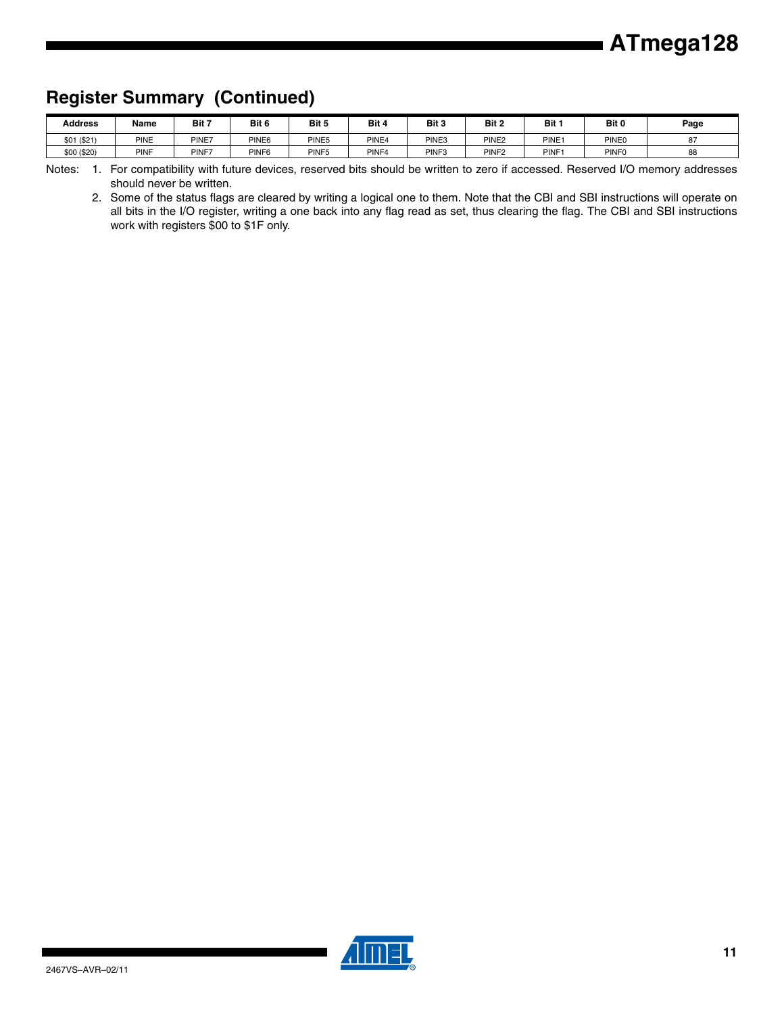## **Register Summary (Continued)**

| <b>Address</b> | Name        | Bit 7 | Bit 6             | Bit 5             | Bit 4 | Bit 3             | Bit 2             | <b>Bit</b>        | Bit 0        | Page |
|----------------|-------------|-------|-------------------|-------------------|-------|-------------------|-------------------|-------------------|--------------|------|
| \$01(\$21)     | <b>PINE</b> | PINE7 | PINE <sub>6</sub> | PINE5             | PINE4 | PINE3             | PINE <sub>2</sub> | PINE <sub>1</sub> | PINE0        | 87   |
| \$00 (\$20)    | <b>PINF</b> | PINF7 | PINF <sub>6</sub> | PINF <sub>5</sub> | PINF4 | PINF <sub>3</sub> | PINF <sub>2</sub> | <b>PINF</b>       | <b>PINF0</b> | 88   |

Notes: 1. For compatibility with future devices, reserved bits should be written to zero if accessed. Reserved I/O memory addresses should never be written.

2. Some of the status flags are cleared by writing a logical one to them. Note that the CBI and SBI instructions will operate on all bits in the I/O register, writing a one back into any flag read as set, thus clearing the flag. The CBI and SBI instructions work with registers \$00 to \$1F only.

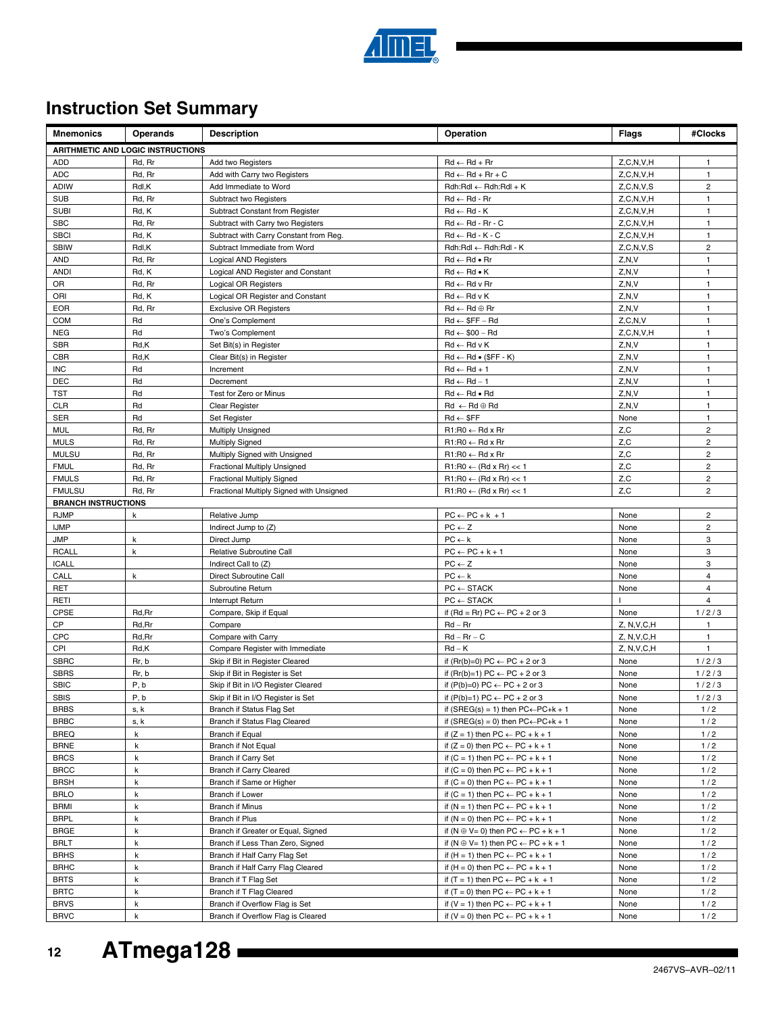

## **Instruction Set Summary**

| <b>Mnemonics</b>           | <b>Operands</b>                          | <b>Description</b>                               | Operation                                                                                            | <b>Flags</b>  | #Clocks        |
|----------------------------|------------------------------------------|--------------------------------------------------|------------------------------------------------------------------------------------------------------|---------------|----------------|
|                            | <b>ARITHMETIC AND LOGIC INSTRUCTIONS</b> |                                                  |                                                                                                      |               |                |
| <b>ADD</b>                 | Rd, Rr                                   | Add two Registers                                | $Rd \leftarrow Rd + Rr$                                                                              | Z, C, N, V, H | $\mathbf{1}$   |
| <b>ADC</b>                 | Rd, Rr                                   | Add with Carry two Registers                     | $Rd \leftarrow Rd + Rr + C$                                                                          | Z, C, N, V, H | $\mathbf{1}$   |
| <b>ADIW</b>                | Rdl,K                                    | Add Immediate to Word                            | $Rdh:Rdl \leftarrow Rdh:Rdl + K$                                                                     | Z, C, N, V, S | $\overline{2}$ |
| <b>SUB</b>                 | Rd, Rr                                   | Subtract two Registers                           | $Rd \leftarrow Rd - Rr$                                                                              | Z, C, N, V, H | $\mathbf{1}$   |
| <b>SUBI</b>                | Rd, K                                    | Subtract Constant from Register                  | $Rd \leftarrow Rd - K$                                                                               | Z, C, N, V, H | $\mathbf{1}$   |
| <b>SBC</b>                 | Rd, Rr                                   | Subtract with Carry two Registers                | $Rd \leftarrow Rd - Rr - C$                                                                          | Z, C, N, V, H | $\mathbf{1}$   |
| <b>SBCI</b>                | Rd, K                                    | Subtract with Carry Constant from Reg.           | $Rd \leftarrow Rd - K - C$                                                                           | Z, C, N, V, H | $\mathbf{1}$   |
| <b>SBIW</b>                | Rdl,K                                    | Subtract Immediate from Word                     | Rdh:Rdl ← Rdh:Rdl - K                                                                                | Z, C, N, V, S | $\overline{c}$ |
| <b>AND</b>                 | Rd, Rr                                   | <b>Logical AND Registers</b>                     | $Rd \leftarrow Rd \bullet Rr$                                                                        | Z, N, V       | $\mathbf{1}$   |
| <b>ANDI</b>                | Rd, K                                    | Logical AND Register and Constant                | $Rd \leftarrow Rd \bullet K$                                                                         | Z, N, V       | $\mathbf{1}$   |
| OR                         | Rd, Rr                                   | <b>Logical OR Registers</b>                      | $Rd \leftarrow Rd$ v $Rr$                                                                            | Z, N, V       | $\mathbf{1}$   |
| ORI                        | Rd, K                                    | Logical OR Register and Constant                 | $Rd \leftarrow Rd \vee K$                                                                            | Z, N, V       | $\mathbf{1}$   |
| <b>EOR</b>                 | Rd, Rr                                   | <b>Exclusive OR Registers</b>                    | $Rd \leftarrow Rd \oplus Rr$                                                                         | Z, N, V       | $\mathbf{1}$   |
| <b>COM</b>                 | Rd                                       | One's Complement                                 | $Rd \leftarrow$ \$FF - Rd                                                                            | Z, C, N, V    | $\mathbf{1}$   |
| <b>NEG</b>                 | Rd                                       | Two's Complement                                 | $Rd \leftarrow $00 - Rd$                                                                             | Z, C, N, V, H | $\mathbf{1}$   |
| <b>SBR</b>                 | Rd,K                                     | Set Bit(s) in Register                           | $Rd \leftarrow Rd v K$                                                                               | Z, N, V       | $\mathbf{1}$   |
| <b>CBR</b>                 | Rd,K                                     | Clear Bit(s) in Register                         | $Rd \leftarrow Rd \bullet (\$FF - K)$                                                                | Z, N, V       | $\mathbf{1}$   |
| <b>INC</b>                 | Rd                                       | Increment                                        | $Rd \leftarrow Rd + 1$                                                                               | Z, N, V       | $\mathbf{1}$   |
| DEC                        | Rd                                       | Decrement                                        | $Rd \leftarrow Rd - 1$                                                                               | Z, N, V       | $\mathbf{1}$   |
| TST                        | Rd                                       | Test for Zero or Minus                           | $Rd \leftarrow Rd \bullet Rd$                                                                        | Z, N, V       | $\mathbf{1}$   |
| <b>CLR</b>                 | Rd                                       | Clear Register                                   | $Rd \leftarrow Rd \oplus Rd$                                                                         | Z, N, V       | $\mathbf{1}$   |
| <b>SER</b>                 | Rd                                       | Set Register                                     | $Rd \leftarrow$ SFF                                                                                  | None          | 1              |
| <b>MUL</b>                 | Rd, Rr                                   | Multiply Unsigned                                | $R1:R0 \leftarrow Rd \times Rr$                                                                      | Z,C           | $\overline{c}$ |
| <b>MULS</b>                | Rd, Rr                                   | <b>Multiply Signed</b>                           | $R1:R0 \leftarrow Rd \times Rr$                                                                      | Z, C          | $\overline{c}$ |
| <b>MULSU</b>               | Rd, Rr                                   | Multiply Signed with Unsigned                    | $R1:R0 \leftarrow Rd \times Rr$                                                                      | Z, C          | $\mathbf 2$    |
| <b>FMUL</b>                | Rd, Rr                                   | Fractional Multiply Unsigned                     | $R1:R0 \leftarrow (Rd \times Rr) \ll 1$                                                              | Z,C           | $\overline{2}$ |
| <b>FMULS</b>               | Rd, Rr                                   | <b>Fractional Multiply Signed</b>                | $R1:R0 \leftarrow (Rd \times Rr) \ll 1$                                                              | Z,C           | $\overline{c}$ |
| <b>FMULSU</b>              | Rd, Rr                                   | Fractional Multiply Signed with Unsigned         | $R1:R0 \leftarrow (Rd \times Rr) \ll 1$                                                              | Z,C           | $\overline{c}$ |
| <b>BRANCH INSTRUCTIONS</b> |                                          |                                                  |                                                                                                      |               |                |
| <b>RJMP</b>                | $\mathsf{k}$                             | Relative Jump                                    | $PC \leftarrow PC + k + 1$                                                                           | None          | $\overline{c}$ |
| <b>IJMP</b>                |                                          | Indirect Jump to (Z)                             | $PC \leftarrow Z$                                                                                    | None          | $\overline{c}$ |
| <b>JMP</b>                 | k                                        | Direct Jump                                      | $PC \leftarrow k$                                                                                    | None          | 3              |
| <b>RCALL</b>               | $\mathsf{k}$                             | Relative Subroutine Call                         | $PC \leftarrow PC + k + 1$                                                                           | None          | 3              |
| <b>ICALL</b>               |                                          | Indirect Call to (Z)                             | $PC \leftarrow Z$                                                                                    | None          | 3              |
| CALL                       | k                                        | Direct Subroutine Call                           | $PC \leftarrow k$                                                                                    | None          | $\overline{4}$ |
| RET                        |                                          | Subroutine Return                                | $PC \leftarrow$ STACK                                                                                | None          | $\overline{4}$ |
| RETI                       |                                          | Interrupt Return                                 | $PC \leftarrow$ STACK                                                                                |               | $\overline{4}$ |
| CPSE                       | Rd, Rr                                   | Compare, Skip if Equal                           | if (Rd = Rr) PC $\leftarrow$ PC + 2 or 3                                                             | None          | 1/2/3          |
| CP                         | Rd, Rr                                   | Compare                                          | $Rd - Rr$                                                                                            | Z, N, V, C, H | $\mathbf{1}$   |
| CPC                        | Rd, Rr                                   | Compare with Carry                               | $Rd - Rr - C$                                                                                        | Z, N, V, C, H | $\mathbf{1}$   |
| CPI                        | Rd,K                                     | Compare Register with Immediate                  | $Rd - K$                                                                                             | Z, N, V, C, H | $\mathbf{1}$   |
| <b>SBRC</b>                | Rr, b                                    | Skip if Bit in Register Cleared                  | if (Rr(b)=0) PC $\leftarrow$ PC + 2 or 3                                                             | None          | 1/2/3          |
| <b>SBRS</b><br><b>SBIC</b> | Rr, b                                    | Skip if Bit in Register is Set                   | if $(Rr(b)=1) PC \leftarrow PC + 2$ or 3                                                             | None          | 1/2/3          |
| <b>SBIS</b>                | P, b<br>P, b                             | Skip if Bit in I/O Register Cleared              | if $(P(b)=0) PC \leftarrow PC + 2$ or 3                                                              | None          | 1/2/3          |
|                            |                                          | Skip if Bit in I/O Register is Set               | if $(P(b)=1) PC \leftarrow PC + 2$ or 3                                                              | None          | 1/2/3          |
| <b>BRBS</b><br><b>BRBC</b> | s, k                                     | Branch if Status Flag Set                        | if (SREG(s) = 1) then $PC \leftarrow PC + k + 1$<br>if (SREG(s) = 0) then $PC \leftarrow PC + k + 1$ | None          | 1/2<br>1/2     |
| <b>BREQ</b>                | s, k<br>$\mathsf k$                      | Branch if Status Flag Cleared<br>Branch if Equal | if $(Z = 1)$ then $PC \leftarrow PC + k + 1$                                                         | None<br>None  | 1/2            |
| <b>BRNE</b>                | k                                        | Branch if Not Equal                              | if $(Z = 0)$ then $PC \leftarrow PC + k + 1$                                                         | None          | 1/2            |
| <b>BRCS</b>                | k                                        | <b>Branch if Carry Set</b>                       | if $(C = 1)$ then $PC \leftarrow PC + k + 1$                                                         | None          | 1/2            |
| <b>BRCC</b>                | k                                        | Branch if Carry Cleared                          |                                                                                                      | None          | 1/2            |
| <b>BRSH</b>                | k                                        | Branch if Same or Higher                         | if $(C = 0)$ then $PC \leftarrow PC + k + 1$<br>if $(C = 0)$ then $PC \leftarrow PC + k + 1$         | None          | 1/2            |
| <b>BRLO</b>                | k                                        | Branch if Lower                                  | if $(C = 1)$ then $PC \leftarrow PC + k + 1$                                                         | None          | 1/2            |
| <b>BRMI</b>                | k                                        | <b>Branch if Minus</b>                           | if $(N = 1)$ then $PC \leftarrow PC + k + 1$                                                         | None          | 1/2            |
| <b>BRPL</b>                | k                                        | Branch if Plus                                   | if $(N = 0)$ then $PC \leftarrow PC + k + 1$                                                         | None          | 1/2            |
| <b>BRGE</b>                | k                                        | Branch if Greater or Equal, Signed               | if $(N \oplus V = 0)$ then $PC \leftarrow PC + k + 1$                                                | None          | 1/2            |
| <b>BRLT</b>                | k                                        | Branch if Less Than Zero, Signed                 | if $(N \oplus V = 1)$ then $PC \leftarrow PC + k + 1$                                                | None          | 1/2            |
| <b>BRHS</b>                | k                                        | Branch if Half Carry Flag Set                    | if $(H = 1)$ then $PC \leftarrow PC + k + 1$                                                         | None          | 1/2            |
| <b>BRHC</b>                | k                                        | Branch if Half Carry Flag Cleared                | if $(H = 0)$ then PC $\leftarrow$ PC + k + 1                                                         | None          | 1/2            |
| <b>BRTS</b>                | k                                        | Branch if T Flag Set                             | if $(T = 1)$ then $PC \leftarrow PC + k + 1$                                                         | None          | 1/2            |
| <b>BRTC</b>                | k                                        | Branch if T Flag Cleared                         | if $(T = 0)$ then $PC \leftarrow PC + k + 1$                                                         | None          | 1/2            |
| <b>BRVS</b>                | k                                        | Branch if Overflow Flag is Set                   | if $(V = 1)$ then $PC \leftarrow PC + k + 1$                                                         | None          | 1/2            |
| <b>BRVC</b>                | k                                        | Branch if Overflow Flag is Cleared               | if $(V = 0)$ then $PC \leftarrow PC + k + 1$                                                         | None          | 1/2            |
|                            |                                          |                                                  |                                                                                                      |               |                |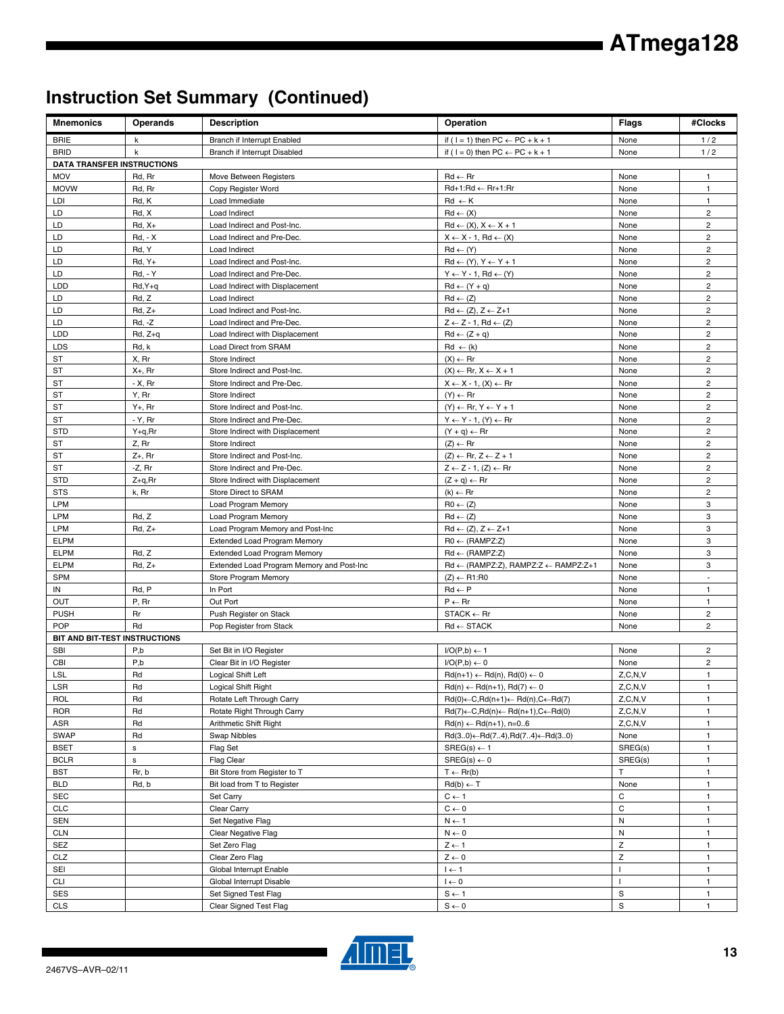# **Instruction Set Summary (Continued)**

| <b>Mnemonics</b>                  | <b>Operands</b>       | <b>Description</b>                                            | Operation                                                          | <b>Flags</b> | #Clocks                          |
|-----------------------------------|-----------------------|---------------------------------------------------------------|--------------------------------------------------------------------|--------------|----------------------------------|
| <b>BRIE</b>                       | k                     | Branch if Interrupt Enabled                                   | if ( $1 = 1$ ) then PC $\leftarrow$ PC + k + 1                     | None         | 1/2                              |
| <b>BRID</b>                       | k                     | Branch if Interrupt Disabled                                  | if ( $1 = 0$ ) then $PC \leftarrow PC + k + 1$                     | None         | 1/2                              |
| <b>DATA TRANSFER INSTRUCTIONS</b> |                       |                                                               |                                                                    |              |                                  |
| <b>MOV</b><br><b>MOVW</b>         | Rd, Rr                | Move Between Registers<br>Copy Register Word                  | $Rd \leftarrow Rr$<br>Rd+1:Rd ← Rr+1:Rr                            | None         | $\mathbf{1}$<br>$\mathbf{1}$     |
| LDI                               | Rd, Rr<br>Rd, K       | Load Immediate                                                | $Rd \leftarrow K$                                                  | None<br>None | $\mathbf{1}$                     |
| LD                                | Rd, X                 | Load Indirect                                                 | $Rd \leftarrow (X)$                                                | None         | $\overline{c}$                   |
| LD                                | $Rd, X+$              | Load Indirect and Post-Inc.                                   | $Rd \leftarrow (X), X \leftarrow X + 1$                            | None         | $\overline{2}$                   |
| LD                                | $Rd, -X$              | Load Indirect and Pre-Dec.                                    | $X \leftarrow X - 1$ , Rd $\leftarrow (X)$                         | None         | $\overline{c}$                   |
| LD                                | Rd, Y                 | Load Indirect                                                 | $Rd \leftarrow (Y)$                                                | None         | $\overline{2}$                   |
| LD                                | $Rd, Y+$              | Load Indirect and Post-Inc.                                   | $Rd \leftarrow (Y), Y \leftarrow Y + 1$                            | None         | $\overline{c}$                   |
| LD                                | <b>Rd, - Y</b>        | Load Indirect and Pre-Dec.                                    | $Y \leftarrow Y - 1$ , Rd $\leftarrow (Y)$                         | None         | $\mathbf 2$                      |
| LDD                               | $Rd, Y+q$             | Load Indirect with Displacement                               | $Rd \leftarrow (Y + q)$                                            | None         | $\overline{2}$                   |
| LD                                | Rd, Z                 | Load Indirect                                                 | $Rd \leftarrow (Z)$                                                | None         | $\overline{2}$                   |
| LD                                | $Rd, Z+$              | Load Indirect and Post-Inc.                                   | $Rd \leftarrow (Z), Z \leftarrow Z+1$                              | None         | $\overline{2}$                   |
| LD<br>LDD                         | $Rd, -Z$<br>$Rd, Z+q$ | Load Indirect and Pre-Dec.<br>Load Indirect with Displacement | $Z \leftarrow Z - 1$ , Rd $\leftarrow (Z)$                         | None<br>None | $\overline{c}$<br>$\overline{c}$ |
| <b>LDS</b>                        | Rd, k                 | Load Direct from SRAM                                         | $Rd \leftarrow (Z + q)$<br>$Rd \leftarrow (k)$                     | None         | $\overline{c}$                   |
| ST                                | X, Rr                 | Store Indirect                                                | $(X) \leftarrow Rr$                                                | None         | $\overline{2}$                   |
| ST                                | $X_{+}$ , Rr          | Store Indirect and Post-Inc.                                  | $(X) \leftarrow$ Rr, $X \leftarrow X + 1$                          | None         | $\overline{2}$                   |
| ST                                | - X, Rr               | Store Indirect and Pre-Dec.                                   | $X \leftarrow X - 1$ , $(X) \leftarrow Rr$                         | None         | $\overline{c}$                   |
| ST                                | Y, Rr                 | Store Indirect                                                | $(Y) \leftarrow Rr$                                                | None         | $\overline{c}$                   |
| ST                                | $Y_{+}$ , Rr          | Store Indirect and Post-Inc.                                  | $(Y) \leftarrow$ Rr, $Y \leftarrow Y + 1$                          | None         | $\overline{c}$                   |
| ST                                | - Y, Rr               | Store Indirect and Pre-Dec.                                   | $Y \leftarrow Y - 1$ , $(Y) \leftarrow Rr$                         | None         | $\overline{c}$                   |
| <b>STD</b>                        | $Y+q, Rr$             | Store Indirect with Displacement                              | $(Y + q) \leftarrow Rr$                                            | None         | $\overline{2}$                   |
| ST                                | Z, Rr                 | Store Indirect                                                | $(Z) \leftarrow Rr$                                                | None         | $\overline{2}$                   |
| <b>ST</b>                         | $Z+$ , Rr             | Store Indirect and Post-Inc.                                  | $(Z) \leftarrow$ Rr, $Z \leftarrow Z + 1$                          | None         | $\overline{c}$                   |
| ST                                | -Z, Rr                | Store Indirect and Pre-Dec.                                   | $Z \leftarrow Z - 1$ , $(Z) \leftarrow Rr$                         | None         | $\overline{c}$<br>$\overline{c}$ |
| <b>STD</b><br><b>STS</b>          | Z+q,Rr<br>k, Rr       | Store Indirect with Displacement<br>Store Direct to SRAM      | $(Z + q) \leftarrow Rr$<br>$(k) \leftarrow Rr$                     | None<br>None | $\overline{c}$                   |
| LPM                               |                       | Load Program Memory                                           | $R0 \leftarrow (Z)$                                                | None         | 3                                |
| LPM                               | Rd, Z                 | Load Program Memory                                           | $Rd \leftarrow (Z)$                                                | None         | 3                                |
| LPM                               | $Rd, Z+$              | Load Program Memory and Post-Inc                              | $Rd \leftarrow (Z), Z \leftarrow Z+1$                              | None         | 3                                |
| <b>ELPM</b>                       |                       | Extended Load Program Memory                                  | $RO \leftarrow (RAMPZ:Z)$                                          | None         | 3                                |
| <b>ELPM</b>                       | Rd, Z                 | <b>Extended Load Program Memory</b>                           | $Rd \leftarrow (RAMPZ:Z)$                                          | None         | 3                                |
| <b>ELPM</b>                       | $Rd, Z+$              | Extended Load Program Memory and Post-Inc                     | $Rd \leftarrow (RAMPZ:Z), RAMPZ:Z \leftarrow RAMPZ:Z+1$            | None         | 3                                |
| SPM                               |                       | Store Program Memory                                          | $(Z) \leftarrow R1:R0$                                             | None         | $\blacksquare$                   |
| IN                                | Rd, P                 | In Port                                                       | $Rd \leftarrow P$                                                  | None         | $\mathbf{1}$                     |
| OUT                               | P, Rr                 | Out Port                                                      | $P \leftarrow Rr$                                                  | None         | $\mathbf{1}$                     |
| <b>PUSH</b><br>POP                | Rr<br>Rd              | Push Register on Stack                                        | $STACK \leftarrow Rr$<br>$Rd \leftarrow$ STACK                     | None<br>None | $\overline{c}$<br>$\overline{2}$ |
| BIT AND BIT-TEST INSTRUCTIONS     |                       | Pop Register from Stack                                       |                                                                    |              |                                  |
| SBI                               | P,b                   | Set Bit in I/O Register                                       | $I/O(P,b) \leftarrow 1$                                            | None         | $\overline{2}$                   |
| CBI                               | P.b                   | Clear Bit in I/O Register                                     | $I/O(P,b) \leftarrow 0$                                            | None         | $\overline{2}$                   |
| <b>LSL</b>                        | Rd                    | Logical Shift Left                                            | $Rd(n+1) \leftarrow Rd(n), Rd(0) \leftarrow 0$                     | Z, C, N, V   | $\mathbf{1}$                     |
| LSR                               | $_{\rm Rd}$           | Logical Shift Right                                           | $Rd(n) \leftarrow Rd(n+1), Rd(7) \leftarrow 0$                     | Z, C, N, V   | $\mathbf{1}$                     |
| ROL                               | Rd                    | Rotate Left Through Carry                                     | $Rd(0) \leftarrow C, Rd(n+1) \leftarrow Rd(n), C \leftarrow Rd(7)$ | Z, C, N, V   | $\mathbf{1}$                     |
| <b>ROR</b>                        | Rd                    | Rotate Right Through Carry                                    | $Rd(7) \leftarrow C, Rd(n) \leftarrow Rd(n+1), C \leftarrow Rd(0)$ | Z, C, N, V   | 1                                |
| ASR                               | Rd                    | Arithmetic Shift Right                                        | $Rd(n) \leftarrow Rd(n+1), n=06$                                   | Z, C, N, V   | $\mathbf{1}$                     |
| SWAP                              | Rd                    | Swap Nibbles                                                  | $Rd(30) \leftarrow Rd(74), Rd(74) \leftarrow Rd(30)$               | None         | $\mathbf{1}$                     |
| <b>BSET</b>                       | $\mathbf s$           | Flag Set                                                      | $SREG(s) \leftarrow 1$                                             | SREG(s)      | $\mathbf{1}$                     |
| <b>BCLR</b>                       | $\mathsf{s}$          | <b>Flag Clear</b>                                             | $SREG(s) \leftarrow 0$                                             | SREG(s)      | $\mathbf{1}$                     |
| <b>BST</b><br><b>BLD</b>          | Rr, b<br>Rd, b        | Bit Store from Register to T<br>Bit load from T to Register   | $T \leftarrow Rr(b)$<br>$Rd(b) \leftarrow T$                       | T.<br>None   | $\mathbf{1}$<br>$\mathbf{1}$     |
| <b>SEC</b>                        |                       | Set Carry                                                     | $C \leftarrow 1$                                                   | С            | 1                                |
| CLC                               |                       | Clear Carry                                                   | $C \leftarrow 0$                                                   | С            | $\mathbf{1}$                     |
| SEN                               |                       | Set Negative Flag                                             | $N \leftarrow 1$                                                   | N            | $\mathbf{1}$                     |
| <b>CLN</b>                        |                       | Clear Negative Flag                                           | $N \leftarrow 0$                                                   | N            | $\mathbf{1}$                     |
| SEZ                               |                       | Set Zero Flag                                                 | $Z \leftarrow 1$                                                   | Z            | $\mathbf{1}$                     |
| <b>CLZ</b>                        |                       | Clear Zero Flag                                               | $Z \leftarrow 0$                                                   | Z            | 1                                |
| SEI                               |                       | Global Interrupt Enable                                       | $l \leftarrow 1$                                                   | -1           | $\mathbf{1}$                     |
| CLI                               |                       | Global Interrupt Disable                                      | $I \leftarrow 0$                                                   | $\mathbf{I}$ | $\mathbf{1}$                     |
| <b>SES</b>                        |                       | Set Signed Test Flag                                          | $S \leftarrow 1$                                                   | $\mathbf S$  | $\mathbf{1}$                     |
| <b>CLS</b>                        |                       | Clear Signed Test Flag                                        | $S \leftarrow 0$                                                   | ${\tt S}$    | $\mathbf{1}$                     |

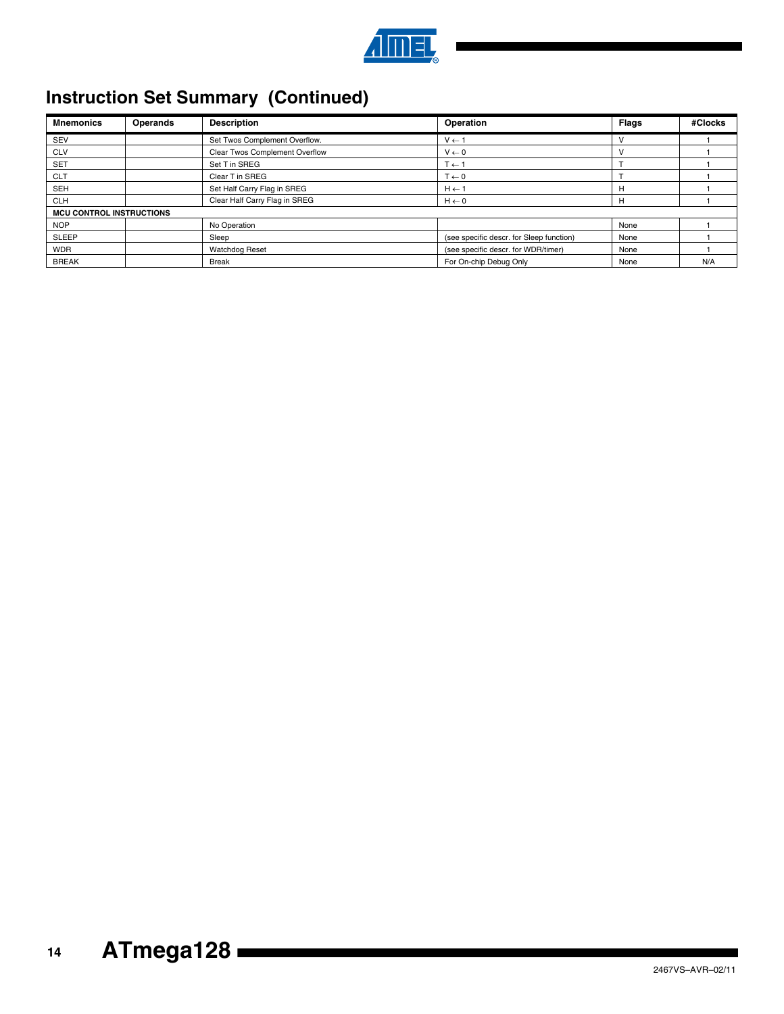

# **Instruction Set Summary (Continued)**

| <b>Mnemonics</b>                | Operands | <b>Description</b>             | Operation                                | <b>Flags</b> | #Clocks |
|---------------------------------|----------|--------------------------------|------------------------------------------|--------------|---------|
| <b>SEV</b>                      |          | Set Twos Complement Overflow.  | $V \leftarrow 1$                         |              |         |
| <b>CLV</b>                      |          | Clear Twos Complement Overflow | $V \leftarrow 0$                         |              |         |
| <b>SET</b>                      |          | Set T in SREG                  | $T \leftarrow 1$                         |              |         |
| <b>CLT</b>                      |          | Clear T in SREG                | $T \leftarrow 0$                         |              |         |
| <b>SEH</b>                      |          | Set Half Carry Flag in SREG    | $H \leftarrow 1$                         | н            |         |
| <b>CLH</b>                      |          | Clear Half Carry Flag in SREG  | $H \leftarrow 0$                         | н            |         |
| <b>MCU CONTROL INSTRUCTIONS</b> |          |                                |                                          |              |         |
| <b>NOP</b>                      |          | No Operation                   |                                          | None         |         |
| <b>SLEEP</b>                    |          | Sleep                          | (see specific descr. for Sleep function) | None         |         |
| <b>WDR</b>                      |          | <b>Watchdog Reset</b>          | (see specific descr. for WDR/timer)      | None         |         |
| <b>BREAK</b>                    |          | <b>Break</b>                   | For On-chip Debug Only                   | None         | N/A     |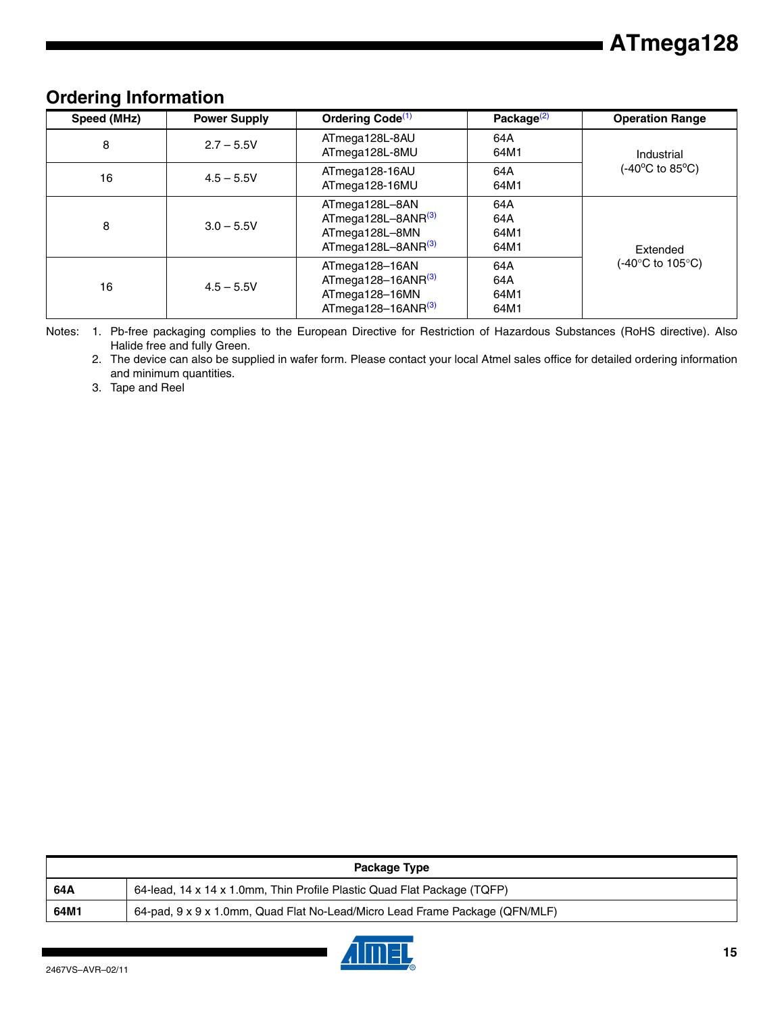## <span id="page-14-3"></span>**Ordering Information**

| Speed (MHz) | <b>Power Supply</b> | Ordering Code <sup>(1)</sup>                                                             | Package <sup>(2)</sup>     | <b>Operation Range</b> |
|-------------|---------------------|------------------------------------------------------------------------------------------|----------------------------|------------------------|
| 8           | $2.7 - 5.5V$        | ATmega128L-8AU<br>ATmega128L-8MU                                                         | 64A<br>64M1                | Industrial             |
| 16          | $4.5 - 5.5V$        | ATmega128-16AU<br>ATmega128-16MU                                                         | 64A<br>64M1                | (-40°C to 85°C).       |
| 8           | $3.0 - 5.5V$        | ATmega128L-8AN<br>ATmega128L-8ANR(3)<br>ATmega128L-8MN<br>ATmega128L-8ANR(3)             | 64A<br>64A<br>64M1<br>64M1 | Extended               |
| 16          | $4.5 - 5.5V$        | ATmega128-16AN<br>ATmega128-16ANR $^{(3)}$<br>ATmega128-16MN<br>ATmega128-16ANR $^{(3)}$ | 64A<br>64A<br>64M1<br>64M1 | (-40°C to 105°C)       |

<span id="page-14-1"></span><span id="page-14-0"></span>Notes: 1. Pb-free packaging complies to the European Directive for Restriction of Hazardous Substances (RoHS directive). Also Halide free and fully Green.

2. The device can also be supplied in wafer form. Please contact your local Atmel sales office for detailed ordering information and minimum quantities.

<span id="page-14-2"></span>3. Tape and Reel

| Package Type |                                                                             |  |  |  |  |
|--------------|-----------------------------------------------------------------------------|--|--|--|--|
| 64A          | 64-lead, 14 x 14 x 1.0mm, Thin Profile Plastic Quad Flat Package (TQFP)     |  |  |  |  |
| 64M1         | 64-pad, 9 x 9 x 1.0mm, Quad Flat No-Lead/Micro Lead Frame Package (QFN/MLF) |  |  |  |  |

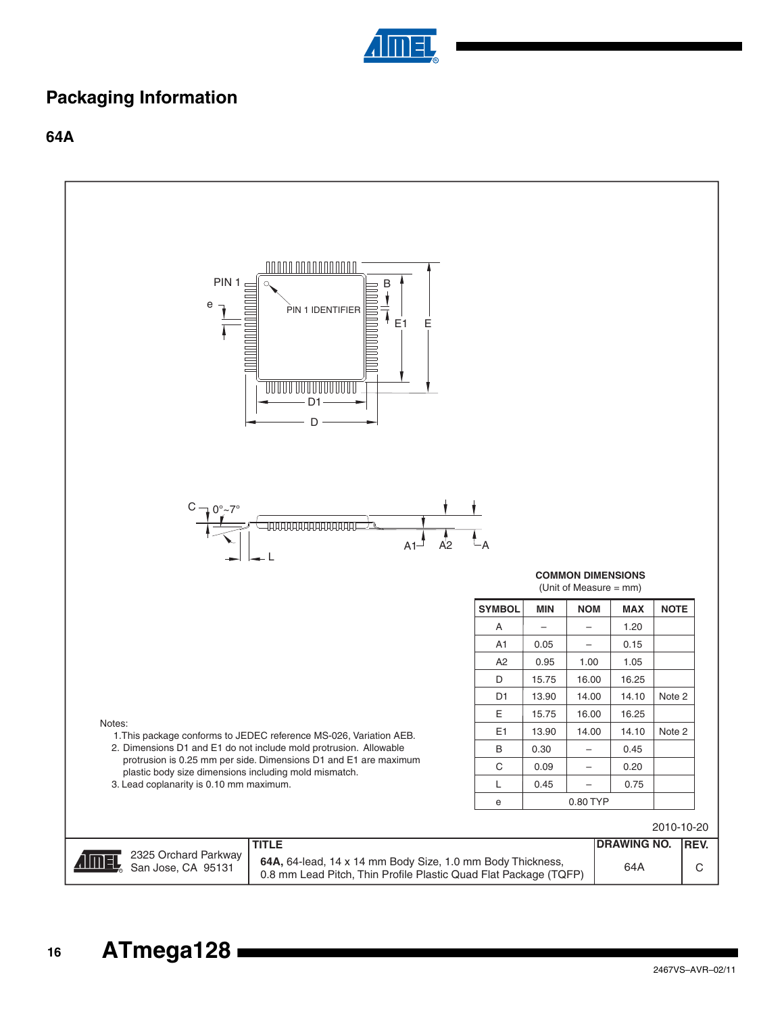

## <span id="page-15-0"></span>**Packaging Information**

**64A**

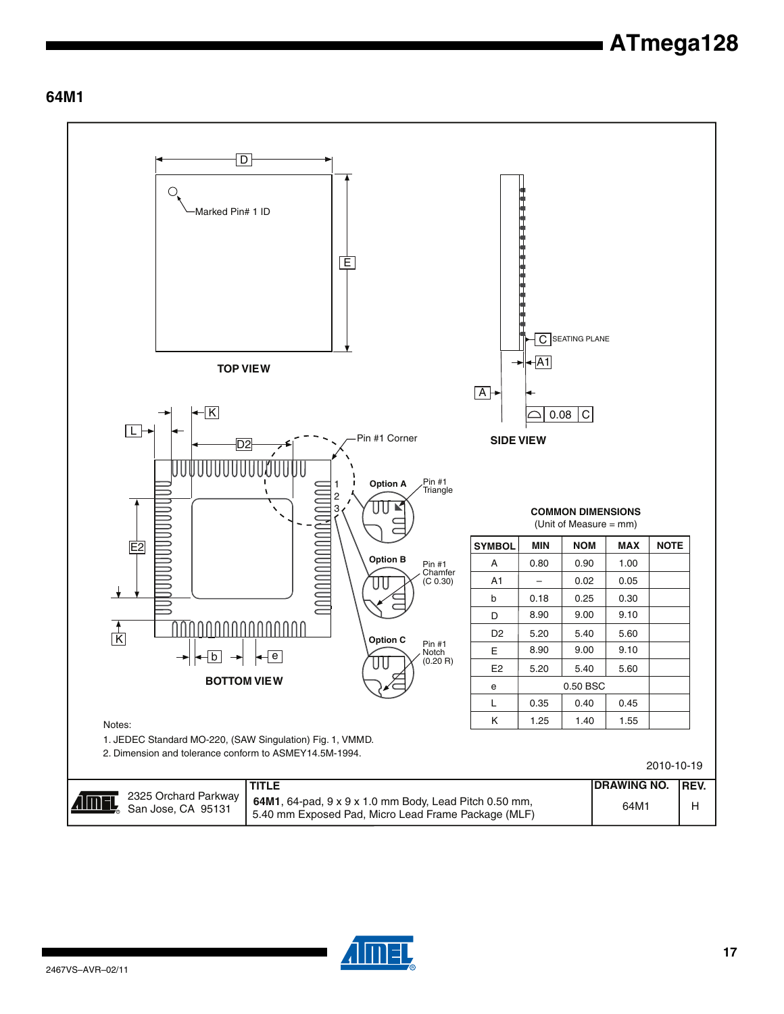## **64M1**



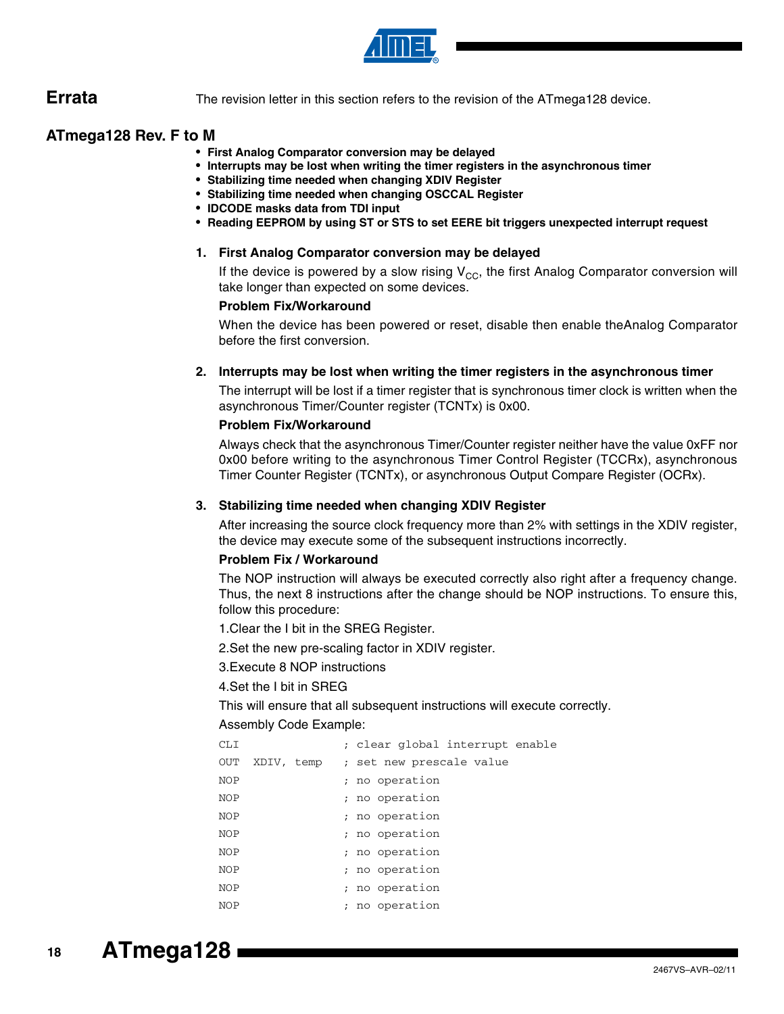

<span id="page-17-0"></span>**Errata** The revision letter in this section refers to the revision of the ATmega128 device.

## <span id="page-17-1"></span>**ATmega128 Rev. F to M**

- **First Analog Comparator conversion may be delayed**
- **Interrupts may be lost when writing the timer registers in the asynchronous timer**
- **Stabilizing time needed when changing XDIV Register**
- **Stabilizing time needed when changing OSCCAL Register**
- **IDCODE masks data from TDI input**
- **Reading EEPROM by using ST or STS to set EERE bit triggers unexpected interrupt request**

## **1. First Analog Comparator conversion may be delayed**

If the device is powered by a slow rising  $V_{CC}$ , the first Analog Comparator conversion will take longer than expected on some devices.

## **Problem Fix/Workaround**

When the device has been powered or reset, disable then enable theAnalog Comparator before the first conversion.

## **2. Interrupts may be lost when writing the timer registers in the asynchronous timer**

The interrupt will be lost if a timer register that is synchronous timer clock is written when the asynchronous Timer/Counter register (TCNTx) is 0x00.

## **Problem Fix/Workaround**

Always check that the asynchronous Timer/Counter register neither have the value 0xFF nor 0x00 before writing to the asynchronous Timer Control Register (TCCRx), asynchronous Timer Counter Register (TCNTx), or asynchronous Output Compare Register (OCRx).

## **3. Stabilizing time needed when changing XDIV Register**

After increasing the source clock frequency more than 2% with settings in the XDIV register, the device may execute some of the subsequent instructions incorrectly.

### **Problem Fix / Workaround**

The NOP instruction will always be executed correctly also right after a frequency change. Thus, the next 8 instructions after the change should be NOP instructions. To ensure this, follow this procedure:

1.Clear the I bit in the SREG Register.

2.Set the new pre-scaling factor in XDIV register.

3.Execute 8 NOP instructions

4.Set the I bit in SREG

This will ensure that all subsequent instructions will execute correctly.

## Assembly Code Example:

| CLI        |                                     |                |  |              |  | ; clear global interrupt enable |
|------------|-------------------------------------|----------------|--|--------------|--|---------------------------------|
| OUT        | XDIV, temp ; set new prescale value |                |  |              |  |                                 |
| <b>NOP</b> |                                     | ; no operation |  |              |  |                                 |
| <b>NOP</b> |                                     | ; no operation |  |              |  |                                 |
| <b>NOP</b> |                                     | ; no operation |  |              |  |                                 |
| <b>NOP</b> |                                     | ; no operation |  |              |  |                                 |
| <b>NOP</b> |                                     | ; no operation |  |              |  |                                 |
| <b>NOP</b> |                                     | ; no operation |  |              |  |                                 |
| <b>NOP</b> |                                     |                |  | no operation |  |                                 |
| <b>NOP</b> |                                     | ; no operation |  |              |  |                                 |
|            |                                     |                |  |              |  |                                 |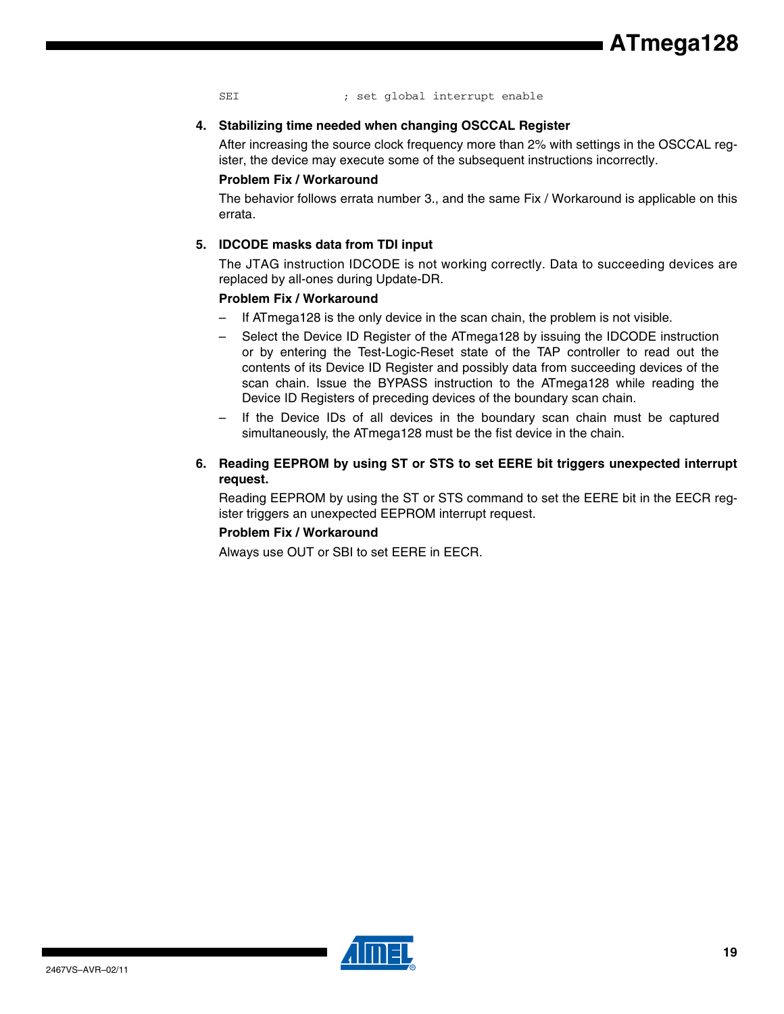SEI ; set global interrupt enable

## **4. Stabilizing time needed when changing OSCCAL Register**

After increasing the source clock frequency more than 2% with settings in the OSCCAL register, the device may execute some of the subsequent instructions incorrectly.

### **Problem Fix / Workaround**

The behavior follows errata number 3., and the same Fix / Workaround is applicable on this errata.

## **5. IDCODE masks data from TDI input**

The JTAG instruction IDCODE is not working correctly. Data to succeeding devices are replaced by all-ones during Update-DR.

## **Problem Fix / Workaround**

- If ATmega128 is the only device in the scan chain, the problem is not visible.
- Select the Device ID Register of the ATmega128 by issuing the IDCODE instruction or by entering the Test-Logic-Reset state of the TAP controller to read out the contents of its Device ID Register and possibly data from succeeding devices of the scan chain. Issue the BYPASS instruction to the ATmega128 while reading the Device ID Registers of preceding devices of the boundary scan chain.
- If the Device IDs of all devices in the boundary scan chain must be captured simultaneously, the ATmega128 must be the fist device in the chain.
- **6. Reading EEPROM by using ST or STS to set EERE bit triggers unexpected interrupt request.**

Reading EEPROM by using the ST or STS command to set the EERE bit in the EECR register triggers an unexpected EEPROM interrupt request.

### **Problem Fix / Workaround**

Always use OUT or SBI to set EERE in EECR.

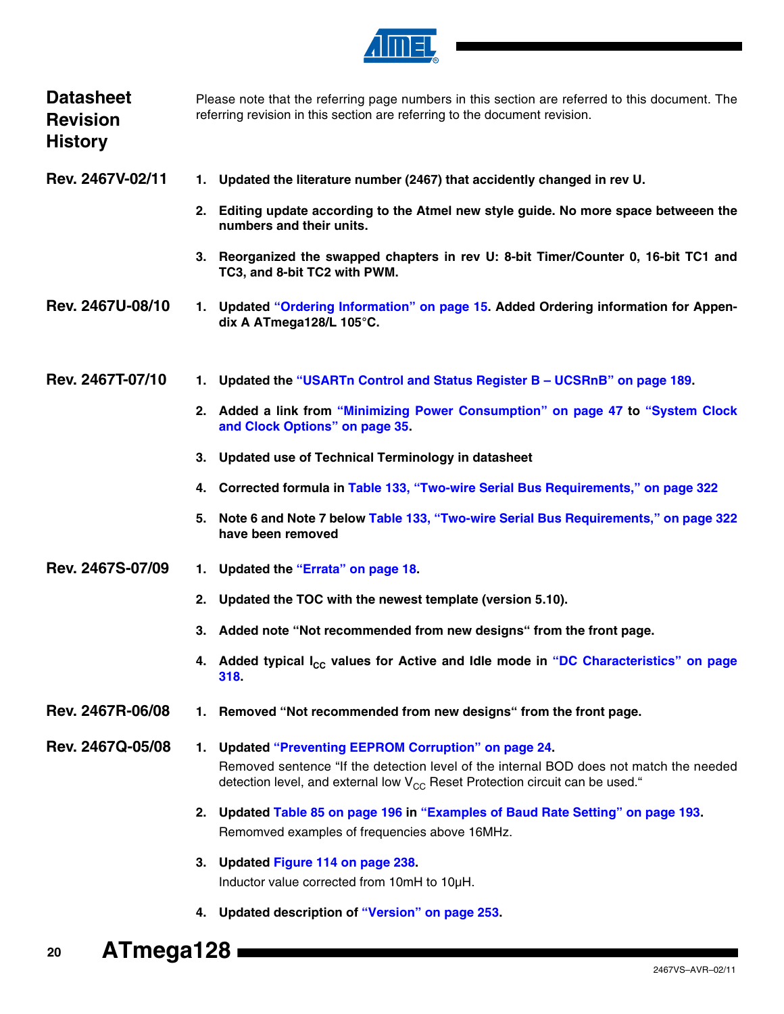

| <b>Datasheet</b><br><b>Revision</b><br><b>History</b> | Please note that the referring page numbers in this section are referred to this document. The<br>referring revision in this section are referring to the document revision.                                                         |
|-------------------------------------------------------|--------------------------------------------------------------------------------------------------------------------------------------------------------------------------------------------------------------------------------------|
| Rev. 2467V-02/11                                      | 1. Updated the literature number (2467) that accidently changed in rev U.                                                                                                                                                            |
|                                                       | 2. Editing update according to the Atmel new style guide. No more space betweeen the<br>numbers and their units.                                                                                                                     |
|                                                       | 3. Reorganized the swapped chapters in rev U: 8-bit Timer/Counter 0, 16-bit TC1 and<br>TC3, and 8-bit TC2 with PWM.                                                                                                                  |
| Rev. 2467U-08/10                                      | 1. Updated "Ordering Information" on page 15. Added Ordering information for Appen-<br>dix A ATmega128/L 105°C.                                                                                                                      |
| Rev. 2467T-07/10                                      | 1. Updated the "USARTn Control and Status Register B - UCSRnB" on page 189.                                                                                                                                                          |
|                                                       | 2. Added a link from "Minimizing Power Consumption" on page 47 to "System Clock"<br>and Clock Options" on page 35.                                                                                                                   |
|                                                       | 3. Updated use of Technical Terminology in datasheet                                                                                                                                                                                 |
|                                                       | 4. Corrected formula in Table 133, "Two-wire Serial Bus Requirements," on page 322                                                                                                                                                   |
|                                                       | 5. Note 6 and Note 7 below Table 133, "Two-wire Serial Bus Requirements," on page 322<br>have been removed                                                                                                                           |
| Rev. 2467S-07/09                                      | 1. Updated the "Errata" on page 18.                                                                                                                                                                                                  |
|                                                       | 2. Updated the TOC with the newest template (version 5.10).                                                                                                                                                                          |
|                                                       | 3. Added note "Not recommended from new designs" from the front page.                                                                                                                                                                |
|                                                       | 4. Added typical I <sub>CC</sub> values for Active and Idle mode in "DC Characteristics" on page<br>318                                                                                                                              |
| Rev. 2467R-06/08                                      | Removed "Not recommended from new designs" from the front page.<br>1.                                                                                                                                                                |
| Rev. 2467Q-05/08                                      | 1. Updated "Preventing EEPROM Corruption" on page 24.<br>Removed sentence "If the detection level of the internal BOD does not match the needed<br>detection level, and external low $V_{CC}$ Reset Protection circuit can be used." |
|                                                       | 2. Updated Table 85 on page 196 in "Examples of Baud Rate Setting" on page 193.<br>Remomved examples of frequencies above 16MHz.                                                                                                     |
|                                                       | 3. Updated Figure 114 on page 238.<br>Inductor value corrected from 10mH to 10µH.                                                                                                                                                    |
|                                                       | 4. Updated description of "Version" on page 253.                                                                                                                                                                                     |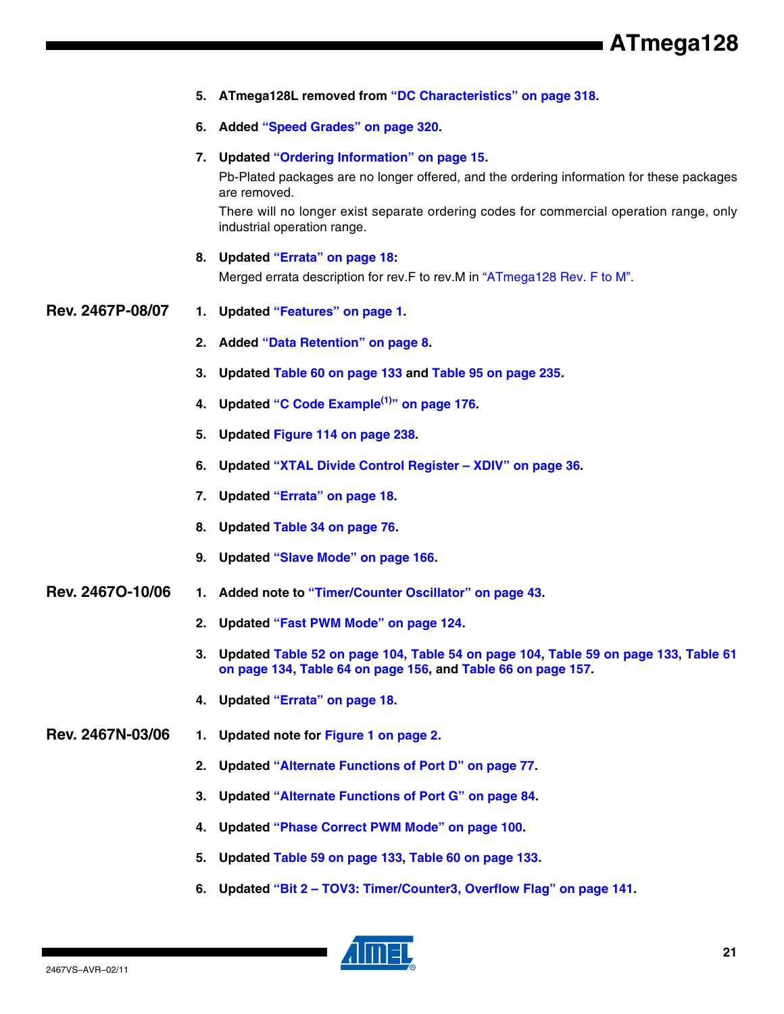- **5. ATmega128L removed from "DC Characteristics" on page 318.**
- **6. Added "Speed Grades" on page 320.**
- **7. Updated ["Ordering Information" on page 15.](#page-14-3)**

Pb-Plated packages are no longer offered, and the ordering information for these packages are removed.

There will no longer exist separate ordering codes for commercial operation range, only industrial operation range.

- **8. Updated ["Errata" on page 18:](#page-17-0)** Merged errata description for rev. F to rev. M in ["ATmega128 Rev. F to M".](#page-17-1)
- **Rev. 2467P-08/07 1. Updated ["Features" on page 1.](#page-0-0)**
	- **2. Added ["Data Retention" on page 8.](#page-7-1)**
	- **3. Updated Table 60 on page 133 and Table 95 on page 235.**
	- **4. Updated "C Code Example(1)" on page 176.**
	- **5. Updated Figure 114 on page 238.**
	- **6. Updated "XTAL Divide Control Register XDIV" on page 36.**
	- **7. Updated ["Errata" on page 18.](#page-17-0)**
	- **8. Updated Table 34 on page 76.**
	- **9. Updated "Slave Mode" on page 166.**
- **Rev. 2467O-10/06 1. Added note to "Timer/Counter Oscillator" on page 43.**
	- **2. Updated "Fast PWM Mode" on page 124.**
	- **3. Updated Table 52 on page 104, Table 54 on page 104, Table 59 on page 133, Table 61 on page 134, Table 64 on page 156, and Table 66 on page 157.**
	- **4. Updated ["Errata" on page 18.](#page-17-0)**
- **Rev. 2467N-03/06 1. Updated note for [Figure 1 on page 2](#page-1-0).**
	- **2. Updated "Alternate Functions of Port D" on page 77.**
	- **3. Updated "Alternate Functions of Port G" on page 84.**
	- **4. Updated "Phase Correct PWM Mode" on page 100.**
	- **5. Updated Table 59 on page 133, Table 60 on page 133.**
	- **6. Updated "Bit 2 TOV3: Timer/Counter3, Overflow Flag" on page 141.**

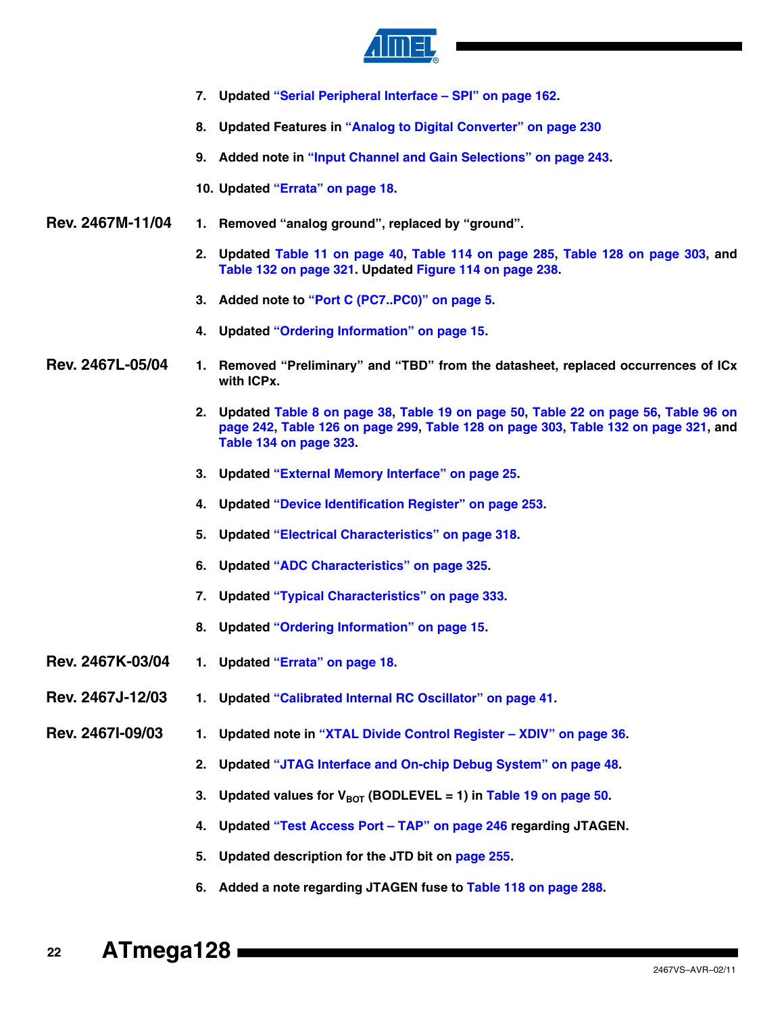

- **7. Updated "Serial Peripheral Interface SPI" on page 162.**
- **8. Updated Features in "Analog to Digital Converter" on page 230**
- **9. Added note in "Input Channel and Gain Selections" on page 243.**
- **10. Updated ["Errata" on page 18.](#page-17-0)**
- **Rev. 2467M-11/04 1. Removed "analog ground", replaced by "ground".**
	- **2. Updated Table 11 on page 40, Table 114 on page 285, Table 128 on page 303, and Table 132 on page 321. Updated Figure 114 on page 238.**
	- **3. Added note to ["Port C \(PC7..PC0\)" on page 5](#page-4-0).**
	- **4. Updated ["Ordering Information" on page 15.](#page-14-3)**

## **Rev. 2467L-05/04 1. Removed "Preliminary" and "TBD" from the datasheet, replaced occurrences of ICx with ICPx.**

- **2. Updated Table 8 on page 38, Table 19 on page 50, Table 22 on page 56, Table 96 on page 242, Table 126 on page 299, Table 128 on page 303, Table 132 on page 321, and Table 134 on page 323.**
- **3. Updated "External Memory Interface" on page 25.**
- **4. Updated "Device Identification Register" on page 253.**
- **5. Updated "Electrical Characteristics" on page 318.**
- **6. Updated "ADC Characteristics" on page 325.**
- **7. Updated "Typical Characteristics" on page 333.**
- **8. Updated ["Ordering Information" on page 15.](#page-14-3)**
- **Rev. 2467K-03/04 1. Updated ["Errata" on page 18.](#page-17-0)**
- **Rev. 2467J-12/03 1. Updated "Calibrated Internal RC Oscillator" on page 41.**
- **Rev. 2467I-09/03 1. Updated note in "XTAL Divide Control Register XDIV" on page 36.**
	- **2. Updated "JTAG Interface and On-chip Debug System" on page 48.**
	- 3. Updated values for  $V_{\text{BOT}}$  (BODLEVEL = 1) in Table 19 on page 50.
	- **4. Updated "Test Access Port TAP" on page 246 regarding JTAGEN.**
	- **5. Updated description for the JTD bit on page 255.**
	- **6. Added a note regarding JTAGEN fuse to Table 118 on page 288.**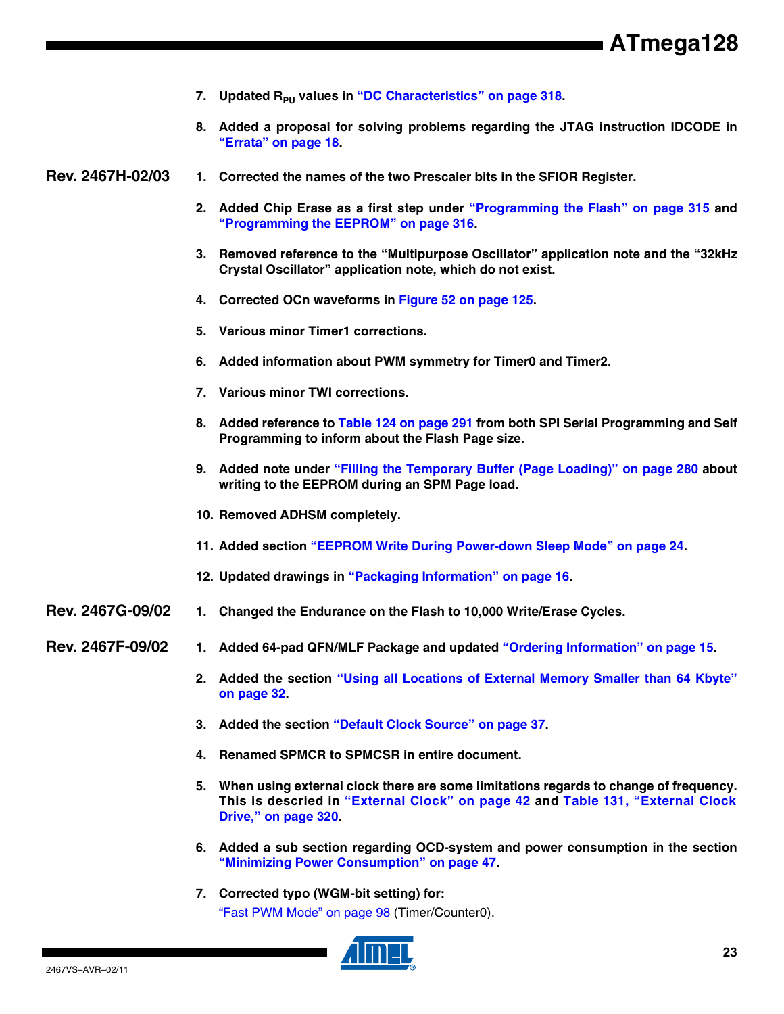- 7. Updated R<sub>PU</sub> values in "DC Characteristics" on page 318.
- **8. Added a proposal for solving problems regarding the JTAG instruction IDCODE in ["Errata" on page 18.](#page-17-0)**
- **Rev. 2467H-02/03 1. Corrected the names of the two Prescaler bits in the SFIOR Register.**
	- **2. Added Chip Erase as a first step under "Programming the Flash" on page 315 and "Programming the EEPROM" on page 316.**
	- **3. Removed reference to the "Multipurpose Oscillator" application note and the "32kHz Crystal Oscillator" application note, which do not exist.**
	- **4. Corrected OCn waveforms in Figure 52 on page 125.**
	- **5. Various minor Timer1 corrections.**
	- **6. Added information about PWM symmetry for Timer0 and Timer2.**
	- **7. Various minor TWI corrections.**
	- **8. Added reference to Table 124 on page 291 from both SPI Serial Programming and Self Programming to inform about the Flash Page size.**
	- **9. Added note under "Filling the Temporary Buffer (Page Loading)" on page 280 about writing to the EEPROM during an SPM Page load.**
	- **10. Removed ADHSM completely.**
	- **11. Added section "EEPROM Write During Power-down Sleep Mode" on page 24.**
	- **12. Updated drawings in ["Packaging Information" on page 16.](#page-15-0)**
- **Rev. 2467G-09/02 1. Changed the Endurance on the Flash to 10,000 Write/Erase Cycles.**
- **Rev. 2467F-09/02 1. Added 64-pad QFN/MLF Package and updated ["Ordering Information" on page 15.](#page-14-3)**
	- **2. Added the section "Using all Locations of External Memory Smaller than 64 Kbyte" on page 32.**
	- **3. Added the section "Default Clock Source" on page 37.**
	- **4. Renamed SPMCR to SPMCSR in entire document.**
	- **5. When using external clock there are some limitations regards to change of frequency. This is descried in "External Clock" on page 42 and Table 131, "External Clock Drive," on page 320.**
	- **6. Added a sub section regarding OCD-system and power consumption in the section "Minimizing Power Consumption" on page 47.**
	- **7. Corrected typo (WGM-bit setting) for:** "Fast PWM Mode" on page 98 (Timer/Counter0).

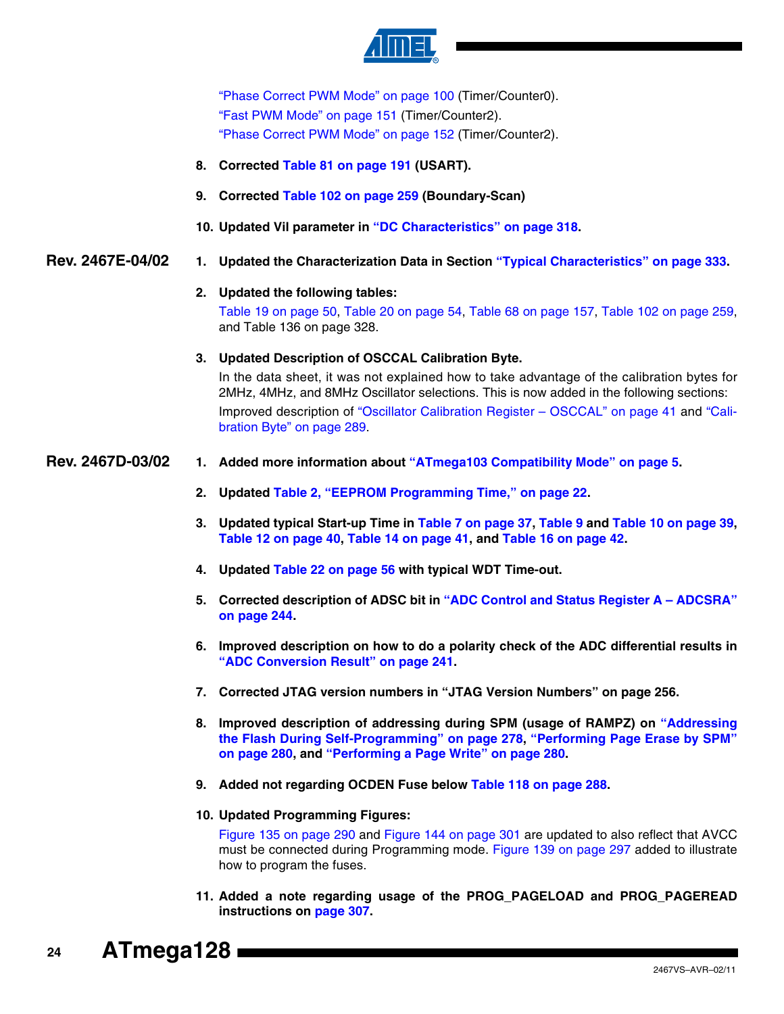

|                  | "Phase Correct PWM Mode" on page 100 (Timer/Counter0).<br>"Fast PWM Mode" on page 151 (Timer/Counter2).                                                                                                                       |
|------------------|-------------------------------------------------------------------------------------------------------------------------------------------------------------------------------------------------------------------------------|
|                  | "Phase Correct PWM Mode" on page 152 (Timer/Counter2).                                                                                                                                                                        |
|                  | 8. Corrected Table 81 on page 191 (USART).                                                                                                                                                                                    |
|                  | 9. Corrected Table 102 on page 259 (Boundary-Scan)                                                                                                                                                                            |
|                  | 10. Updated Vil parameter in "DC Characteristics" on page 318.                                                                                                                                                                |
| Rev. 2467E-04/02 | 1. Updated the Characterization Data in Section "Typical Characteristics" on page 333.                                                                                                                                        |
|                  | 2. Updated the following tables:                                                                                                                                                                                              |
|                  | Table 19 on page 50, Table 20 on page 54, Table 68 on page 157, Table 102 on page 259,<br>and Table 136 on page 328.                                                                                                          |
|                  | 3. Updated Description of OSCCAL Calibration Byte.                                                                                                                                                                            |
|                  | In the data sheet, it was not explained how to take advantage of the calibration bytes for<br>2MHz, 4MHz, and 8MHz Oscillator selections. This is now added in the following sections:                                        |
|                  | Improved description of "Oscillator Calibration Register - OSCCAL" on page 41 and "Cali-<br>bration Byte" on page 289.                                                                                                        |
| Rev. 2467D-03/02 | 1. Added more information about "ATmega103 Compatibility Mode" on page 5.                                                                                                                                                     |
|                  | 2.<br>Updated Table 2, "EEPROM Programming Time," on page 22.                                                                                                                                                                 |
|                  | 3. Updated typical Start-up Time in Table 7 on page 37, Table 9 and Table 10 on page 39,<br>Table 12 on page 40, Table 14 on page 41, and Table 16 on page 42.                                                                |
|                  | 4. Updated Table 22 on page 56 with typical WDT Time-out.                                                                                                                                                                     |
|                  | 5. Corrected description of ADSC bit in "ADC Control and Status Register A - ADCSRA"<br>on page 244                                                                                                                           |
|                  | 6. Improved description on how to do a polarity check of the ADC differential results in<br>"ADC Conversion Result" on page 241.                                                                                              |
|                  | 7. Corrected JTAG version numbers in "JTAG Version Numbers" on page 256.                                                                                                                                                      |
|                  | 8. Improved description of addressing during SPM (usage of RAMPZ) on "Addressing<br>the Flash During Self-Programming" on page 278, "Performing Page Erase by SPM"<br>on page 280, and "Performing a Page Write" on page 280. |
|                  | 9. Added not regarding OCDEN Fuse below Table 118 on page 288.                                                                                                                                                                |
|                  | 10. Updated Programming Figures:                                                                                                                                                                                              |
|                  | Figure 135 on page 290 and Figure 144 on page 301 are updated to also reflect that AVCC<br>must be connected during Programming mode. Figure 139 on page 297 added to illustrate<br>how to program the fuses.                 |

**11. Added a note regarding usage of the PROG\_PAGELOAD and PROG\_PAGEREAD instructions on page 307.**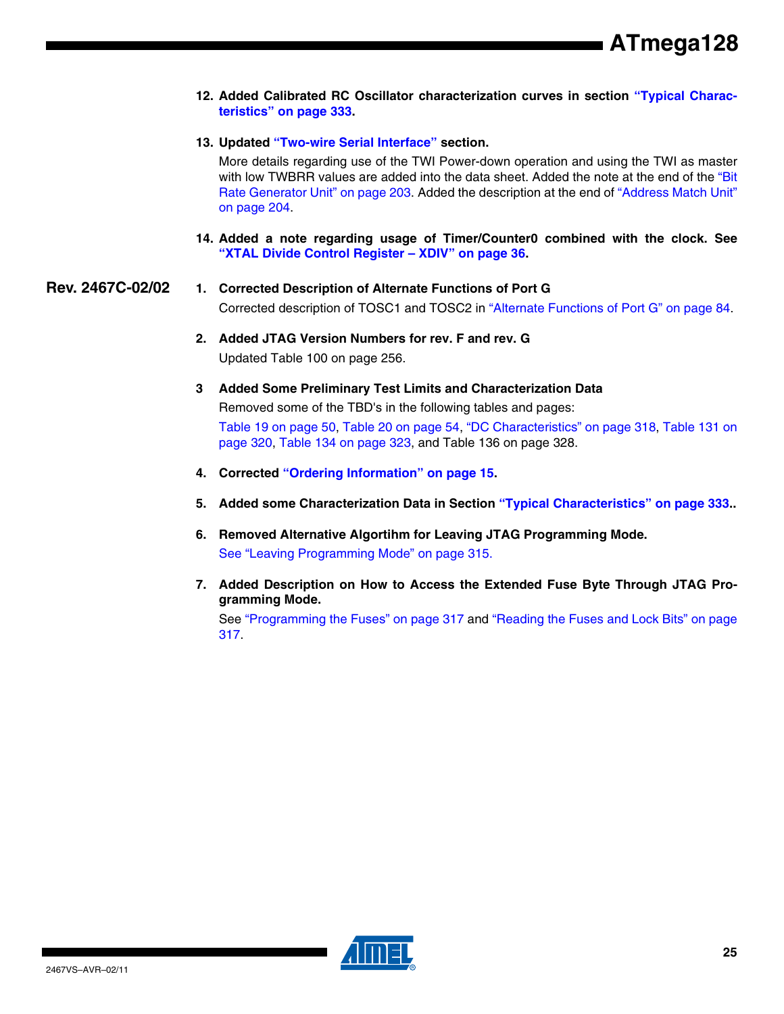- **12. Added Calibrated RC Oscillator characterization curves in section "Typical Characteristics" on page 333.**
- **13. Updated "Two-wire Serial Interface" section.**

More details regarding use of the TWI Power-down operation and using the TWI as master with low TWBRR values are added into the data sheet. Added the note at the end of the "Bit Rate Generator Unit" on page 203. Added the description at the end of "Address Match Unit" on page 204.

**14. Added a note regarding usage of Timer/Counter0 combined with the clock. See "XTAL Divide Control Register – XDIV" on page 36.**

## **Rev. 2467C-02/02 1. Corrected Description of Alternate Functions of Port G** Corrected description of TOSC1 and TOSC2 in "Alternate Functions of Port G" on page 84.

- **2. Added JTAG Version Numbers for rev. F and rev. G** Updated Table 100 on page 256.
- **3 Added Some Preliminary Test Limits and Characterization Data** Removed some of the TBD's in the following tables and pages: Table 19 on page 50, Table 20 on page 54, "DC Characteristics" on page 318, Table 131 on page 320, Table 134 on page 323, and Table 136 on page 328.
- **4. Corrected ["Ordering Information" on page 15.](#page-14-3)**
- **5. Added some Characterization Data in Section "Typical Characteristics" on page 333..**
- **6. Removed Alternative Algortihm for Leaving JTAG Programming Mode.**  See "Leaving Programming Mode" on page 315.
- **7. Added Description on How to Access the Extended Fuse Byte Through JTAG Programming Mode.**

See "Programming the Fuses" on page 317 and "Reading the Fuses and Lock Bits" on page 317.